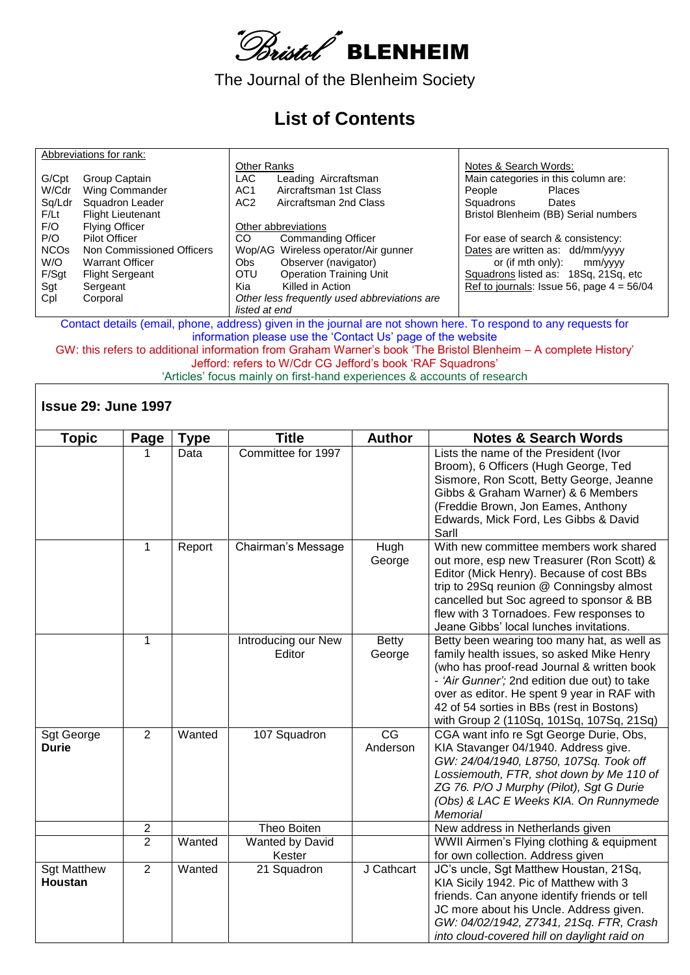

The Journal of the Blenheim Society

## **List of Contents**

|                        | Abbreviations for rank:   |                    |                                              |                                   |                                             |
|------------------------|---------------------------|--------------------|----------------------------------------------|-----------------------------------|---------------------------------------------|
|                        |                           | <b>Other Ranks</b> |                                              | Notes & Search Words:             |                                             |
| G/Cpt                  | Group Captain             | LAC                | Leading Aircraftsman                         |                                   | Main categories in this column are:         |
| W/Cdr                  | Wing Commander            | AC <sub>1</sub>    | Aircraftsman 1st Class                       | People                            | <b>Places</b>                               |
| Sq/Ldr                 | Squadron Leader           | AC <sub>2</sub>    | Aircraftsman 2nd Class                       | Squadrons                         | Dates                                       |
| F/Lt                   | <b>Flight Lieutenant</b>  |                    |                                              |                                   | Bristol Blenheim (BB) Serial numbers        |
| F/O                    | <b>Flying Officer</b>     |                    | Other abbreviations                          |                                   |                                             |
| P/O                    | <b>Pilot Officer</b>      | CO.                | <b>Commanding Officer</b>                    | For ease of search & consistency: |                                             |
| <b>NCO<sub>s</sub></b> | Non Commissioned Officers |                    | Wop/AG Wireless operator/Air gunner          |                                   | Dates are written as: dd/mm/yyyy            |
| W/O                    | <b>Warrant Officer</b>    | Obs.               | Observer (navigator)                         |                                   | or (if mth only): $mm/yyy$                  |
| F/Sgt                  | <b>Flight Sergeant</b>    | <b>OTU</b>         | <b>Operation Training Unit</b>               |                                   | Squadrons listed as: 18Sq, 21Sq, etc        |
| Sgt                    | Sergeant                  | Kia                | Killed in Action                             |                                   | Ref to journals: Issue 56, page $4 = 56/04$ |
| Cpl                    | Corporal                  |                    | Other less frequently used abbreviations are |                                   |                                             |
|                        |                           | listed at end      |                                              |                                   |                                             |

Contact details (email, phone, address) given in the journal are not shown here. To respond to any requests for information please use the 'Contact Us' page of the website

GW: this refers to additional information from Graham Warner's book 'The Bristol Blenheim – A complete History' Jefford: refers to W/Cdr CG Jefford's book 'RAF Squadrons'

'Articles' focus mainly on first-hand experiences & accounts of research

## **Issue 29: June 1997**

| <b>Topic</b>                  | Page           | <b>Type</b> | <b>Title</b>                  | <b>Author</b>                      | <b>Notes &amp; Search Words</b>                                                                                                                                                                                                                                                                                                |
|-------------------------------|----------------|-------------|-------------------------------|------------------------------------|--------------------------------------------------------------------------------------------------------------------------------------------------------------------------------------------------------------------------------------------------------------------------------------------------------------------------------|
|                               |                | Data        | Committee for 1997            |                                    | Lists the name of the President (Ivor<br>Broom), 6 Officers (Hugh George, Ted<br>Sismore, Ron Scott, Betty George, Jeanne<br>Gibbs & Graham Warner) & 6 Members<br>(Freddie Brown, Jon Eames, Anthony<br>Edwards, Mick Ford, Les Gibbs & David<br>Sarll                                                                        |
|                               | 1              | Report      | Chairman's Message            | Hugh<br>George                     | With new committee members work shared<br>out more, esp new Treasurer (Ron Scott) &<br>Editor (Mick Henry). Because of cost BBs<br>trip to 29Sq reunion @ Conningsby almost<br>cancelled but Soc agreed to sponsor & BB<br>flew with 3 Tornadoes. Few responses to<br>Jeane Gibbs' local lunches invitations.                  |
|                               | 1              |             | Introducing our New<br>Editor | Betty<br>George                    | Betty been wearing too many hat, as well as<br>family health issues, so asked Mike Henry<br>(who has proof-read Journal & written book<br>- 'Air Gunner'; 2nd edition due out) to take<br>over as editor. He spent 9 year in RAF with<br>42 of 54 sorties in BBs (rest in Bostons)<br>with Group 2 (110Sq, 101Sq, 107Sq, 21Sq) |
| Sgt George<br><b>Durie</b>    | $\overline{2}$ | Wanted      | 107 Squadron                  | $\overline{\text{CG}}$<br>Anderson | CGA want info re Sgt George Durie, Obs,<br>KIA Stavanger 04/1940. Address give.<br>GW: 24/04/1940, L8750, 107Sq. Took off<br>Lossiemouth, FTR, shot down by Me 110 of<br>ZG 76. P/O J Murphy (Pilot), Sgt G Durie<br>(Obs) & LAC E Weeks KIA. On Runnymede<br>Memorial                                                         |
|                               | 2              |             | Theo Boiten                   |                                    | New address in Netherlands given                                                                                                                                                                                                                                                                                               |
|                               | $\overline{2}$ | Wanted      | Wanted by David<br>Kester     |                                    | WWII Airmen's Flying clothing & equipment<br>for own collection. Address given                                                                                                                                                                                                                                                 |
| <b>Sgt Matthew</b><br>Houstan | $\overline{2}$ | Wanted      | 21 Squadron                   | J Cathcart                         | JC's uncle, Sgt Matthew Houstan, 21Sq,<br>KIA Sicily 1942. Pic of Matthew with 3<br>friends. Can anyone identify friends or tell<br>JC more about his Uncle. Address given.<br>GW: 04/02/1942, Z7341, 21Sq. FTR, Crash<br>into cloud-covered hill on daylight raid on                                                          |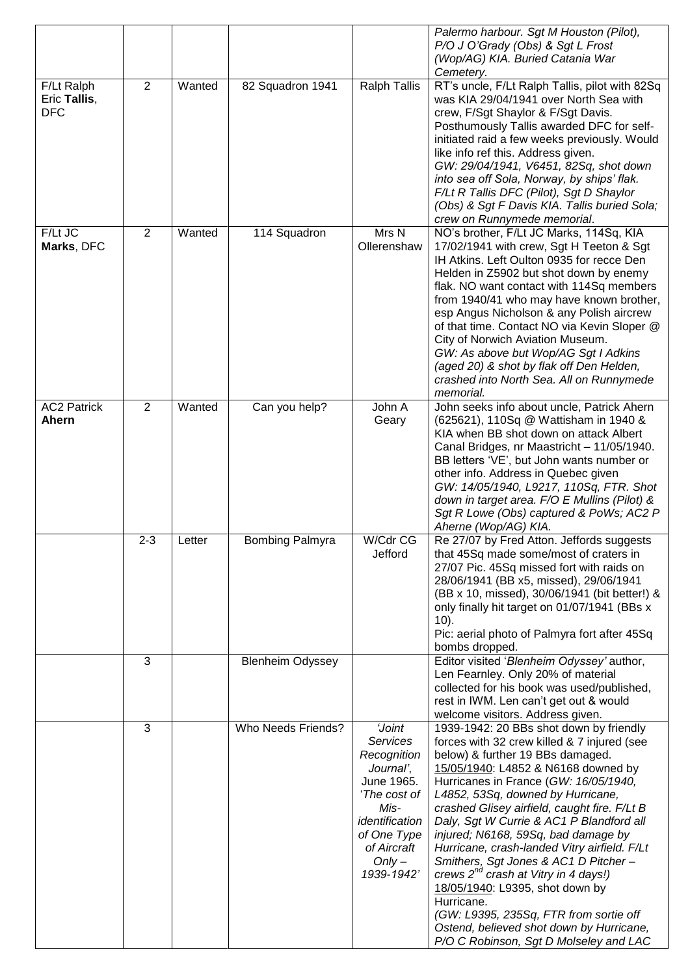|                                          |                |        |                         |                                                                                                                                                                      | Palermo harbour. Sgt M Houston (Pilot),<br>P/O J O'Grady (Obs) & Sgt L Frost<br>(Wop/AG) KIA. Buried Catania War<br>Cemetery.                                                                                                                                                                                                                                                                                                                                                                                                                                                                                                                                                                                   |
|------------------------------------------|----------------|--------|-------------------------|----------------------------------------------------------------------------------------------------------------------------------------------------------------------|-----------------------------------------------------------------------------------------------------------------------------------------------------------------------------------------------------------------------------------------------------------------------------------------------------------------------------------------------------------------------------------------------------------------------------------------------------------------------------------------------------------------------------------------------------------------------------------------------------------------------------------------------------------------------------------------------------------------|
| F/Lt Ralph<br>Eric Tallis,<br><b>DFC</b> | $\overline{2}$ | Wanted | 82 Squadron 1941        | <b>Ralph Tallis</b>                                                                                                                                                  | RT's uncle, F/Lt Ralph Tallis, pilot with 82Sq<br>was KIA 29/04/1941 over North Sea with<br>crew, F/Sgt Shaylor & F/Sgt Davis.<br>Posthumously Tallis awarded DFC for self-<br>initiated raid a few weeks previously. Would<br>like info ref this. Address given.<br>GW: 29/04/1941, V6451, 82Sq, shot down<br>into sea off Sola, Norway, by ships' flak.<br>F/Lt R Tallis DFC (Pilot), Sgt D Shaylor<br>(Obs) & Sgt F Davis KIA. Tallis buried Sola;<br>crew on Runnymede memorial.                                                                                                                                                                                                                            |
| F/Lt JC<br>Marks, DFC                    | $\overline{2}$ | Wanted | 114 Squadron            | Mrs N<br>Ollerenshaw                                                                                                                                                 | NO's brother, F/Lt JC Marks, 114Sq, KIA<br>17/02/1941 with crew, Sgt H Teeton & Sgt<br>IH Atkins. Left Oulton 0935 for recce Den<br>Helden in Z5902 but shot down by enemy<br>flak. NO want contact with 114Sq members<br>from 1940/41 who may have known brother,<br>esp Angus Nicholson & any Polish aircrew<br>of that time. Contact NO via Kevin Sloper @<br>City of Norwich Aviation Museum.<br>GW: As above but Wop/AG Sgt I Adkins<br>(aged 20) & shot by flak off Den Helden,<br>crashed into North Sea. All on Runnymede<br>memorial.                                                                                                                                                                  |
| <b>AC2 Patrick</b><br>Ahern              | $\overline{2}$ | Wanted | Can you help?           | John A<br>Geary                                                                                                                                                      | John seeks info about uncle, Patrick Ahern<br>(625621), 110Sq @ Wattisham in 1940 &<br>KIA when BB shot down on attack Albert<br>Canal Bridges, nr Maastricht - 11/05/1940.<br>BB letters 'VE', but John wants number or<br>other info. Address in Quebec given<br>GW: 14/05/1940, L9217, 110Sq, FTR. Shot<br>down in target area. F/O E Mullins (Pilot) &<br>Sgt R Lowe (Obs) captured & PoWs; AC2 P<br>Aherne (Wop/AG) KIA.                                                                                                                                                                                                                                                                                   |
|                                          | $2 - 3$        | _etter | <b>Bombing Palmyra</b>  | W/Cdr CG<br>Jefford                                                                                                                                                  | Re 27/07 by Fred Atton. Jeffords suggests<br>that 45Sq made some/most of craters in<br>27/07 Pic. 45Sq missed fort with raids on<br>28/06/1941 (BB x5, missed), 29/06/1941<br>(BB x 10, missed), 30/06/1941 (bit better!) &<br>only finally hit target on 01/07/1941 (BBs x<br>$10$ ).<br>Pic: aerial photo of Palmyra fort after 45Sq<br>bombs dropped.                                                                                                                                                                                                                                                                                                                                                        |
|                                          | 3              |        | <b>Blenheim Odyssey</b> |                                                                                                                                                                      | Editor visited 'Blenheim Odyssey' author,<br>Len Fearnley. Only 20% of material<br>collected for his book was used/published,<br>rest in IWM. Len can't get out & would<br>welcome visitors. Address given.                                                                                                                                                                                                                                                                                                                                                                                                                                                                                                     |
|                                          | 3              |        | Who Needs Friends?      | <b>Joint</b><br>Services<br>Recognition<br>Journal',<br>June 1965.<br>'The cost of<br>Mis-<br>identification<br>of One Type<br>of Aircraft<br>$Only -$<br>1939-1942' | 1939-1942: 20 BBs shot down by friendly<br>forces with 32 crew killed & 7 injured (see<br>below) & further 19 BBs damaged.<br>15/05/1940: L4852 & N6168 downed by<br>Hurricanes in France (GW: 16/05/1940,<br>L4852, 53Sq, downed by Hurricane,<br>crashed Glisey airfield, caught fire. F/Lt B<br>Daly, Sgt W Currie & AC1 P Blandford all<br>injured; N6168, 59Sq, bad damage by<br>Hurricane, crash-landed Vitry airfield. F/Lt<br>Smithers, Sgt Jones & AC1 D Pitcher-<br>crews 2 <sup>nd</sup> crash at Vitry in 4 days!)<br>18/05/1940: L9395, shot down by<br>Hurricane.<br>(GW: L9395, 235Sq, FTR from sortie off<br>Ostend, believed shot down by Hurricane,<br>P/O C Robinson, Sgt D Molseley and LAC |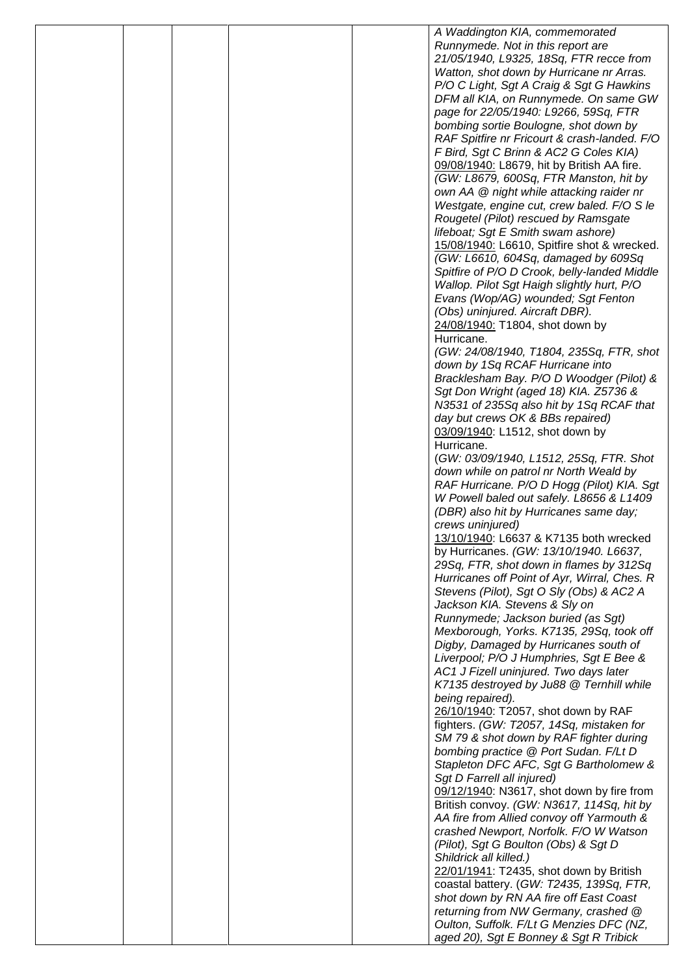|  |  | A Waddington KIA, commemorated                                                         |
|--|--|----------------------------------------------------------------------------------------|
|  |  | Runnymede. Not in this report are                                                      |
|  |  | 21/05/1940, L9325, 18Sq, FTR recce from                                                |
|  |  | Watton, shot down by Hurricane nr Arras.                                               |
|  |  | P/O C Light, Sgt A Craig & Sgt G Hawkins                                               |
|  |  | DFM all KIA, on Runnymede. On same GW                                                  |
|  |  | page for 22/05/1940: L9266, 59Sq, FTR                                                  |
|  |  | bombing sortie Boulogne, shot down by                                                  |
|  |  | RAF Spitfire nr Fricourt & crash-landed. F/O                                           |
|  |  | F Bird, Sgt C Brinn & AC2 G Coles KIA)                                                 |
|  |  | 09/08/1940: L8679, hit by British AA fire.<br>(GW: L8679, 600Sq, FTR Manston, hit by   |
|  |  | own AA @ night while attacking raider nr                                               |
|  |  | Westgate, engine cut, crew baled. F/O S le                                             |
|  |  | Rougetel (Pilot) rescued by Ramsgate                                                   |
|  |  | lifeboat; Sgt E Smith swam ashore)                                                     |
|  |  | 15/08/1940: L6610, Spitfire shot & wrecked.                                            |
|  |  | (GW: L6610, 604Sq, damaged by 609Sq                                                    |
|  |  | Spitfire of P/O D Crook, belly-landed Middle                                           |
|  |  | Wallop. Pilot Sgt Haigh slightly hurt, P/O                                             |
|  |  | Evans (Wop/AG) wounded; Sgt Fenton                                                     |
|  |  | (Obs) uninjured. Aircraft DBR).                                                        |
|  |  | 24/08/1940: T1804, shot down by                                                        |
|  |  | Hurricane.                                                                             |
|  |  | (GW: 24/08/1940, T1804, 235Sq, FTR, shot                                               |
|  |  | down by 1Sq RCAF Hurricane into                                                        |
|  |  | Bracklesham Bay. P/O D Woodger (Pilot) &                                               |
|  |  | Sgt Don Wright (aged 18) KIA. Z5736 &                                                  |
|  |  | N3531 of 235Sq also hit by 1Sq RCAF that                                               |
|  |  | day but crews OK & BBs repaired)                                                       |
|  |  | 03/09/1940: L1512, shot down by                                                        |
|  |  | Hurricane.                                                                             |
|  |  | (GW: 03/09/1940, L1512, 25Sq, FTR. Shot                                                |
|  |  | down while on patrol nr North Weald by                                                 |
|  |  | RAF Hurricane. P/O D Hogg (Pilot) KIA. Sgt                                             |
|  |  | W Powell baled out safely. L8656 & L1409                                               |
|  |  | (DBR) also hit by Hurricanes same day;<br>crews uninjured)                             |
|  |  | 13/10/1940: L6637 & K7135 both wrecked                                                 |
|  |  | by Hurricanes. (GW: 13/10/1940. L6637,                                                 |
|  |  | 29Sq, FTR, shot down in flames by 312Sq                                                |
|  |  | Hurricanes off Point of Ayr, Wirral, Ches. R                                           |
|  |  | Stevens (Pilot), Sgt O Sly (Obs) & AC2 A                                               |
|  |  | Jackson KIA. Stevens & Sly on                                                          |
|  |  | Runnymede; Jackson buried (as Sgt)                                                     |
|  |  | Mexborough, Yorks. K7135, 29Sq, took off                                               |
|  |  | Digby, Damaged by Hurricanes south of                                                  |
|  |  | Liverpool; P/O J Humphries, Sgt E Bee &                                                |
|  |  | AC1 J Fizell uninjured. Two days later                                                 |
|  |  | K7135 destroyed by Ju88 @ Ternhill while                                               |
|  |  | being repaired).                                                                       |
|  |  | 26/10/1940: T2057, shot down by RAF                                                    |
|  |  | fighters. (GW: T2057, 14Sq, mistaken for                                               |
|  |  | SM 79 & shot down by RAF fighter during                                                |
|  |  | bombing practice @ Port Sudan. F/Lt D                                                  |
|  |  | Stapleton DFC AFC, Sgt G Bartholomew &                                                 |
|  |  | Sgt D Farrell all injured)                                                             |
|  |  | 09/12/1940: N3617, shot down by fire from                                              |
|  |  | British convoy. (GW: N3617, 114Sq, hit by<br>AA fire from Allied convoy off Yarmouth & |
|  |  | crashed Newport, Norfolk. F/O W Watson                                                 |
|  |  | (Pilot), Sgt G Boulton (Obs) & Sgt D                                                   |
|  |  | Shildrick all killed.)                                                                 |
|  |  | 22/01/1941: T2435, shot down by British                                                |
|  |  | coastal battery. (GW: T2435, 139Sq, FTR,                                               |
|  |  | shot down by RN AA fire off East Coast                                                 |
|  |  | returning from NW Germany, crashed @                                                   |
|  |  | Oulton, Suffolk. F/Lt G Menzies DFC (NZ,                                               |
|  |  | aged 20), Sgt E Bonney & Sgt R Tribick                                                 |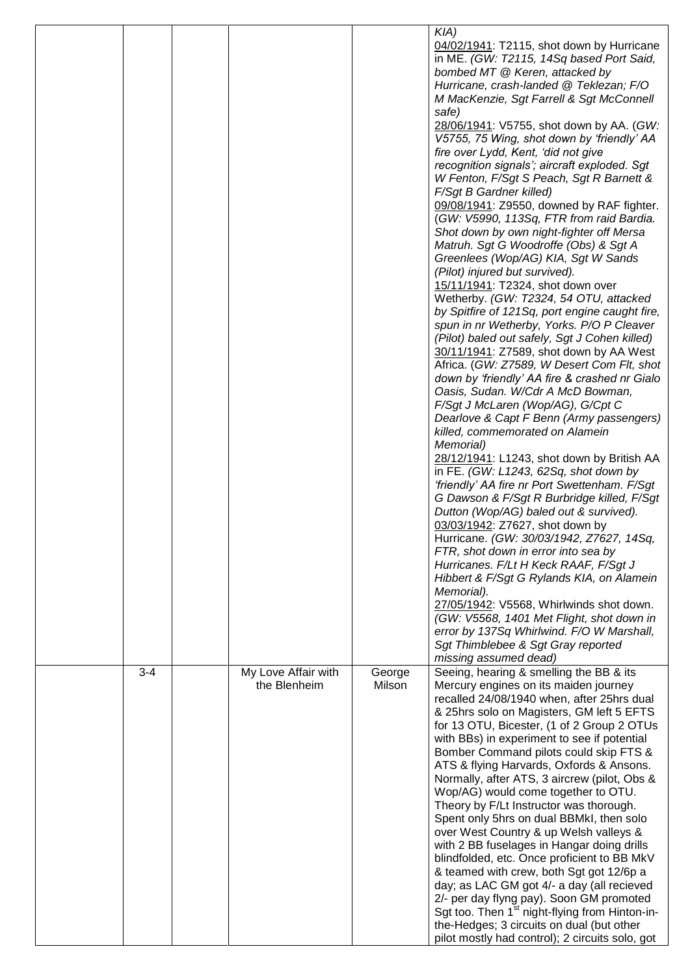|         |                                     |                  | $KIA$ )<br>04/02/1941: T2115, shot down by Hurricane<br>in ME. (GW: T2115, 14Sq based Port Said,<br>bombed MT @ Keren, attacked by<br>Hurricane, crash-landed @ Teklezan; F/O<br>M MacKenzie, Sgt Farrell & Sgt McConnell<br>safe)<br>28/06/1941: V5755, shot down by AA. (GW:<br>V5755, 75 Wing, shot down by 'friendly' AA<br>fire over Lydd, Kent, 'did not give<br>recognition signals'; aircraft exploded. Sgt<br>W Fenton, F/Sgt S Peach, Sgt R Barnett &<br>F/Sgt B Gardner killed)<br>09/08/1941: Z9550, downed by RAF fighter.<br>(GW: V5990, 113Sq, FTR from raid Bardia.<br>Shot down by own night-fighter off Mersa<br>Matruh. Sgt G Woodroffe (Obs) & Sgt A<br>Greenlees (Wop/AG) KIA, Sgt W Sands<br>(Pilot) injured but survived).<br>15/11/1941: T2324, shot down over<br>Wetherby. (GW: T2324, 54 OTU, attacked<br>by Spitfire of 121Sq, port engine caught fire,<br>spun in nr Wetherby, Yorks. P/O P Cleaver<br>(Pilot) baled out safely, Sgt J Cohen killed)<br>30/11/1941: Z7589, shot down by AA West<br>Africa. (GW: Z7589, W Desert Com Flt, shot<br>down by 'friendly' AA fire & crashed nr Gialo<br>Oasis, Sudan. W/Cdr A McD Bowman,<br>F/Sgt J McLaren (Wop/AG), G/Cpt C<br>Dearlove & Capt F Benn (Army passengers)<br>killed, commemorated on Alamein<br>Memorial)<br>28/12/1941: L1243, shot down by British AA<br>in FE. (GW: L1243, 62Sq, shot down by<br>'friendly' AA fire nr Port Swettenham. F/Sgt<br>G Dawson & F/Sgt R Burbridge killed, F/Sgt<br>Dutton (Wop/AG) baled out & survived).<br>03/03/1942: Z7627, shot down by<br>Hurricane. (GW: 30/03/1942, Z7627, 14Sq,<br>FTR, shot down in error into sea by<br>Hurricanes. F/Lt H Keck RAAF, F/Sgt J<br>Hibbert & F/Sgt G Rylands KIA, on Alamein<br>Memorial).<br>27/05/1942: V5568, Whirlwinds shot down.<br>(GW: V5568, 1401 Met Flight, shot down in<br>error by 137Sq Whirlwind. F/O W Marshall,<br>Sgt Thimblebee & Sgt Gray reported |
|---------|-------------------------------------|------------------|---------------------------------------------------------------------------------------------------------------------------------------------------------------------------------------------------------------------------------------------------------------------------------------------------------------------------------------------------------------------------------------------------------------------------------------------------------------------------------------------------------------------------------------------------------------------------------------------------------------------------------------------------------------------------------------------------------------------------------------------------------------------------------------------------------------------------------------------------------------------------------------------------------------------------------------------------------------------------------------------------------------------------------------------------------------------------------------------------------------------------------------------------------------------------------------------------------------------------------------------------------------------------------------------------------------------------------------------------------------------------------------------------------------------------------------------------------------------------------------------------------------------------------------------------------------------------------------------------------------------------------------------------------------------------------------------------------------------------------------------------------------------------------------------------------------------------------------------------------------------------------------------------------------------------------------|
| $3 - 4$ | My Love Affair with<br>the Blenheim | George<br>Milson | missing assumed dead)<br>Seeing, hearing & smelling the BB & its<br>Mercury engines on its maiden journey<br>recalled 24/08/1940 when, after 25hrs dual<br>& 25hrs solo on Magisters, GM left 5 EFTS<br>for 13 OTU, Bicester, (1 of 2 Group 2 OTUs<br>with BBs) in experiment to see if potential<br>Bomber Command pilots could skip FTS &<br>ATS & flying Harvards, Oxfords & Ansons.<br>Normally, after ATS, 3 aircrew (pilot, Obs &<br>Wop/AG) would come together to OTU.<br>Theory by F/Lt Instructor was thorough.<br>Spent only 5hrs on dual BBMkI, then solo<br>over West Country & up Welsh valleys &<br>with 2 BB fuselages in Hangar doing drills<br>blindfolded, etc. Once proficient to BB MkV<br>& teamed with crew, both Sgt got 12/6p a<br>day; as LAC GM got 4/- a day (all recieved<br>2/- per day flyng pay). Soon GM promoted<br>Sgt too. Then 1 <sup>st</sup> night-flying from Hinton-in-<br>the-Hedges; 3 circuits on dual (but other<br>pilot mostly had control); 2 circuits solo, got                                                                                                                                                                                                                                                                                                                                                                                                                                                                                                                                                                                                                                                                                                                                                                                                                                                                                                                      |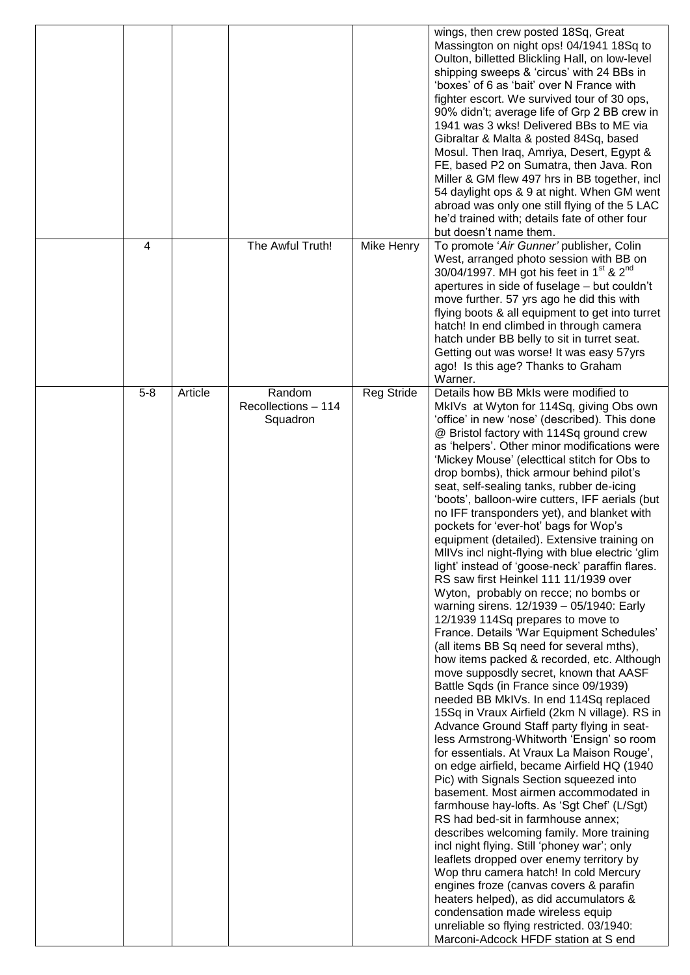|         |         |                                           |                   | wings, then crew posted 18Sq, Great<br>Massington on night ops! 04/1941 18Sq to<br>Oulton, billetted Blickling Hall, on low-level<br>shipping sweeps & 'circus' with 24 BBs in<br>'boxes' of 6 as 'bait' over N France with<br>fighter escort. We survived tour of 30 ops,<br>90% didn't; average life of Grp 2 BB crew in<br>1941 was 3 wks! Delivered BBs to ME via<br>Gibraltar & Malta & posted 84Sq, based<br>Mosul. Then Iraq, Amriya, Desert, Egypt &<br>FE, based P2 on Sumatra, then Java. Ron<br>Miller & GM flew 497 hrs in BB together, incl<br>54 daylight ops & 9 at night. When GM went<br>abroad was only one still flying of the 5 LAC<br>he'd trained with; details fate of other four<br>but doesn't name them.                                                                                                                                                                                                                                                                                                                                                                                                                                                                                                                                                                                                                                                                                                                                                                                                                                                                                                                                                                                                                                                                                                                                                                                           |
|---------|---------|-------------------------------------------|-------------------|------------------------------------------------------------------------------------------------------------------------------------------------------------------------------------------------------------------------------------------------------------------------------------------------------------------------------------------------------------------------------------------------------------------------------------------------------------------------------------------------------------------------------------------------------------------------------------------------------------------------------------------------------------------------------------------------------------------------------------------------------------------------------------------------------------------------------------------------------------------------------------------------------------------------------------------------------------------------------------------------------------------------------------------------------------------------------------------------------------------------------------------------------------------------------------------------------------------------------------------------------------------------------------------------------------------------------------------------------------------------------------------------------------------------------------------------------------------------------------------------------------------------------------------------------------------------------------------------------------------------------------------------------------------------------------------------------------------------------------------------------------------------------------------------------------------------------------------------------------------------------------------------------------------------------|
| 4       |         | The Awful Truth!                          | Mike Henry        | To promote 'Air Gunner' publisher, Colin<br>West, arranged photo session with BB on<br>30/04/1997. MH got his feet in 1 <sup>st</sup> & 2 <sup>nd</sup><br>apertures in side of fuselage - but couldn't<br>move further. 57 yrs ago he did this with<br>flying boots & all equipment to get into turret<br>hatch! In end climbed in through camera<br>hatch under BB belly to sit in turret seat.<br>Getting out was worse! It was easy 57yrs<br>ago! Is this age? Thanks to Graham<br>Warner.                                                                                                                                                                                                                                                                                                                                                                                                                                                                                                                                                                                                                                                                                                                                                                                                                                                                                                                                                                                                                                                                                                                                                                                                                                                                                                                                                                                                                               |
| $5 - 8$ | Article | Random<br>Recollections - 114<br>Squadron | <b>Reg Stride</b> | Details how BB MkIs were modified to<br>MkIVs at Wyton for 114Sq, giving Obs own<br>'office' in new 'nose' (described). This done<br>@ Bristol factory with 114Sq ground crew<br>as 'helpers'. Other minor modifications were<br>'Mickey Mouse' (electtical stitch for Obs to<br>drop bombs), thick armour behind pilot's<br>seat, self-sealing tanks, rubber de-icing<br>'boots', balloon-wire cutters, IFF aerials (but<br>no IFF transponders yet), and blanket with<br>pockets for 'ever-hot' bags for Wop's<br>equipment (detailed). Extensive training on<br>MIIVs incl night-flying with blue electric 'glim<br>light' instead of 'goose-neck' paraffin flares.<br>RS saw first Heinkel 111 11/1939 over<br>Wyton, probably on recce; no bombs or<br>warning sirens. 12/1939 - 05/1940: Early<br>12/1939 114Sq prepares to move to<br>France. Details 'War Equipment Schedules'<br>(all items BB Sq need for several mths),<br>how items packed & recorded, etc. Although<br>move supposdly secret, known that AASF<br>Battle Sqds (in France since 09/1939)<br>needed BB MkIVs. In end 114Sq replaced<br>15Sq in Vraux Airfield (2km N village). RS in<br>Advance Ground Staff party flying in seat-<br>less Armstrong-Whitworth 'Ensign' so room<br>for essentials. At Vraux La Maison Rouge',<br>on edge airfield, became Airfield HQ (1940<br>Pic) with Signals Section squeezed into<br>basement. Most airmen accommodated in<br>farmhouse hay-lofts. As 'Sgt Chef' (L/Sgt)<br>RS had bed-sit in farmhouse annex;<br>describes welcoming family. More training<br>incl night flying. Still 'phoney war'; only<br>leaflets dropped over enemy territory by<br>Wop thru camera hatch! In cold Mercury<br>engines froze (canvas covers & parafin<br>heaters helped), as did accumulators &<br>condensation made wireless equip<br>unreliable so flying restricted. 03/1940:<br>Marconi-Adcock HFDF station at S end |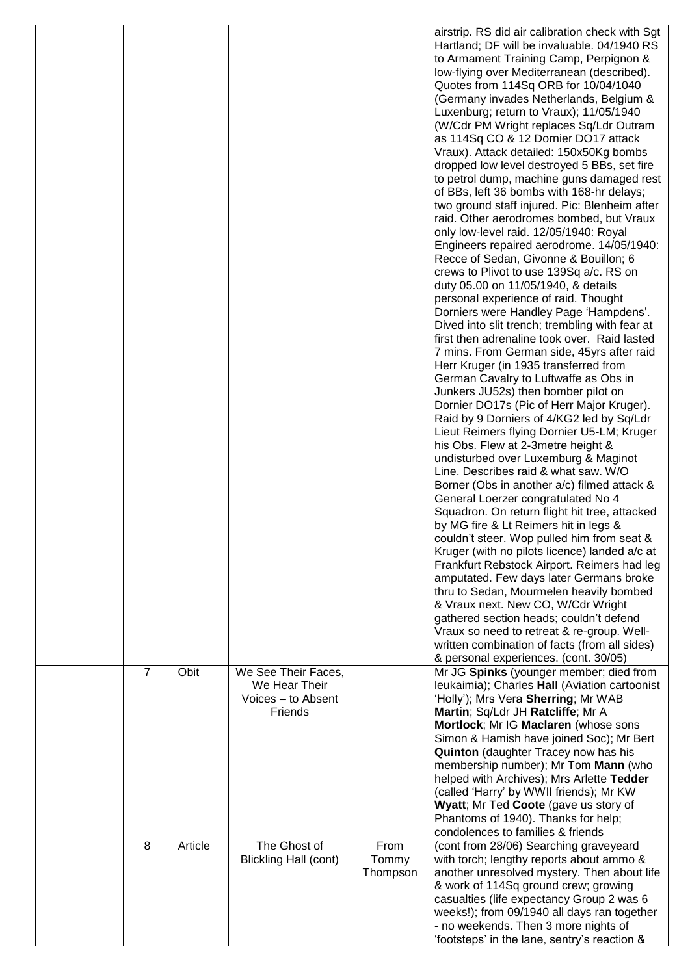|                |         |                                                                       |                           | airstrip. RS did air calibration check with Sgt<br>Hartland; DF will be invaluable. 04/1940 RS<br>to Armament Training Camp, Perpignon &<br>low-flying over Mediterranean (described).<br>Quotes from 114Sq ORB for 10/04/1040<br>(Germany invades Netherlands, Belgium &<br>Luxenburg; return to Vraux); 11/05/1940<br>(W/Cdr PM Wright replaces Sq/Ldr Outram<br>as 114Sq CO & 12 Dornier DO17 attack<br>Vraux). Attack detailed: 150x50Kg bombs<br>dropped low level destroyed 5 BBs, set fire<br>to petrol dump, machine guns damaged rest<br>of BBs, left 36 bombs with 168-hr delays;<br>two ground staff injured. Pic: Blenheim after<br>raid. Other aerodromes bombed, but Vraux<br>only low-level raid. 12/05/1940: Royal<br>Engineers repaired aerodrome. 14/05/1940:<br>Recce of Sedan, Givonne & Bouillon; 6<br>crews to Plivot to use 139Sq a/c. RS on<br>duty 05.00 on 11/05/1940, & details<br>personal experience of raid. Thought                                                                                                                                                                                                                                                                        |
|----------------|---------|-----------------------------------------------------------------------|---------------------------|---------------------------------------------------------------------------------------------------------------------------------------------------------------------------------------------------------------------------------------------------------------------------------------------------------------------------------------------------------------------------------------------------------------------------------------------------------------------------------------------------------------------------------------------------------------------------------------------------------------------------------------------------------------------------------------------------------------------------------------------------------------------------------------------------------------------------------------------------------------------------------------------------------------------------------------------------------------------------------------------------------------------------------------------------------------------------------------------------------------------------------------------------------------------------------------------------------------------------|
|                |         |                                                                       |                           | Dorniers were Handley Page 'Hampdens'.<br>Dived into slit trench; trembling with fear at<br>first then adrenaline took over. Raid lasted<br>7 mins. From German side, 45yrs after raid<br>Herr Kruger (in 1935 transferred from<br>German Cavalry to Luftwaffe as Obs in<br>Junkers JU52s) then bomber pilot on<br>Dornier DO17s (Pic of Herr Major Kruger).<br>Raid by 9 Dorniers of 4/KG2 led by Sq/Ldr<br>Lieut Reimers flying Dornier U5-LM; Kruger<br>his Obs. Flew at 2-3metre height &<br>undisturbed over Luxemburg & Maginot<br>Line. Describes raid & what saw. W/O<br>Borner (Obs in another a/c) filmed attack &<br>General Loerzer congratulated No 4<br>Squadron. On return flight hit tree, attacked<br>by MG fire & Lt Reimers hit in legs &<br>couldn't steer. Wop pulled him from seat &<br>Kruger (with no pilots licence) landed a/c at<br>Frankfurt Rebstock Airport. Reimers had leg<br>amputated. Few days later Germans broke<br>thru to Sedan, Mourmelen heavily bombed<br>& Vraux next. New CO, W/Cdr Wright<br>gathered section heads; couldn't defend<br>Vraux so need to retreat & re-group. Well-<br>written combination of facts (from all sides)<br>& personal experiences. (cont. 30/05) |
| $\overline{7}$ | Obit    | We See Their Faces,<br>We Hear Their<br>Voices - to Absent<br>Friends |                           | Mr JG Spinks (younger member; died from<br>leukaimia); Charles Hall (Aviation cartoonist<br>'Holly'); Mrs Vera Sherring; Mr WAB<br>Martin; Sq/Ldr JH Ratcliffe; Mr A<br>Mortlock; Mr IG Maclaren (whose sons<br>Simon & Hamish have joined Soc); Mr Bert<br><b>Quinton</b> (daughter Tracey now has his<br>membership number); Mr Tom Mann (who<br>helped with Archives); Mrs Arlette Tedder<br>(called 'Harry' by WWII friends); Mr KW<br>Wyatt; Mr Ted Coote (gave us story of<br>Phantoms of 1940). Thanks for help;<br>condolences to families & friends                                                                                                                                                                                                                                                                                                                                                                                                                                                                                                                                                                                                                                                              |
| 8              | Article | The Ghost of<br><b>Blickling Hall (cont)</b>                          | From<br>Tommy<br>Thompson | (cont from 28/06) Searching graveyeard<br>with torch; lengthy reports about ammo &<br>another unresolved mystery. Then about life<br>& work of 114Sq ground crew; growing<br>casualties (life expectancy Group 2 was 6<br>weeks!); from 09/1940 all days ran together<br>- no weekends. Then 3 more nights of<br>'footsteps' in the lane, sentry's reaction &                                                                                                                                                                                                                                                                                                                                                                                                                                                                                                                                                                                                                                                                                                                                                                                                                                                             |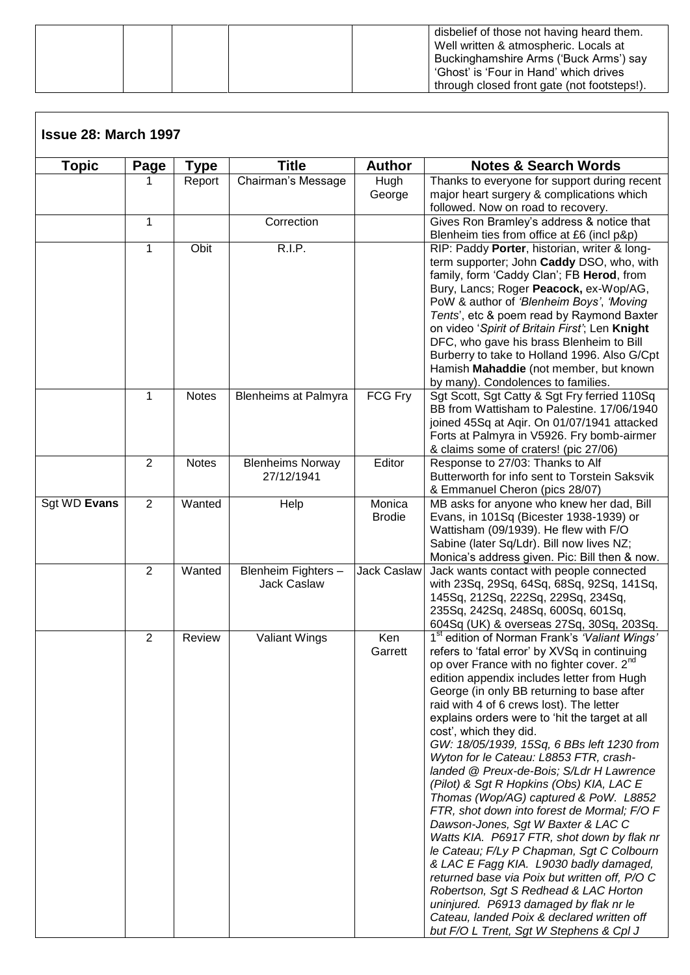|  | disbelief of those not having heard them.<br>Well written & atmospheric. Locals at<br>Buckinghamshire Arms ('Buck Arms') say<br>'Ghost' is 'Four in Hand' which drives |
|--|------------------------------------------------------------------------------------------------------------------------------------------------------------------------|
|  | through closed front gate (not footsteps!).                                                                                                                            |

| <b>Topic</b> | Page           | Type         | <b>Title</b>                          | <b>Author</b>           | <b>Notes &amp; Search Words</b>                                                                                                                                                                                                                                                                                                                                                                                                                                                                                                                                                                                                                                                                                                                                                                                                                                                                                                                                                                                                                                         |
|--------------|----------------|--------------|---------------------------------------|-------------------------|-------------------------------------------------------------------------------------------------------------------------------------------------------------------------------------------------------------------------------------------------------------------------------------------------------------------------------------------------------------------------------------------------------------------------------------------------------------------------------------------------------------------------------------------------------------------------------------------------------------------------------------------------------------------------------------------------------------------------------------------------------------------------------------------------------------------------------------------------------------------------------------------------------------------------------------------------------------------------------------------------------------------------------------------------------------------------|
|              |                | Report       | Chairman's Message                    | Hugh<br>George          | Thanks to everyone for support during recent<br>major heart surgery & complications which<br>followed. Now on road to recovery.                                                                                                                                                                                                                                                                                                                                                                                                                                                                                                                                                                                                                                                                                                                                                                                                                                                                                                                                         |
|              | $\mathbf{1}$   |              | Correction                            |                         | Gives Ron Bramley's address & notice that<br>Blenheim ties from office at £6 (incl p&p)                                                                                                                                                                                                                                                                                                                                                                                                                                                                                                                                                                                                                                                                                                                                                                                                                                                                                                                                                                                 |
|              | 1              | Obit         | R.I.P.                                |                         | RIP: Paddy Porter, historian, writer & long-<br>term supporter; John Caddy DSO, who, with<br>family, form 'Caddy Clan'; FB Herod, from<br>Bury, Lancs; Roger Peacock, ex-Wop/AG,<br>PoW & author of 'Blenheim Boys', 'Moving<br>Tents', etc & poem read by Raymond Baxter<br>on video 'Spirit of Britain First'; Len Knight<br>DFC, who gave his brass Blenheim to Bill<br>Burberry to take to Holland 1996. Also G/Cpt<br>Hamish Mahaddie (not member, but known<br>by many). Condolences to families.                                                                                                                                                                                                                                                                                                                                                                                                                                                                                                                                                                 |
|              | $\mathbf{1}$   | <b>Notes</b> | <b>Blenheims at Palmyra</b>           | FCG Fry                 | Sgt Scott, Sgt Catty & Sgt Fry ferried 110Sq<br>BB from Wattisham to Palestine. 17/06/1940<br>joined 45Sq at Aqir. On 01/07/1941 attacked<br>Forts at Palmyra in V5926. Fry bomb-airmer<br>& claims some of craters! (pic 27/06)                                                                                                                                                                                                                                                                                                                                                                                                                                                                                                                                                                                                                                                                                                                                                                                                                                        |
|              | $\overline{2}$ | <b>Notes</b> | <b>Blenheims Norway</b><br>27/12/1941 | Editor                  | Response to 27/03: Thanks to Alf<br>Butterworth for info sent to Torstein Saksvik<br>& Emmanuel Cheron (pics 28/07)                                                                                                                                                                                                                                                                                                                                                                                                                                                                                                                                                                                                                                                                                                                                                                                                                                                                                                                                                     |
| Sgt WD Evans | $\overline{2}$ | Wanted       | Help                                  | Monica<br><b>Brodie</b> | MB asks for anyone who knew her dad, Bill<br>Evans, in 101Sq (Bicester 1938-1939) or<br>Wattisham (09/1939). He flew with F/O<br>Sabine (later Sq/Ldr). Bill now lives NZ;<br>Monica's address given. Pic: Bill then & now.                                                                                                                                                                                                                                                                                                                                                                                                                                                                                                                                                                                                                                                                                                                                                                                                                                             |
|              | $\overline{2}$ | Wanted       | Blenheim Fighters-<br>Jack Caslaw     | <b>Jack Caslaw</b>      | Jack wants contact with people connected<br>with 23Sq, 29Sq, 64Sq, 68Sq, 92Sq, 141Sq,<br>145Sq, 212Sq, 222Sq, 229Sq, 234Sq,<br>235Sq, 242Sq, 248Sq, 600Sq, 601Sq,<br>604Sq (UK) & overseas 27Sq, 30Sq, 203Sq.                                                                                                                                                                                                                                                                                                                                                                                                                                                                                                                                                                                                                                                                                                                                                                                                                                                           |
|              | $\overline{2}$ | Review       | <b>Valiant Wings</b>                  | Ken<br>Garrett          | 1 <sup>st</sup> edition of Norman Frank's 'Valiant Wings'<br>refers to 'fatal error' by XVSq in continuing<br>op over France with no fighter cover. 2 <sup>nd</sup><br>edition appendix includes letter from Hugh<br>George (in only BB returning to base after<br>raid with 4 of 6 crews lost). The letter<br>explains orders were to 'hit the target at all<br>cost', which they did.<br>GW: 18/05/1939, 15Sq, 6 BBs left 1230 from<br>Wyton for le Cateau: L8853 FTR, crash-<br>landed @ Preux-de-Bois; S/Ldr H Lawrence<br>(Pilot) & Sgt R Hopkins (Obs) KIA, LAC E<br>Thomas (Wop/AG) captured & PoW. L8852<br>FTR, shot down into forest de Mormal; F/O F<br>Dawson-Jones, Sgt W Baxter & LAC C<br>Watts KIA. P6917 FTR, shot down by flak nr<br>le Cateau; F/Ly P Chapman, Sgt C Colbourn<br>& LAC E Fagg KIA. L9030 badly damaged,<br>returned base via Poix but written off, P/O C<br>Robertson, Sgt S Redhead & LAC Horton<br>uninjured. P6913 damaged by flak nr le<br>Cateau, landed Poix & declared written off<br>but F/O L Trent, Sgt W Stephens & Cpl J |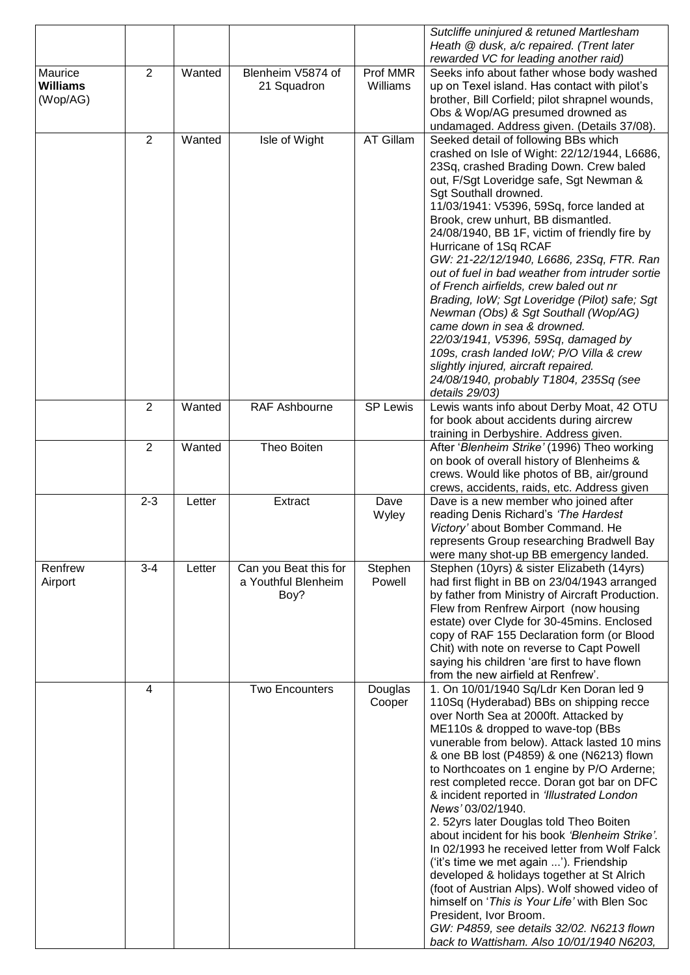|                                        |         |        |                                                      |                      | Sutcliffe uninjured & retuned Martlesham<br>Heath @ dusk, a/c repaired. (Trent later                                                                                                                                                                                                                                                                                                                                                                                                                                                                                                                                                                                                                                                                                                                                                                                                     |
|----------------------------------------|---------|--------|------------------------------------------------------|----------------------|------------------------------------------------------------------------------------------------------------------------------------------------------------------------------------------------------------------------------------------------------------------------------------------------------------------------------------------------------------------------------------------------------------------------------------------------------------------------------------------------------------------------------------------------------------------------------------------------------------------------------------------------------------------------------------------------------------------------------------------------------------------------------------------------------------------------------------------------------------------------------------------|
|                                        |         |        |                                                      |                      | rewarded VC for leading another raid)                                                                                                                                                                                                                                                                                                                                                                                                                                                                                                                                                                                                                                                                                                                                                                                                                                                    |
| Maurice<br><b>Williams</b><br>(Wop/AG) | 2       | Wanted | Blenheim V5874 of<br>21 Squadron                     | Prof MMR<br>Williams | Seeks info about father whose body washed<br>up on Texel island. Has contact with pilot's<br>brother, Bill Corfield; pilot shrapnel wounds,<br>Obs & Wop/AG presumed drowned as<br>undamaged. Address given. (Details 37/08).                                                                                                                                                                                                                                                                                                                                                                                                                                                                                                                                                                                                                                                            |
|                                        | 2       | Wanted | Isle of Wight                                        | AT Gillam            | Seeked detail of following BBs which<br>crashed on Isle of Wight: 22/12/1944, L6686,<br>23Sq, crashed Brading Down. Crew baled<br>out, F/Sgt Loveridge safe, Sgt Newman &<br>Sgt Southall drowned.<br>11/03/1941: V5396, 59Sq, force landed at<br>Brook, crew unhurt, BB dismantled.<br>24/08/1940, BB 1F, victim of friendly fire by<br>Hurricane of 1Sq RCAF<br>GW: 21-22/12/1940, L6686, 23Sq, FTR. Ran<br>out of fuel in bad weather from intruder sortie<br>of French airfields, crew baled out nr<br>Brading, IoW; Sgt Loveridge (Pilot) safe; Sgt<br>Newman (Obs) & Sgt Southall (Wop/AG)<br>came down in sea & drowned.<br>22/03/1941, V5396, 59Sq, damaged by<br>109s, crash landed IoW; P/O Villa & crew<br>slightly injured, aircraft repaired.<br>24/08/1940, probably T1804, 235Sq (see<br>details 29/03)                                                                   |
|                                        | 2       | Wanted | RAF Ashbourne                                        | <b>SP Lewis</b>      | Lewis wants info about Derby Moat, 42 OTU<br>for book about accidents during aircrew<br>training in Derbyshire. Address given.                                                                                                                                                                                                                                                                                                                                                                                                                                                                                                                                                                                                                                                                                                                                                           |
|                                        | 2       | Wanted | Theo Boiten                                          |                      | After 'Blenheim Strike' (1996) Theo working<br>on book of overall history of Blenheims &<br>crews. Would like photos of BB, air/ground<br>crews, accidents, raids, etc. Address given                                                                                                                                                                                                                                                                                                                                                                                                                                                                                                                                                                                                                                                                                                    |
|                                        | $2 - 3$ | Letter | Extract                                              | Dave<br>Wyley        | Dave is a new member who joined after<br>reading Denis Richard's 'The Hardest<br>Victory' about Bomber Command. He<br>represents Group researching Bradwell Bay<br>were many shot-up BB emergency landed.                                                                                                                                                                                                                                                                                                                                                                                                                                                                                                                                                                                                                                                                                |
| Renfrew<br>Airport                     | $3 - 4$ | Letter | Can you Beat this for<br>a Youthful Blenheim<br>Boy? | Stephen<br>Powell    | Stephen (10yrs) & sister Elizabeth (14yrs)<br>had first flight in BB on 23/04/1943 arranged<br>by father from Ministry of Aircraft Production.<br>Flew from Renfrew Airport (now housing<br>estate) over Clyde for 30-45mins. Enclosed<br>copy of RAF 155 Declaration form (or Blood<br>Chit) with note on reverse to Capt Powell<br>saying his children 'are first to have flown<br>from the new airfield at Renfrew'.                                                                                                                                                                                                                                                                                                                                                                                                                                                                  |
|                                        | 4       |        | <b>Two Encounters</b>                                | Douglas<br>Cooper    | 1. On 10/01/1940 Sq/Ldr Ken Doran led 9<br>110Sq (Hyderabad) BBs on shipping recce<br>over North Sea at 2000ft. Attacked by<br>ME110s & dropped to wave-top (BBs<br>vunerable from below). Attack lasted 10 mins<br>& one BB lost (P4859) & one (N6213) flown<br>to Northcoates on 1 engine by P/O Arderne;<br>rest completed recce. Doran got bar on DFC<br>& incident reported in 'Illustrated London<br>News' 03/02/1940.<br>2. 52yrs later Douglas told Theo Boiten<br>about incident for his book 'Blenheim Strike'.<br>In 02/1993 he received letter from Wolf Falck<br>('it's time we met again '). Friendship<br>developed & holidays together at St Alrich<br>(foot of Austrian Alps). Wolf showed video of<br>himself on 'This is Your Life' with Blen Soc<br>President, Ivor Broom.<br>GW: P4859, see details 32/02. N6213 flown<br>back to Wattisham. Also 10/01/1940 N6203, |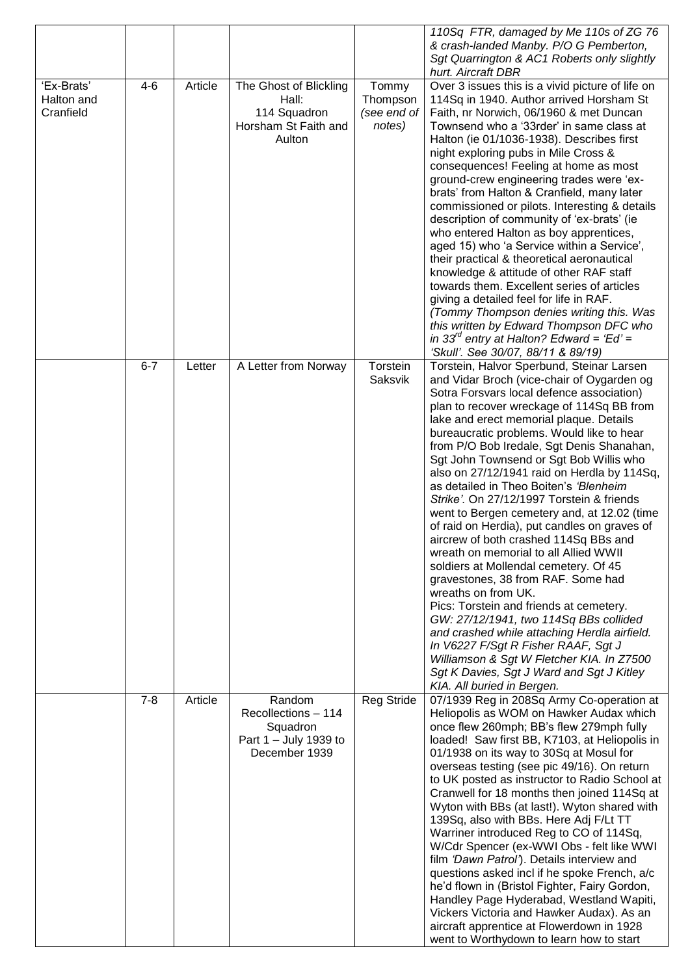|                                       |         |         |                                                                                     |                                            | 110Sq FTR, damaged by Me 110s of ZG 76<br>& crash-landed Manby. P/O G Pemberton,<br>Sgt Quarrington & AC1 Roberts only slightly                                                                                                                                                                                                                                                                                                                                                                                                                                                                                                                                                                                                                                                                                                                                                                                                                                                                                                                                                                    |
|---------------------------------------|---------|---------|-------------------------------------------------------------------------------------|--------------------------------------------|----------------------------------------------------------------------------------------------------------------------------------------------------------------------------------------------------------------------------------------------------------------------------------------------------------------------------------------------------------------------------------------------------------------------------------------------------------------------------------------------------------------------------------------------------------------------------------------------------------------------------------------------------------------------------------------------------------------------------------------------------------------------------------------------------------------------------------------------------------------------------------------------------------------------------------------------------------------------------------------------------------------------------------------------------------------------------------------------------|
| 'Ex-Brats'<br>Halton and<br>Cranfield | $4-6$   | Article | The Ghost of Blickling<br>Hall:<br>114 Squadron<br>Horsham St Faith and<br>Aulton   | Tommy<br>Thompson<br>(see end of<br>notes) | hurt. Aircraft DBR<br>Over 3 issues this is a vivid picture of life on<br>114Sq in 1940. Author arrived Horsham St<br>Faith, nr Norwich, 06/1960 & met Duncan<br>Townsend who a '33rder' in same class at<br>Halton (ie 01/1036-1938). Describes first<br>night exploring pubs in Mile Cross &<br>consequences! Feeling at home as most<br>ground-crew engineering trades were 'ex-<br>brats' from Halton & Cranfield, many later<br>commissioned or pilots. Interesting & details<br>description of community of 'ex-brats' (ie<br>who entered Halton as boy apprentices,<br>aged 15) who 'a Service within a Service',<br>their practical & theoretical aeronautical<br>knowledge & attitude of other RAF staff<br>towards them. Excellent series of articles<br>giving a detailed feel for life in RAF.<br>(Tommy Thompson denies writing this. Was<br>this written by Edward Thompson DFC who<br>in 33 $^{\prime\prime}$ entry at Halton? Edward = 'Ed' =<br>'Skull'. See 30/07, 88/11 & 89/19)                                                                                                |
|                                       | $6 - 7$ | Letter  | A Letter from Norway                                                                | Torstein<br>Saksvik                        | Torstein, Halvor Sperbund, Steinar Larsen<br>and Vidar Broch (vice-chair of Oygarden og<br>Sotra Forsvars local defence association)<br>plan to recover wreckage of 114Sq BB from<br>lake and erect memorial plaque. Details<br>bureaucratic problems. Would like to hear<br>from P/O Bob Iredale, Sgt Denis Shanahan,<br>Sgt John Townsend or Sgt Bob Willis who<br>also on 27/12/1941 raid on Herdla by 114Sq,<br>as detailed in Theo Boiten's 'Blenheim<br>Strike'. On 27/12/1997 Torstein & friends<br>went to Bergen cemetery and, at 12.02 (time<br>of raid on Herdia), put candles on graves of<br>aircrew of both crashed 114Sq BBs and<br>wreath on memorial to all Allied WWII<br>soldiers at Mollendal cemetery. Of 45<br>gravestones, 38 from RAF. Some had<br>wreaths on from UK.<br>Pics: Torstein and friends at cemetery.<br>GW: 27/12/1941, two 114Sq BBs collided<br>and crashed while attaching Herdla airfield.<br>In V6227 F/Sgt R Fisher RAAF, Sgt J<br>Williamson & Sgt W Fletcher KIA. In Z7500<br>Sgt K Davies, Sgt J Ward and Sgt J Kitley<br>KIA. All buried in Bergen. |
|                                       | $7 - 8$ | Article | Random<br>Recollections - 114<br>Squadron<br>Part 1 - July 1939 to<br>December 1939 | <b>Reg Stride</b>                          | 07/1939 Reg in 208Sq Army Co-operation at<br>Heliopolis as WOM on Hawker Audax which<br>once flew 260mph; BB's flew 279mph fully<br>loaded! Saw first BB, K7103, at Heliopolis in<br>01/1938 on its way to 30Sq at Mosul for<br>overseas testing (see pic 49/16). On return<br>to UK posted as instructor to Radio School at<br>Cranwell for 18 months then joined 114Sq at<br>Wyton with BBs (at last!). Wyton shared with<br>139Sq, also with BBs. Here Adj F/Lt TT<br>Warriner introduced Reg to CO of 114Sq,<br>W/Cdr Spencer (ex-WWI Obs - felt like WWI<br>film 'Dawn Patrol'). Details interview and<br>questions asked incl if he spoke French, a/c<br>he'd flown in (Bristol Fighter, Fairy Gordon,<br>Handley Page Hyderabad, Westland Wapiti,<br>Vickers Victoria and Hawker Audax). As an<br>aircraft apprentice at Flowerdown in 1928<br>went to Worthydown to learn how to start                                                                                                                                                                                                     |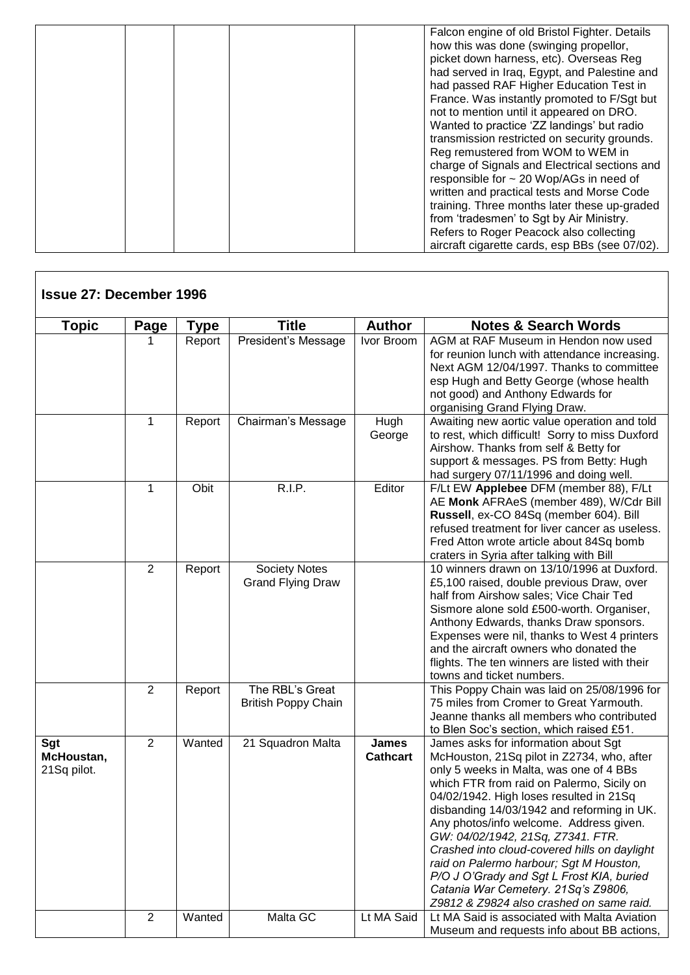|  | Falcon engine of old Bristol Fighter. Details<br>how this was done (swinging propellor,<br>picket down harness, etc). Overseas Reg<br>had served in Iraq, Egypt, and Palestine and<br>had passed RAF Higher Education Test in<br>France. Was instantly promoted to F/Sgt but<br>not to mention until it appeared on DRO.<br>Wanted to practice 'ZZ landings' but radio<br>transmission restricted on security grounds.<br>Reg remustered from WOM to WEM in<br>charge of Signals and Electrical sections and<br>responsible for ~ 20 Wop/AGs in need of<br>written and practical tests and Morse Code |
|--|-------------------------------------------------------------------------------------------------------------------------------------------------------------------------------------------------------------------------------------------------------------------------------------------------------------------------------------------------------------------------------------------------------------------------------------------------------------------------------------------------------------------------------------------------------------------------------------------------------|
|--|-------------------------------------------------------------------------------------------------------------------------------------------------------------------------------------------------------------------------------------------------------------------------------------------------------------------------------------------------------------------------------------------------------------------------------------------------------------------------------------------------------------------------------------------------------------------------------------------------------|

| <b>Topic</b>                     | Page           | <b>Type</b> | <b>Title</b>                                  | <b>Author</b>                   | <b>Notes &amp; Search Words</b>                                                                                                                                                                                                                                                                                                                                                                                                                                                                                                                                                |
|----------------------------------|----------------|-------------|-----------------------------------------------|---------------------------------|--------------------------------------------------------------------------------------------------------------------------------------------------------------------------------------------------------------------------------------------------------------------------------------------------------------------------------------------------------------------------------------------------------------------------------------------------------------------------------------------------------------------------------------------------------------------------------|
|                                  |                | Report      | President's Message                           | Ivor Broom                      | AGM at RAF Museum in Hendon now used<br>for reunion lunch with attendance increasing.<br>Next AGM 12/04/1997. Thanks to committee<br>esp Hugh and Betty George (whose health<br>not good) and Anthony Edwards for<br>organising Grand Flying Draw.                                                                                                                                                                                                                                                                                                                             |
|                                  | 1              | Report      | Chairman's Message                            | Hugh<br>George                  | Awaiting new aortic value operation and told<br>to rest, which difficult! Sorry to miss Duxford<br>Airshow. Thanks from self & Betty for<br>support & messages. PS from Betty: Hugh<br>had surgery 07/11/1996 and doing well.                                                                                                                                                                                                                                                                                                                                                  |
|                                  | 1              | Obit        | <b>R.I.P.</b>                                 | Editor                          | F/Lt EW Applebee DFM (member 88), F/Lt<br>AE Monk AFRAeS (member 489), W/Cdr Bill<br>Russell, ex-CO 84Sq (member 604). Bill<br>refused treatment for liver cancer as useless.<br>Fred Atton wrote article about 84Sq bomb<br>craters in Syria after talking with Bill                                                                                                                                                                                                                                                                                                          |
|                                  | 2              | Report      | Society Notes<br><b>Grand Flying Draw</b>     |                                 | 10 winners drawn on 13/10/1996 at Duxford.<br>£5,100 raised, double previous Draw, over<br>half from Airshow sales; Vice Chair Ted<br>Sismore alone sold £500-worth. Organiser,<br>Anthony Edwards, thanks Draw sponsors.<br>Expenses were nil, thanks to West 4 printers<br>and the aircraft owners who donated the<br>flights. The ten winners are listed with their<br>towns and ticket numbers.                                                                                                                                                                            |
|                                  | $\overline{2}$ | Report      | The RBL's Great<br><b>British Poppy Chain</b> |                                 | This Poppy Chain was laid on 25/08/1996 for<br>75 miles from Cromer to Great Yarmouth.<br>Jeanne thanks all members who contributed<br>to Blen Soc's section, which raised £51.                                                                                                                                                                                                                                                                                                                                                                                                |
| Sgt<br>McHoustan,<br>21Sq pilot. | $\overline{2}$ | Wanted      | 21 Squadron Malta                             | <b>James</b><br><b>Cathcart</b> | James asks for information about Sgt<br>McHouston, 21Sq pilot in Z2734, who, after<br>only 5 weeks in Malta, was one of 4 BBs<br>which FTR from raid on Palermo, Sicily on<br>04/02/1942. High loses resulted in 21Sq<br>disbanding 14/03/1942 and reforming in UK.<br>Any photos/info welcome. Address given.<br>GW: 04/02/1942, 21Sq, Z7341. FTR.<br>Crashed into cloud-covered hills on daylight<br>raid on Palermo harbour; Sgt M Houston,<br>P/O J O'Grady and Sgt L Frost KIA, buried<br>Catania War Cemetery. 21Sq's Z9806,<br>Z9812 & Z9824 also crashed on same raid. |
|                                  | $\overline{2}$ | Wanted      | Malta GC                                      | Lt MA Said                      | Lt MA Said is associated with Malta Aviation<br>Museum and requests info about BB actions,                                                                                                                                                                                                                                                                                                                                                                                                                                                                                     |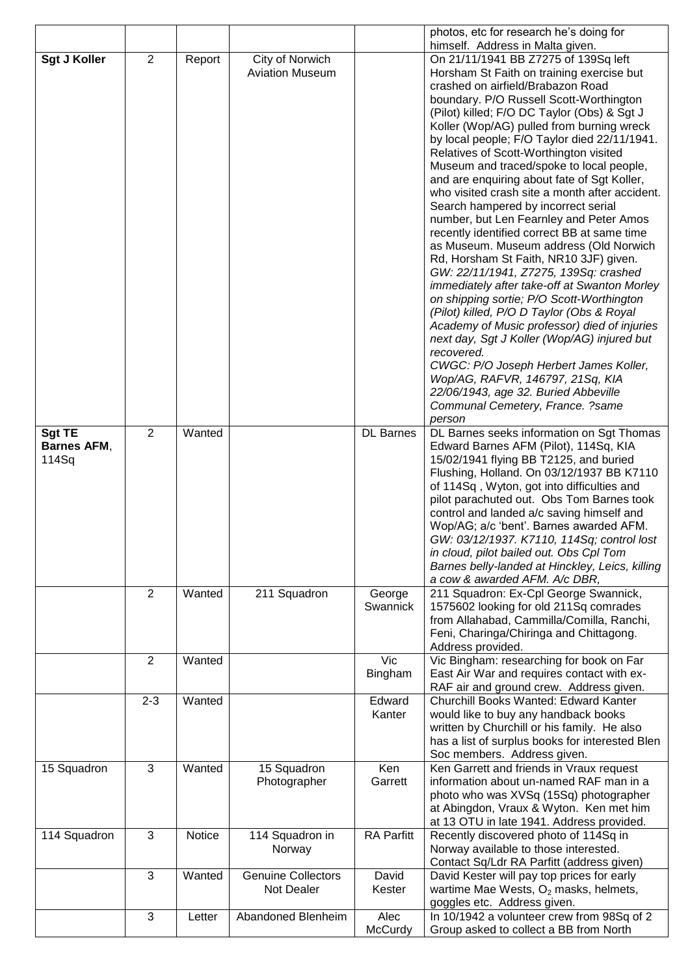|                     |                |        |                                           |                   | photos, etc for research he's doing for                                                 |
|---------------------|----------------|--------|-------------------------------------------|-------------------|-----------------------------------------------------------------------------------------|
|                     | $\overline{2}$ |        |                                           |                   | himself. Address in Malta given.                                                        |
| <b>Sgt J Koller</b> |                | Report | City of Norwich<br><b>Aviation Museum</b> |                   | On 21/11/1941 BB Z7275 of 139Sq left<br>Horsham St Faith on training exercise but       |
|                     |                |        |                                           |                   | crashed on airfield/Brabazon Road                                                       |
|                     |                |        |                                           |                   | boundary. P/O Russell Scott-Worthington                                                 |
|                     |                |        |                                           |                   | (Pilot) killed; F/O DC Taylor (Obs) & Sgt J                                             |
|                     |                |        |                                           |                   | Koller (Wop/AG) pulled from burning wreck                                               |
|                     |                |        |                                           |                   | by local people; F/O Taylor died 22/11/1941.                                            |
|                     |                |        |                                           |                   | Relatives of Scott-Worthington visited                                                  |
|                     |                |        |                                           |                   | Museum and traced/spoke to local people,                                                |
|                     |                |        |                                           |                   | and are enquiring about fate of Sgt Koller,                                             |
|                     |                |        |                                           |                   | who visited crash site a month after accident.<br>Search hampered by incorrect serial   |
|                     |                |        |                                           |                   | number, but Len Fearnley and Peter Amos                                                 |
|                     |                |        |                                           |                   | recently identified correct BB at same time                                             |
|                     |                |        |                                           |                   | as Museum. Museum address (Old Norwich                                                  |
|                     |                |        |                                           |                   | Rd, Horsham St Faith, NR10 3JF) given.                                                  |
|                     |                |        |                                           |                   | GW: 22/11/1941, Z7275, 139Sq: crashed                                                   |
|                     |                |        |                                           |                   | immediately after take-off at Swanton Morley                                            |
|                     |                |        |                                           |                   | on shipping sortie; P/O Scott-Worthington                                               |
|                     |                |        |                                           |                   | (Pilot) killed, P/O D Taylor (Obs & Royal                                               |
|                     |                |        |                                           |                   | Academy of Music professor) died of injuries                                            |
|                     |                |        |                                           |                   | next day, Sgt J Koller (Wop/AG) injured but<br>recovered.                               |
|                     |                |        |                                           |                   | CWGC: P/O Joseph Herbert James Koller,                                                  |
|                     |                |        |                                           |                   | Wop/AG, RAFVR, 146797, 21Sq, KIA                                                        |
|                     |                |        |                                           |                   | 22/06/1943, age 32. Buried Abbeville                                                    |
|                     |                |        |                                           |                   | Communal Cemetery, France. ?same                                                        |
|                     |                |        |                                           |                   | person                                                                                  |
| <b>Sgt TE</b>       | $\overline{2}$ | Wanted |                                           | <b>DL</b> Barnes  | DL Barnes seeks information on Sgt Thomas                                               |
| <b>Barnes AFM,</b>  |                |        |                                           |                   | Edward Barnes AFM (Pilot), 114Sq, KIA                                                   |
| 114Sq               |                |        |                                           |                   | 15/02/1941 flying BB T2125, and buried                                                  |
|                     |                |        |                                           |                   | Flushing, Holland. On 03/12/1937 BB K7110                                               |
|                     |                |        |                                           |                   | of 114Sq, Wyton, got into difficulties and<br>pilot parachuted out. Obs Tom Barnes took |
|                     |                |        |                                           |                   | control and landed a/c saving himself and                                               |
|                     |                |        |                                           |                   | Wop/AG; a/c 'bent'. Barnes awarded AFM.                                                 |
|                     |                |        |                                           |                   | GW: 03/12/1937. K7110, 114Sq; control lost                                              |
|                     |                |        |                                           |                   | in cloud, pilot bailed out. Obs Cpl Tom                                                 |
|                     |                |        |                                           |                   | Barnes belly-landed at Hinckley, Leics, killing                                         |
|                     |                |        |                                           |                   | a cow & awarded AFM. A/c DBR,                                                           |
|                     | $\overline{2}$ | Wanted | 211 Squadron                              | George            | 211 Squadron: Ex-Cpl George Swannick,                                                   |
|                     |                |        |                                           | Swannick          | 1575602 looking for old 211Sq comrades<br>from Allahabad, Cammilla/Comilla, Ranchi,     |
|                     |                |        |                                           |                   | Feni, Charinga/Chiringa and Chittagong.                                                 |
|                     |                |        |                                           |                   | Address provided.                                                                       |
|                     | $\overline{2}$ | Wanted |                                           | Vic               | Vic Bingham: researching for book on Far                                                |
|                     |                |        |                                           | Bingham           | East Air War and requires contact with ex-                                              |
|                     |                |        |                                           |                   | RAF air and ground crew. Address given.                                                 |
|                     | $2 - 3$        | Wanted |                                           | Edward            | Churchill Books Wanted: Edward Kanter                                                   |
|                     |                |        |                                           | Kanter            | would like to buy any handback books                                                    |
|                     |                |        |                                           |                   | written by Churchill or his family. He also                                             |
|                     |                |        |                                           |                   | has a list of surplus books for interested Blen<br>Soc members. Address given.          |
| 15 Squadron         | $\mathbf{3}$   | Wanted | 15 Squadron                               | Ken               | Ken Garrett and friends in Vraux request                                                |
|                     |                |        | Photographer                              | Garrett           | information about un-named RAF man in a                                                 |
|                     |                |        |                                           |                   | photo who was XVSq (15Sq) photographer                                                  |
|                     |                |        |                                           |                   | at Abingdon, Vraux & Wyton. Ken met him                                                 |
|                     |                |        |                                           |                   | at 13 OTU in late 1941. Address provided.                                               |
| 114 Squadron        | 3              | Notice | 114 Squadron in                           | <b>RA Parfitt</b> | Recently discovered photo of 114Sq in                                                   |
|                     |                |        | Norway                                    |                   | Norway available to those interested.                                                   |
|                     |                |        |                                           |                   | Contact Sq/Ldr RA Parfitt (address given)                                               |
|                     | 3              | Wanted | <b>Genuine Collectors</b>                 | David             | David Kester will pay top prices for early                                              |
|                     |                |        | Not Dealer                                | Kester            | wartime Mae Wests, $O_2$ masks, helmets,                                                |
|                     | 3              |        |                                           | Alec              | goggles etc. Address given.                                                             |
|                     |                | Letter | Abandoned Blenheim                        | McCurdy           | In 10/1942 a volunteer crew from 98Sq of 2<br>Group asked to collect a BB from North    |
|                     |                |        |                                           |                   |                                                                                         |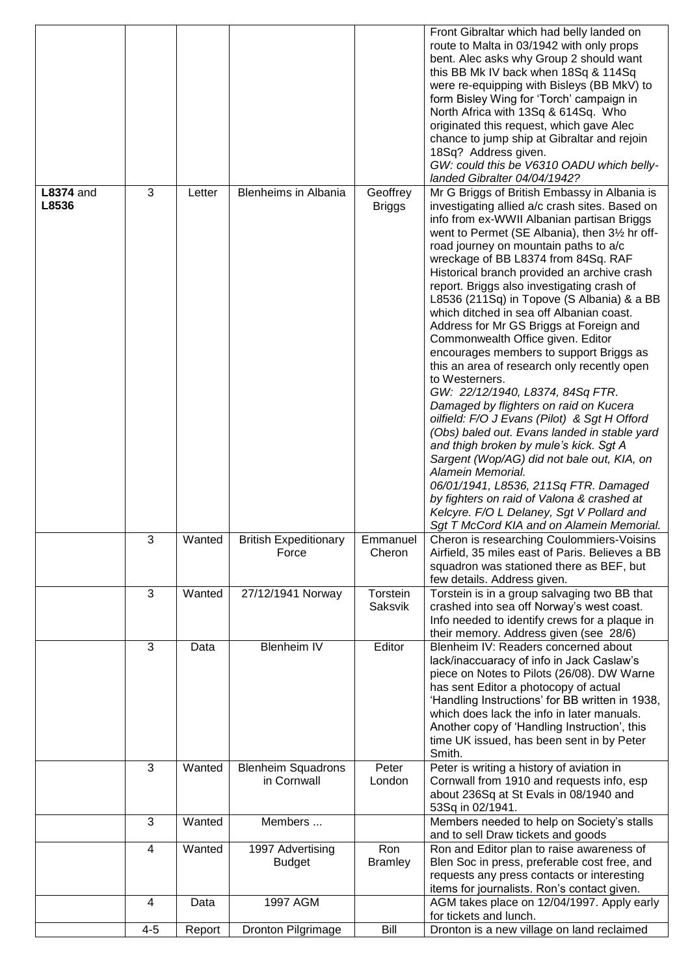|                           |         |        |                                          |                           | Front Gibraltar which had belly landed on<br>route to Malta in 03/1942 with only props<br>bent. Alec asks why Group 2 should want<br>this BB Mk IV back when 18Sq & 114Sq<br>were re-equipping with Bisleys (BB MkV) to<br>form Bisley Wing for 'Torch' campaign in<br>North Africa with 13Sq & 614Sq. Who<br>originated this request, which gave Alec<br>chance to jump ship at Gibraltar and rejoin<br>18Sq? Address given.<br>GW: could this be V6310 OADU which belly-<br>landed Gibralter 04/04/1942?                                                                                                                                                                                                                                                                                                                                                                                                                                                                                                                                                                                       |
|---------------------------|---------|--------|------------------------------------------|---------------------------|--------------------------------------------------------------------------------------------------------------------------------------------------------------------------------------------------------------------------------------------------------------------------------------------------------------------------------------------------------------------------------------------------------------------------------------------------------------------------------------------------------------------------------------------------------------------------------------------------------------------------------------------------------------------------------------------------------------------------------------------------------------------------------------------------------------------------------------------------------------------------------------------------------------------------------------------------------------------------------------------------------------------------------------------------------------------------------------------------|
| <b>L8374</b> and<br>L8536 | 3       | Letter | <b>Blenheims in Albania</b>              | Geoffrey<br><b>Briggs</b> | Mr G Briggs of British Embassy in Albania is<br>investigating allied a/c crash sites. Based on<br>info from ex-WWII Albanian partisan Briggs<br>went to Permet (SE Albania), then 31/2 hr off-<br>road journey on mountain paths to a/c<br>wreckage of BB L8374 from 84Sq. RAF<br>Historical branch provided an archive crash<br>report. Briggs also investigating crash of<br>L8536 (211Sq) in Topove (S Albania) & a BB<br>which ditched in sea off Albanian coast.<br>Address for Mr GS Briggs at Foreign and<br>Commonwealth Office given. Editor<br>encourages members to support Briggs as<br>this an area of research only recently open<br>to Westerners.<br>GW: 22/12/1940, L8374, 84Sq FTR.<br>Damaged by flighters on raid on Kucera<br>oilfield: F/O J Evans (Pilot) & Sgt H Offord<br>(Obs) baled out. Evans landed in stable yard<br>and thigh broken by mule's kick. Sgt A<br>Sargent (Wop/AG) did not bale out, KIA, on<br>Alamein Memorial.<br>06/01/1941, L8536, 211Sq FTR. Damaged<br>by fighters on raid of Valona & crashed at<br>Kelcyre. F/O L Delaney, Sgt V Pollard and |
|                           | 3       | Wanted | <b>British Expeditionary</b><br>Force    | Emmanuel<br>Cheron        | Sgt T McCord KIA and on Alamein Memorial.<br>Cheron is researching Coulommiers-Voisins<br>Airfield, 35 miles east of Paris. Believes a BB<br>squadron was stationed there as BEF, but<br>few details. Address given.                                                                                                                                                                                                                                                                                                                                                                                                                                                                                                                                                                                                                                                                                                                                                                                                                                                                             |
|                           | 3       | Wanted | 27/12/1941 Norway                        | Torstein<br>Saksvik       | Torstein is in a group salvaging two BB that<br>crashed into sea off Norway's west coast.<br>Info needed to identify crews for a plaque in<br>their memory. Address given (see 28/6)                                                                                                                                                                                                                                                                                                                                                                                                                                                                                                                                                                                                                                                                                                                                                                                                                                                                                                             |
|                           | 3       | Data   | <b>Blenheim IV</b>                       | Editor                    | Blenheim IV: Readers concerned about<br>lack/inaccuaracy of info in Jack Caslaw's<br>piece on Notes to Pilots (26/08). DW Warne<br>has sent Editor a photocopy of actual<br>'Handling Instructions' for BB written in 1938,<br>which does lack the info in later manuals.<br>Another copy of 'Handling Instruction', this<br>time UK issued, has been sent in by Peter<br>Smith.                                                                                                                                                                                                                                                                                                                                                                                                                                                                                                                                                                                                                                                                                                                 |
|                           | 3       | Wanted | <b>Blenheim Squadrons</b><br>in Cornwall | Peter<br>London           | Peter is writing a history of aviation in<br>Cornwall from 1910 and requests info, esp<br>about 236Sq at St Evals in 08/1940 and<br>53Sq in 02/1941.                                                                                                                                                                                                                                                                                                                                                                                                                                                                                                                                                                                                                                                                                                                                                                                                                                                                                                                                             |
|                           | 3       | Wanted | Members                                  |                           | Members needed to help on Society's stalls<br>and to sell Draw tickets and goods                                                                                                                                                                                                                                                                                                                                                                                                                                                                                                                                                                                                                                                                                                                                                                                                                                                                                                                                                                                                                 |
|                           | 4       | Wanted | 1997 Advertising<br><b>Budget</b>        | Ron<br><b>Bramley</b>     | Ron and Editor plan to raise awareness of<br>Blen Soc in press, preferable cost free, and<br>requests any press contacts or interesting<br>items for journalists. Ron's contact given.                                                                                                                                                                                                                                                                                                                                                                                                                                                                                                                                                                                                                                                                                                                                                                                                                                                                                                           |
|                           | 4       | Data   | 1997 AGM                                 |                           | AGM takes place on 12/04/1997. Apply early<br>for tickets and lunch.                                                                                                                                                                                                                                                                                                                                                                                                                                                                                                                                                                                                                                                                                                                                                                                                                                                                                                                                                                                                                             |
|                           | $4 - 5$ | Report | Dronton Pilgrimage                       | Bill                      | Dronton is a new village on land reclaimed                                                                                                                                                                                                                                                                                                                                                                                                                                                                                                                                                                                                                                                                                                                                                                                                                                                                                                                                                                                                                                                       |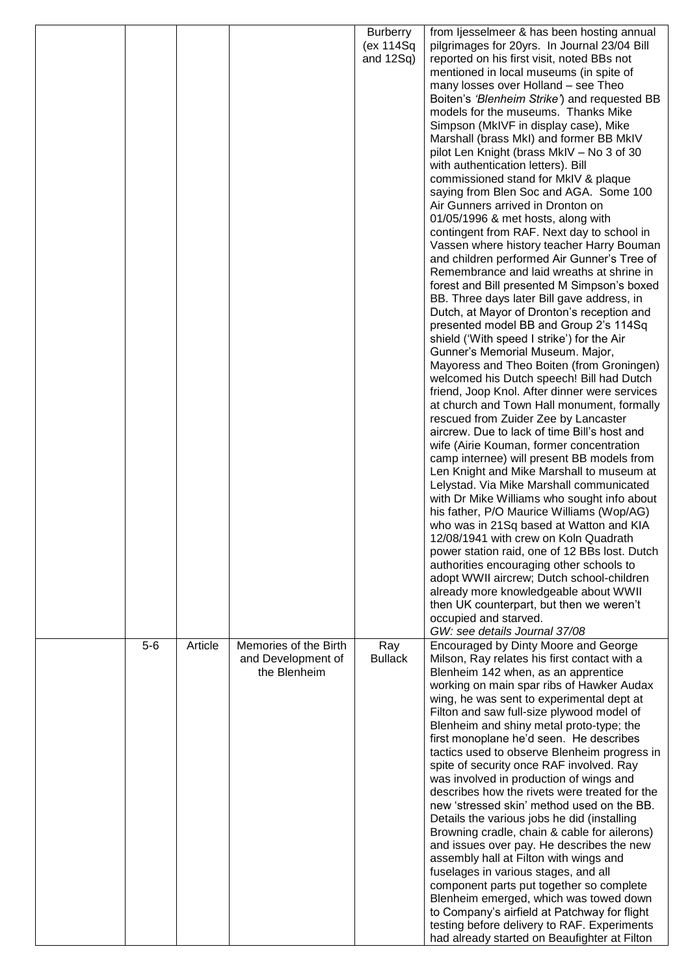|       |         |                       | <b>Burberry</b> | from ljesselmeer & has been hosting annual                                                  |
|-------|---------|-----------------------|-----------------|---------------------------------------------------------------------------------------------|
|       |         |                       | (ex 114Sq       | pilgrimages for 20yrs. In Journal 23/04 Bill                                                |
|       |         |                       | and $12Sq$ )    | reported on his first visit, noted BBs not                                                  |
|       |         |                       |                 | mentioned in local museums (in spite of                                                     |
|       |         |                       |                 | many losses over Holland - see Theo                                                         |
|       |         |                       |                 | Boiten's 'Blenheim Strike') and requested BB<br>models for the museums. Thanks Mike         |
|       |         |                       |                 | Simpson (MkIVF in display case), Mike                                                       |
|       |         |                       |                 | Marshall (brass MkI) and former BB MkIV                                                     |
|       |         |                       |                 | pilot Len Knight (brass MkIV - No 3 of 30                                                   |
|       |         |                       |                 | with authentication letters). Bill                                                          |
|       |         |                       |                 | commissioned stand for MkIV & plaque                                                        |
|       |         |                       |                 | saying from Blen Soc and AGA. Some 100                                                      |
|       |         |                       |                 | Air Gunners arrived in Dronton on                                                           |
|       |         |                       |                 | 01/05/1996 & met hosts, along with                                                          |
|       |         |                       |                 | contingent from RAF. Next day to school in                                                  |
|       |         |                       |                 | Vassen where history teacher Harry Bouman<br>and children performed Air Gunner's Tree of    |
|       |         |                       |                 | Remembrance and laid wreaths at shrine in                                                   |
|       |         |                       |                 | forest and Bill presented M Simpson's boxed                                                 |
|       |         |                       |                 | BB. Three days later Bill gave address, in                                                  |
|       |         |                       |                 | Dutch, at Mayor of Dronton's reception and                                                  |
|       |         |                       |                 | presented model BB and Group 2's 114Sq                                                      |
|       |         |                       |                 | shield ('With speed I strike') for the Air                                                  |
|       |         |                       |                 | Gunner's Memorial Museum. Major,                                                            |
|       |         |                       |                 | Mayoress and Theo Boiten (from Groningen)                                                   |
|       |         |                       |                 | welcomed his Dutch speech! Bill had Dutch                                                   |
|       |         |                       |                 | friend, Joop Knol. After dinner were services<br>at church and Town Hall monument, formally |
|       |         |                       |                 | rescued from Zuider Zee by Lancaster                                                        |
|       |         |                       |                 | aircrew. Due to lack of time Bill's host and                                                |
|       |         |                       |                 | wife (Airie Kouman, former concentration                                                    |
|       |         |                       |                 | camp internee) will present BB models from                                                  |
|       |         |                       |                 | Len Knight and Mike Marshall to museum at                                                   |
|       |         |                       |                 | Lelystad. Via Mike Marshall communicated                                                    |
|       |         |                       |                 | with Dr Mike Williams who sought info about                                                 |
|       |         |                       |                 | his father, P/O Maurice Williams (Wop/AG)                                                   |
|       |         |                       |                 | who was in 21Sq based at Watton and KIA                                                     |
|       |         |                       |                 | 12/08/1941 with crew on Koln Quadrath<br>power station raid, one of 12 BBs lost. Dutch      |
|       |         |                       |                 | authorities encouraging other schools to                                                    |
|       |         |                       |                 | adopt WWII aircrew; Dutch school-children                                                   |
|       |         |                       |                 | already more knowledgeable about WWII                                                       |
|       |         |                       |                 | then UK counterpart, but then we weren't                                                    |
|       |         |                       |                 | occupied and starved.                                                                       |
|       |         |                       |                 | GW: see details Journal 37/08                                                               |
| $5-6$ | Article | Memories of the Birth | Ray             | Encouraged by Dinty Moore and George                                                        |
|       |         | and Development of    | <b>Bullack</b>  | Milson, Ray relates his first contact with a                                                |
|       |         | the Blenheim          |                 | Blenheim 142 when, as an apprentice<br>working on main spar ribs of Hawker Audax            |
|       |         |                       |                 | wing, he was sent to experimental dept at                                                   |
|       |         |                       |                 | Filton and saw full-size plywood model of                                                   |
|       |         |                       |                 | Blenheim and shiny metal proto-type; the                                                    |
|       |         |                       |                 | first monoplane he'd seen. He describes                                                     |
|       |         |                       |                 | tactics used to observe Blenheim progress in                                                |
|       |         |                       |                 | spite of security once RAF involved. Ray                                                    |
|       |         |                       |                 | was involved in production of wings and                                                     |
|       |         |                       |                 | describes how the rivets were treated for the                                               |
|       |         |                       |                 | new 'stressed skin' method used on the BB.                                                  |
|       |         |                       |                 | Details the various jobs he did (installing<br>Browning cradle, chain & cable for ailerons) |
|       |         |                       |                 | and issues over pay. He describes the new                                                   |
|       |         |                       |                 | assembly hall at Filton with wings and                                                      |
|       |         |                       |                 | fuselages in various stages, and all                                                        |
|       |         |                       |                 | component parts put together so complete                                                    |
|       |         |                       |                 | Blenheim emerged, which was towed down                                                      |
|       |         |                       |                 | to Company's airfield at Patchway for flight                                                |
|       |         |                       |                 | testing before delivery to RAF. Experiments                                                 |
|       |         |                       |                 | had already started on Beaufighter at Filton                                                |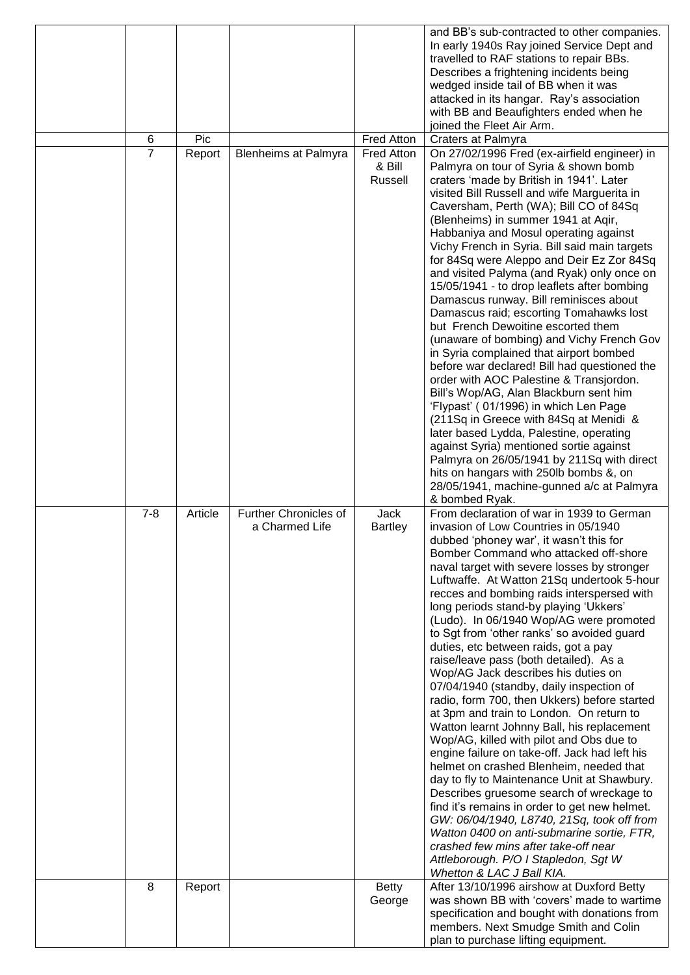|                |         |                              |                   | and BB's sub-contracted to other companies.                                              |
|----------------|---------|------------------------------|-------------------|------------------------------------------------------------------------------------------|
|                |         |                              |                   | In early 1940s Ray joined Service Dept and                                               |
|                |         |                              |                   | travelled to RAF stations to repair BBs.                                                 |
|                |         |                              |                   | Describes a frightening incidents being                                                  |
|                |         |                              |                   | wedged inside tail of BB when it was<br>attacked in its hangar. Ray's association        |
|                |         |                              |                   | with BB and Beaufighters ended when he                                                   |
|                |         |                              |                   | joined the Fleet Air Arm.                                                                |
| 6              | Pic     |                              | Fred Atton        | Craters at Palmyra                                                                       |
| $\overline{7}$ | Report  | <b>Blenheims at Palmyra</b>  | <b>Fred Atton</b> | On 27/02/1996 Fred (ex-airfield engineer) in                                             |
|                |         |                              | & Bill            | Palmyra on tour of Syria & shown bomb                                                    |
|                |         |                              | Russell           | craters 'made by British in 1941'. Later                                                 |
|                |         |                              |                   | visited Bill Russell and wife Marguerita in<br>Caversham, Perth (WA); Bill CO of 84Sq    |
|                |         |                              |                   | (Blenheims) in summer 1941 at Aqir,                                                      |
|                |         |                              |                   | Habbaniya and Mosul operating against                                                    |
|                |         |                              |                   | Vichy French in Syria. Bill said main targets                                            |
|                |         |                              |                   | for 84Sq were Aleppo and Deir Ez Zor 84Sq                                                |
|                |         |                              |                   | and visited Palyma (and Ryak) only once on                                               |
|                |         |                              |                   | 15/05/1941 - to drop leaflets after bombing                                              |
|                |         |                              |                   | Damascus runway. Bill reminisces about<br>Damascus raid; escorting Tomahawks lost        |
|                |         |                              |                   | but French Dewoitine escorted them                                                       |
|                |         |                              |                   | (unaware of bombing) and Vichy French Gov                                                |
|                |         |                              |                   | in Syria complained that airport bombed                                                  |
|                |         |                              |                   | before war declared! Bill had questioned the                                             |
|                |         |                              |                   | order with AOC Palestine & Transjordon.<br>Bill's Wop/AG, Alan Blackburn sent him        |
|                |         |                              |                   | 'Flypast' (01/1996) in which Len Page                                                    |
|                |         |                              |                   | (211Sq in Greece with 84Sq at Menidi &                                                   |
|                |         |                              |                   | later based Lydda, Palestine, operating                                                  |
|                |         |                              |                   | against Syria) mentioned sortie against                                                  |
|                |         |                              |                   | Palmyra on 26/05/1941 by 211Sq with direct                                               |
|                |         |                              |                   | hits on hangars with 250lb bombs &, on<br>28/05/1941, machine-gunned a/c at Palmyra      |
|                |         |                              |                   |                                                                                          |
|                |         |                              |                   |                                                                                          |
| $7 - 8$        | Article | <b>Further Chronicles of</b> | Jack              | & bombed Ryak.<br>From declaration of war in 1939 to German                              |
|                |         | a Charmed Life               | <b>Bartley</b>    | invasion of Low Countries in 05/1940                                                     |
|                |         |                              |                   | dubbed 'phoney war', it wasn't this for                                                  |
|                |         |                              |                   | Bomber Command who attacked off-shore                                                    |
|                |         |                              |                   | naval target with severe losses by stronger                                              |
|                |         |                              |                   | Luftwaffe. At Watton 21Sq undertook 5-hour                                               |
|                |         |                              |                   | recces and bombing raids interspersed with<br>long periods stand-by playing 'Ukkers'     |
|                |         |                              |                   | (Ludo). In 06/1940 Wop/AG were promoted                                                  |
|                |         |                              |                   | to Sgt from 'other ranks' so avoided guard                                               |
|                |         |                              |                   | duties, etc between raids, got a pay                                                     |
|                |         |                              |                   | raise/leave pass (both detailed). As a                                                   |
|                |         |                              |                   | Wop/AG Jack describes his duties on                                                      |
|                |         |                              |                   | 07/04/1940 (standby, daily inspection of<br>radio, form 700, then Ukkers) before started |
|                |         |                              |                   | at 3pm and train to London. On return to                                                 |
|                |         |                              |                   | Watton learnt Johnny Ball, his replacement                                               |
|                |         |                              |                   | Wop/AG, killed with pilot and Obs due to                                                 |
|                |         |                              |                   | engine failure on take-off. Jack had left his                                            |
|                |         |                              |                   | helmet on crashed Blenheim, needed that<br>day to fly to Maintenance Unit at Shawbury.   |
|                |         |                              |                   | Describes gruesome search of wreckage to                                                 |
|                |         |                              |                   | find it's remains in order to get new helmet.                                            |
|                |         |                              |                   | GW: 06/04/1940, L8740, 21Sq, took off from                                               |
|                |         |                              |                   | Watton 0400 on anti-submarine sortie, FTR,                                               |
|                |         |                              |                   | crashed few mins after take-off near                                                     |
|                |         |                              |                   | Attleborough. P/O I Stapledon, Sgt W<br>Whetton & LAC J Ball KIA.                        |
| 8              | Report  |                              | <b>Betty</b>      | After 13/10/1996 airshow at Duxford Betty                                                |
|                |         |                              | George            | was shown BB with 'covers' made to wartime                                               |
|                |         |                              |                   | specification and bought with donations from<br>members. Next Smudge Smith and Colin     |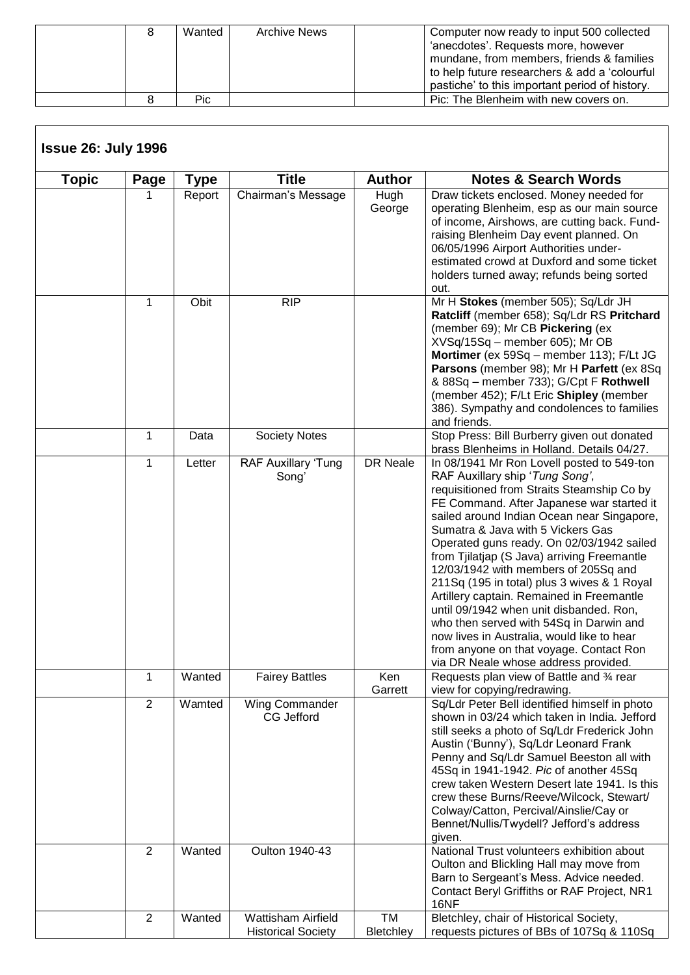|  | Wanted | <b>Archive News</b> | Computer now ready to input 500 collected<br>'anecdotes'. Requests more, however<br>mundane, from members, friends & families<br>to help future researchers & add a 'colourful<br>pastiche' to this important period of history. |
|--|--------|---------------------|----------------------------------------------------------------------------------------------------------------------------------------------------------------------------------------------------------------------------------|
|  | Pic    |                     | Pic: The Blenheim with new covers on.                                                                                                                                                                                            |

| Topic | Page           | Type   | <b>Title</b>                                           | <b>Author</b>   | <b>Notes &amp; Search Words</b>                                                                                                                                                                                                                                                                                                                                                                                                                                                                                                                                                                                                                                                                                    |
|-------|----------------|--------|--------------------------------------------------------|-----------------|--------------------------------------------------------------------------------------------------------------------------------------------------------------------------------------------------------------------------------------------------------------------------------------------------------------------------------------------------------------------------------------------------------------------------------------------------------------------------------------------------------------------------------------------------------------------------------------------------------------------------------------------------------------------------------------------------------------------|
|       |                | Report | Chairman's Message                                     | Hugh<br>George  | Draw tickets enclosed. Money needed for<br>operating Blenheim, esp as our main source<br>of income, Airshows, are cutting back. Fund-<br>raising Blenheim Day event planned. On<br>06/05/1996 Airport Authorities under-<br>estimated crowd at Duxford and some ticket<br>holders turned away; refunds being sorted<br>out.                                                                                                                                                                                                                                                                                                                                                                                        |
|       | 1              | Obit   | <b>RIP</b>                                             |                 | Mr H Stokes (member 505); Sq/Ldr JH<br>Ratcliff (member 658); Sq/Ldr RS Pritchard<br>(member 69); Mr CB Pickering (ex<br>XVSq/15Sq - member 605); Mr OB<br>Mortimer (ex 59Sq - member 113); F/Lt JG<br>Parsons (member 98); Mr H Parfett (ex 8Sq<br>& 88Sq - member 733); G/Cpt F Rothwell<br>(member 452); F/Lt Eric Shipley (member<br>386). Sympathy and condolences to families<br>and friends.                                                                                                                                                                                                                                                                                                                |
|       | 1              | Data   | <b>Society Notes</b>                                   |                 | Stop Press: Bill Burberry given out donated<br>brass Blenheims in Holland. Details 04/27.                                                                                                                                                                                                                                                                                                                                                                                                                                                                                                                                                                                                                          |
|       | $\mathbf{1}$   | Letter | <b>RAF Auxillary 'Tung</b><br>Song'                    | DR Neale        | In 08/1941 Mr Ron Lovell posted to 549-ton<br>RAF Auxillary ship 'Tung Song',<br>requisitioned from Straits Steamship Co by<br>FE Command. After Japanese war started it<br>sailed around Indian Ocean near Singapore,<br>Sumatra & Java with 5 Vickers Gas<br>Operated guns ready. On 02/03/1942 sailed<br>from Tjilatjap (S Java) arriving Freemantle<br>12/03/1942 with members of 205Sq and<br>211Sq (195 in total) plus 3 wives & 1 Royal<br>Artillery captain. Remained in Freemantle<br>until 09/1942 when unit disbanded. Ron,<br>who then served with 54Sq in Darwin and<br>now lives in Australia, would like to hear<br>from anyone on that voyage. Contact Ron<br>via DR Neale whose address provided. |
|       | $\mathbf 1$    | Wanted | <b>Fairey Battles</b>                                  | Ken<br>Garrett  | Requests plan view of Battle and 34 rear<br>view for copying/redrawing.                                                                                                                                                                                                                                                                                                                                                                                                                                                                                                                                                                                                                                            |
|       | $\overline{2}$ | Wamted | Wing Commander<br>CG Jefford                           |                 | Sq/Ldr Peter Bell identified himself in photo<br>shown in 03/24 which taken in India. Jefford<br>still seeks a photo of Sq/Ldr Frederick John<br>Austin ('Bunny'), Sq/Ldr Leonard Frank<br>Penny and Sq/Ldr Samuel Beeston all with<br>45Sq in 1941-1942. Pic of another 45Sq<br>crew taken Western Desert late 1941. Is this<br>crew these Burns/Reeve/Wilcock, Stewart/<br>Colway/Catton, Percival/Ainslie/Cay or<br>Bennet/Nullis/Twydell? Jefford's address<br>given.                                                                                                                                                                                                                                          |
|       | $\overline{2}$ | Wanted | Oulton 1940-43                                         |                 | National Trust volunteers exhibition about<br>Oulton and Blickling Hall may move from<br>Barn to Sergeant's Mess. Advice needed.<br>Contact Beryl Griffiths or RAF Project, NR1<br>16NF                                                                                                                                                                                                                                                                                                                                                                                                                                                                                                                            |
|       | $\overline{2}$ | Wanted | <b>Wattisham Airfield</b><br><b>Historical Society</b> | TM<br>Bletchley | Bletchley, chair of Historical Society,<br>requests pictures of BBs of 107Sq & 110Sq                                                                                                                                                                                                                                                                                                                                                                                                                                                                                                                                                                                                                               |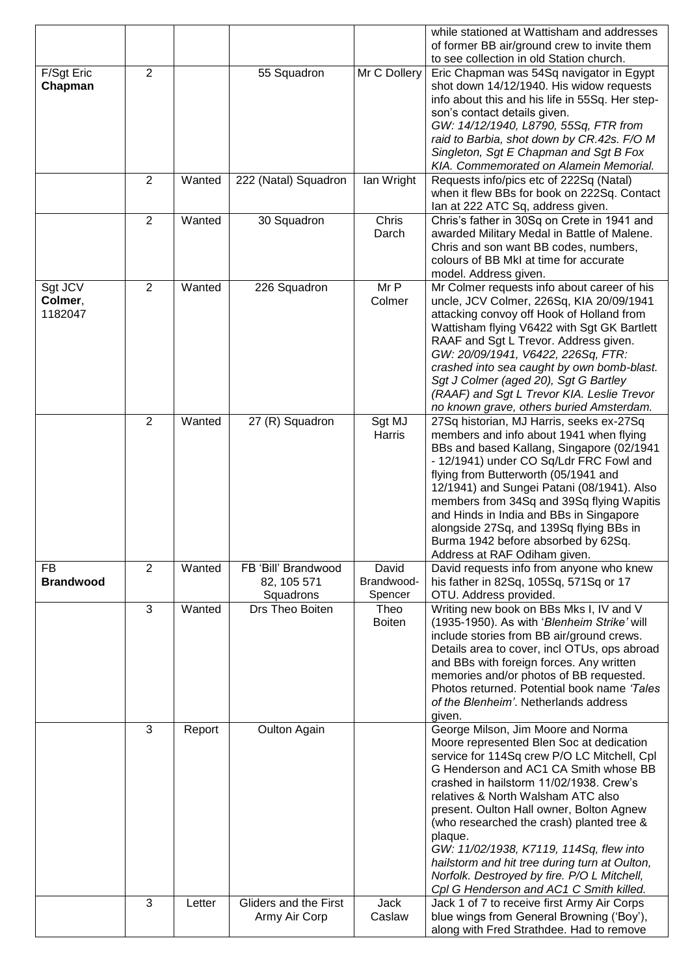|                    |                |        |                              |                       | while stationed at Wattisham and addresses                                               |
|--------------------|----------------|--------|------------------------------|-----------------------|------------------------------------------------------------------------------------------|
|                    |                |        |                              |                       | of former BB air/ground crew to invite them<br>to see collection in old Station church.  |
| F/Sgt Eric         | $\overline{2}$ |        | 55 Squadron                  | Mr C Dollery          | Eric Chapman was 54Sq navigator in Egypt                                                 |
| Chapman            |                |        |                              |                       | shot down 14/12/1940. His widow requests                                                 |
|                    |                |        |                              |                       | info about this and his life in 55Sq. Her step-                                          |
|                    |                |        |                              |                       | son's contact details given.                                                             |
|                    |                |        |                              |                       | GW: 14/12/1940, L8790, 55Sq, FTR from                                                    |
|                    |                |        |                              |                       | raid to Barbia, shot down by CR.42s. F/O M                                               |
|                    |                |        |                              |                       | Singleton, Sgt E Chapman and Sgt B Fox                                                   |
|                    | $\overline{2}$ | Wanted | 222 (Natal) Squadron         | Ian Wright            | KIA. Commemorated on Alamein Memorial.<br>Requests info/pics etc of 222Sq (Natal)        |
|                    |                |        |                              |                       | when it flew BBs for book on 222Sq. Contact                                              |
|                    |                |        |                              |                       | lan at 222 ATC Sq, address given.                                                        |
|                    | $\overline{2}$ | Wanted | 30 Squadron                  | Chris                 | Chris's father in 30Sq on Crete in 1941 and                                              |
|                    |                |        |                              | Darch                 | awarded Military Medal in Battle of Malene.                                              |
|                    |                |        |                              |                       | Chris and son want BB codes, numbers,                                                    |
|                    |                |        |                              |                       | colours of BB MkI at time for accurate                                                   |
|                    |                |        |                              |                       | model. Address given.                                                                    |
| Sgt JCV<br>Colmer, | $\overline{2}$ | Wanted | 226 Squadron                 | Mr P<br>Colmer        | Mr Colmer requests info about career of his<br>uncle, JCV Colmer, 226Sq, KIA 20/09/1941  |
| 1182047            |                |        |                              |                       | attacking convoy off Hook of Holland from                                                |
|                    |                |        |                              |                       | Wattisham flying V6422 with Sgt GK Bartlett                                              |
|                    |                |        |                              |                       | RAAF and Sgt L Trevor. Address given.                                                    |
|                    |                |        |                              |                       | GW: 20/09/1941, V6422, 226Sq, FTR:                                                       |
|                    |                |        |                              |                       | crashed into sea caught by own bomb-blast.                                               |
|                    |                |        |                              |                       | Sgt J Colmer (aged 20), Sgt G Bartley                                                    |
|                    |                |        |                              |                       | (RAAF) and Sgt L Trevor KIA. Leslie Trevor                                               |
|                    | 2              | Wanted | 27 (R) Squadron              | Sgt MJ                | no known grave, others buried Amsterdam.<br>27Sq historian, MJ Harris, seeks ex-27Sq     |
|                    |                |        |                              | Harris                | members and info about 1941 when flying                                                  |
|                    |                |        |                              |                       | BBs and based Kallang, Singapore (02/1941                                                |
|                    |                |        |                              |                       | - 12/1941) under CO Sq/Ldr FRC Fowl and                                                  |
|                    |                |        |                              |                       | flying from Butterworth (05/1941 and                                                     |
|                    |                |        |                              |                       | 12/1941) and Sungei Patani (08/1941). Also                                               |
|                    |                |        |                              |                       | members from 34Sq and 39Sq flying Wapitis                                                |
|                    |                |        |                              |                       | and Hinds in India and BBs in Singapore                                                  |
|                    |                |        |                              |                       | alongside 27Sq, and 139Sq flying BBs in<br>Burma 1942 before absorbed by 62Sq.           |
|                    |                |        |                              |                       | Address at RAF Odiham given.                                                             |
| FB                 | 2              | Wanted | FB 'Bill' Brandwood          | David                 | David requests info from anyone who knew                                                 |
| <b>Brandwood</b>   |                |        | 82, 105 571                  | Brandwood-            | his father in 82Sq, 105Sq, 571Sq or 17                                                   |
|                    |                |        | Squadrons<br>Drs Theo Boiten | Spencer               | OTU. Address provided.                                                                   |
|                    | 3              | Wanted |                              | Theo<br><b>Boiten</b> | Writing new book on BBs Mks I, IV and V<br>(1935-1950). As with 'Blenheim Strike' will   |
|                    |                |        |                              |                       | include stories from BB air/ground crews.                                                |
|                    |                |        |                              |                       | Details area to cover, incl OTUs, ops abroad                                             |
|                    |                |        |                              |                       | and BBs with foreign forces. Any written                                                 |
|                    |                |        |                              |                       | memories and/or photos of BB requested.                                                  |
|                    |                |        |                              |                       | Photos returned. Potential book name 'Tales                                              |
|                    |                |        |                              |                       | of the Blenheim'. Netherlands address                                                    |
|                    | 3              |        |                              |                       | given.                                                                                   |
|                    |                | Report | Oulton Again                 |                       | George Milson, Jim Moore and Norma<br>Moore represented Blen Soc at dedication           |
|                    |                |        |                              |                       | service for 114Sq crew P/O LC Mitchell, Cpl                                              |
|                    |                |        |                              |                       | G Henderson and AC1 CA Smith whose BB                                                    |
|                    |                |        |                              |                       | crashed in hailstorm 11/02/1938. Crew's                                                  |
|                    |                |        |                              |                       | relatives & North Walsham ATC also                                                       |
|                    |                |        |                              |                       | present. Oulton Hall owner, Bolton Agnew                                                 |
|                    |                |        |                              |                       | (who researched the crash) planted tree &                                                |
|                    |                |        |                              |                       | plaque.                                                                                  |
|                    |                |        |                              |                       | GW: 11/02/1938, K7119, 114Sq, flew into<br>hailstorm and hit tree during turn at Oulton, |
|                    |                |        |                              |                       | Norfolk. Destroyed by fire. P/O L Mitchell,                                              |
|                    |                |        |                              |                       | Cpl G Henderson and AC1 C Smith killed.                                                  |
|                    | $\mathbf{3}$   | Letter | Gliders and the First        | <b>Jack</b>           | Jack 1 of 7 to receive first Army Air Corps                                              |
|                    |                |        | Army Air Corp                | Caslaw                | blue wings from General Browning ('Boy'),                                                |
|                    |                |        |                              |                       | along with Fred Strathdee. Had to remove                                                 |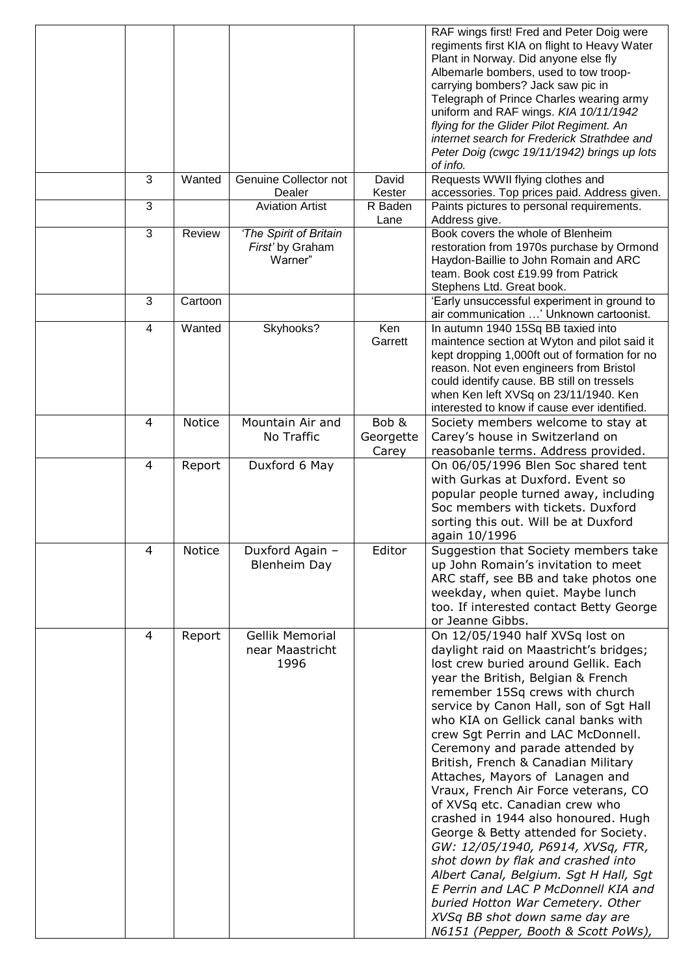|                |               |                                                       |                             | RAF wings first! Fred and Peter Doig were<br>regiments first KIA on flight to Heavy Water<br>Plant in Norway. Did anyone else fly<br>Albemarle bombers, used to tow troop-<br>carrying bombers? Jack saw pic in<br>Telegraph of Prince Charles wearing army<br>uniform and RAF wings. KIA 10/11/1942<br>flying for the Glider Pilot Regiment. An<br>internet search for Frederick Strathdee and<br>Peter Doig (cwgc 19/11/1942) brings up lots                                                                                                                                                                                                                                                                                                                                                                                                                     |
|----------------|---------------|-------------------------------------------------------|-----------------------------|--------------------------------------------------------------------------------------------------------------------------------------------------------------------------------------------------------------------------------------------------------------------------------------------------------------------------------------------------------------------------------------------------------------------------------------------------------------------------------------------------------------------------------------------------------------------------------------------------------------------------------------------------------------------------------------------------------------------------------------------------------------------------------------------------------------------------------------------------------------------|
| 3              | Wanted        | Genuine Collector not                                 | David                       | of info.<br>Requests WWII flying clothes and                                                                                                                                                                                                                                                                                                                                                                                                                                                                                                                                                                                                                                                                                                                                                                                                                       |
| 3              |               | Dealer<br><b>Aviation Artist</b>                      | Kester<br>R Baden           | accessories. Top prices paid. Address given.<br>Paints pictures to personal requirements.                                                                                                                                                                                                                                                                                                                                                                                                                                                                                                                                                                                                                                                                                                                                                                          |
|                |               |                                                       | Lane                        | Address give.                                                                                                                                                                                                                                                                                                                                                                                                                                                                                                                                                                                                                                                                                                                                                                                                                                                      |
| 3              | Review        | 'The Spirit of Britain<br>First' by Graham<br>Warner" |                             | Book covers the whole of Blenheim<br>restoration from 1970s purchase by Ormond<br>Haydon-Baillie to John Romain and ARC<br>team. Book cost £19.99 from Patrick<br>Stephens Ltd. Great book.                                                                                                                                                                                                                                                                                                                                                                                                                                                                                                                                                                                                                                                                        |
| 3              | Cartoon       |                                                       |                             | 'Early unsuccessful experiment in ground to<br>air communication ' Unknown cartoonist.                                                                                                                                                                                                                                                                                                                                                                                                                                                                                                                                                                                                                                                                                                                                                                             |
| 4              | Wanted        | Skyhooks?                                             | Ken<br>Garrett              | In autumn 1940 15Sq BB taxied into<br>maintence section at Wyton and pilot said it<br>kept dropping 1,000ft out of formation for no<br>reason. Not even engineers from Bristol<br>could identify cause. BB still on tressels<br>when Ken left XVSq on 23/11/1940. Ken<br>interested to know if cause ever identified.                                                                                                                                                                                                                                                                                                                                                                                                                                                                                                                                              |
| $\overline{4}$ | <b>Notice</b> | Mountain Air and<br>No Traffic                        | Bob &<br>Georgette<br>Carey | Society members welcome to stay at<br>Carey's house in Switzerland on<br>reasobanle terms. Address provided.                                                                                                                                                                                                                                                                                                                                                                                                                                                                                                                                                                                                                                                                                                                                                       |
| 4              | Report        | Duxford 6 May                                         |                             | On 06/05/1996 Blen Soc shared tent<br>with Gurkas at Duxford, Event so<br>popular people turned away, including<br>Soc members with tickets. Duxford<br>sorting this out. Will be at Duxford<br>again 10/1996                                                                                                                                                                                                                                                                                                                                                                                                                                                                                                                                                                                                                                                      |
| 4              | Notice        | Duxford Again -<br><b>Blenheim Day</b>                | Editor                      | Suggestion that Society members take<br>up John Romain's invitation to meet<br>ARC staff, see BB and take photos one<br>weekday, when quiet. Maybe lunch<br>too. If interested contact Betty George<br>or Jeanne Gibbs.                                                                                                                                                                                                                                                                                                                                                                                                                                                                                                                                                                                                                                            |
| 4              | Report        | <b>Gellik Memorial</b><br>near Maastricht<br>1996     |                             | On 12/05/1940 half XVSq lost on<br>daylight raid on Maastricht's bridges;<br>lost crew buried around Gellik. Each<br>year the British, Belgian & French<br>remember 15Sq crews with church<br>service by Canon Hall, son of Sgt Hall<br>who KIA on Gellick canal banks with<br>crew Sgt Perrin and LAC McDonnell.<br>Ceremony and parade attended by<br>British, French & Canadian Military<br>Attaches, Mayors of Lanagen and<br>Vraux, French Air Force veterans, CO<br>of XVSq etc. Canadian crew who<br>crashed in 1944 also honoured. Hugh<br>George & Betty attended for Society.<br>GW: 12/05/1940, P6914, XVSq, FTR,<br>shot down by flak and crashed into<br>Albert Canal, Belgium. Sgt H Hall, Sgt<br>E Perrin and LAC P McDonnell KIA and<br>buried Hotton War Cemetery. Other<br>XVSq BB shot down same day are<br>N6151 (Pepper, Booth & Scott PoWs), |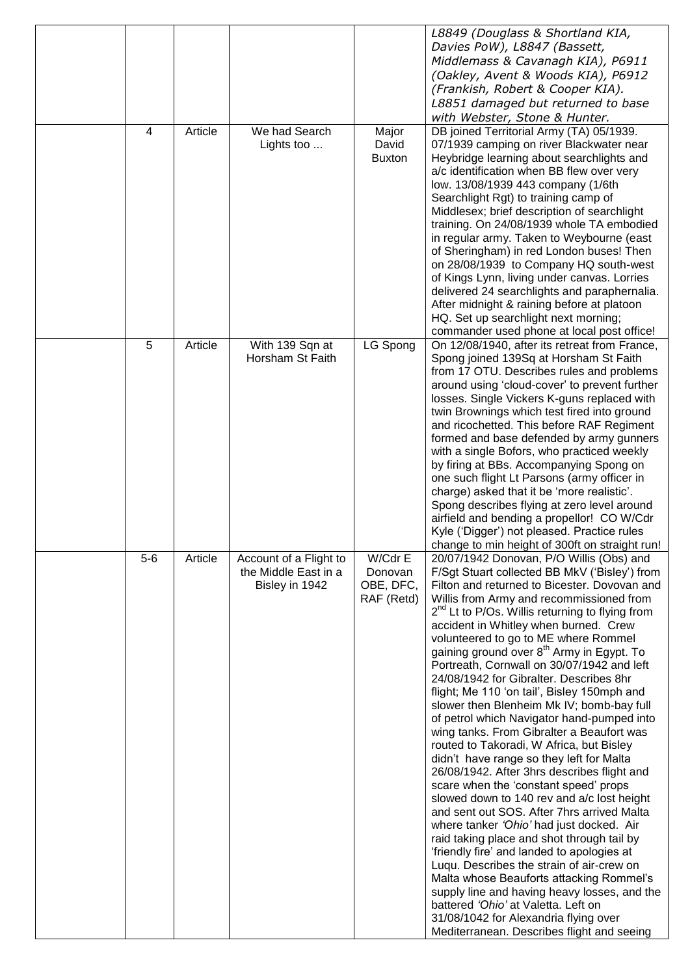|       |         |                        |               | L8849 (Douglass & Shortland KIA,                                                      |
|-------|---------|------------------------|---------------|---------------------------------------------------------------------------------------|
|       |         |                        |               | Davies PoW), L8847 (Bassett,                                                          |
|       |         |                        |               | Middlemass & Cavanagh KIA), P6911                                                     |
|       |         |                        |               | (Oakley, Avent & Woods KIA), P6912                                                    |
|       |         |                        |               | (Frankish, Robert & Cooper KIA).                                                      |
|       |         |                        |               | L8851 damaged but returned to base                                                    |
|       |         |                        |               | with Webster, Stone & Hunter.                                                         |
| 4     | Article | We had Search          | Major         | DB joined Territorial Army (TA) 05/1939.                                              |
|       |         | Lights too             | David         | 07/1939 camping on river Blackwater near                                              |
|       |         |                        | <b>Buxton</b> | Heybridge learning about searchlights and                                             |
|       |         |                        |               | a/c identification when BB flew over very                                             |
|       |         |                        |               | low. 13/08/1939 443 company (1/6th                                                    |
|       |         |                        |               | Searchlight Rgt) to training camp of                                                  |
|       |         |                        |               | Middlesex; brief description of searchlight                                           |
|       |         |                        |               | training. On 24/08/1939 whole TA embodied                                             |
|       |         |                        |               | in regular army. Taken to Weybourne (east                                             |
|       |         |                        |               | of Sheringham) in red London buses! Then                                              |
|       |         |                        |               | on 28/08/1939 to Company HQ south-west                                                |
|       |         |                        |               | of Kings Lynn, living under canvas. Lorries                                           |
|       |         |                        |               | delivered 24 searchlights and paraphernalia.                                          |
|       |         |                        |               | After midnight & raining before at platoon                                            |
|       |         |                        |               | HQ. Set up searchlight next morning;                                                  |
|       |         |                        |               | commander used phone at local post office!                                            |
| 5     | Article | With 139 Sqn at        | LG Spong      | On 12/08/1940, after its retreat from France,                                         |
|       |         | Horsham St Faith       |               | Spong joined 139Sq at Horsham St Faith                                                |
|       |         |                        |               | from 17 OTU. Describes rules and problems                                             |
|       |         |                        |               | around using 'cloud-cover' to prevent further                                         |
|       |         |                        |               | losses. Single Vickers K-guns replaced with                                           |
|       |         |                        |               | twin Brownings which test fired into ground                                           |
|       |         |                        |               | and ricochetted. This before RAF Regiment<br>formed and base defended by army gunners |
|       |         |                        |               | with a single Bofors, who practiced weekly                                            |
|       |         |                        |               | by firing at BBs. Accompanying Spong on                                               |
|       |         |                        |               | one such flight Lt Parsons (army officer in                                           |
|       |         |                        |               | charge) asked that it be 'more realistic'.                                            |
|       |         |                        |               | Spong describes flying at zero level around                                           |
|       |         |                        |               | airfield and bending a propellor! CO W/Cdr                                            |
|       |         |                        |               | Kyle ('Digger') not pleased. Practice rules                                           |
|       |         |                        |               | change to min height of 300ft on straight run!                                        |
| $5-6$ | Article | Account of a Flight to | W/Cdr E       | 20/07/1942 Donovan, P/O Willis (Obs) and                                              |
|       |         | the Middle East in a   | Donovan       | F/Sgt Stuart collected BB MkV ('Bisley') from                                         |
|       |         | Bisley in 1942         | OBE, DFC,     | Filton and returned to Bicester. Dovovan and                                          |
|       |         |                        | RAF (Retd)    | Willis from Army and recommissioned from                                              |
|       |         |                        |               | $2nd$ Lt to P/Os. Willis returning to flying from                                     |
|       |         |                        |               | accident in Whitley when burned. Crew                                                 |
|       |         |                        |               | volunteered to go to ME where Rommel                                                  |
|       |         |                        |               | gaining ground over 8 <sup>th</sup> Army in Egypt. To                                 |
|       |         |                        |               | Portreath, Cornwall on 30/07/1942 and left<br>24/08/1942 for Gibralter. Describes 8hr |
|       |         |                        |               | flight; Me 110 'on tail', Bisley 150mph and                                           |
|       |         |                        |               | slower then Blenheim Mk IV; bomb-bay full                                             |
|       |         |                        |               | of petrol which Navigator hand-pumped into                                            |
|       |         |                        |               | wing tanks. From Gibralter a Beaufort was                                             |
|       |         |                        |               | routed to Takoradi, W Africa, but Bisley                                              |
|       |         |                        |               | didn't have range so they left for Malta                                              |
|       |         |                        |               | 26/08/1942. After 3hrs describes flight and                                           |
|       |         |                        |               | scare when the 'constant speed' props                                                 |
|       |         |                        |               | slowed down to 140 rev and a/c lost height                                            |
|       |         |                        |               | and sent out SOS. After 7hrs arrived Malta                                            |
|       |         |                        |               | where tanker 'Ohio' had just docked. Air                                              |
|       |         |                        |               | raid taking place and shot through tail by                                            |
|       |         |                        |               | 'friendly fire' and landed to apologies at                                            |
|       |         |                        |               | Luqu. Describes the strain of air-crew on                                             |
|       |         |                        |               | Malta whose Beauforts attacking Rommel's                                              |
|       |         |                        |               | supply line and having heavy losses, and the                                          |
|       |         |                        |               | battered 'Ohio' at Valetta. Left on                                                   |
|       |         |                        |               | 31/08/1042 for Alexandria flying over                                                 |
|       |         |                        |               | Mediterranean. Describes flight and seeing                                            |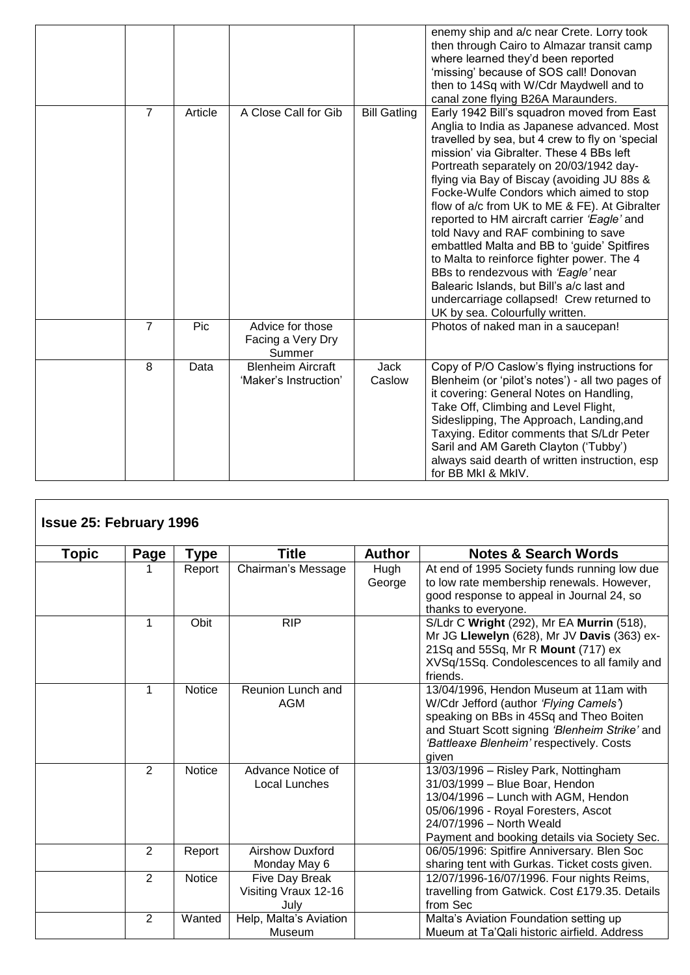|                |         |                                                   |                       | enemy ship and a/c near Crete. Lorry took<br>then through Cairo to Almazar transit camp<br>where learned they'd been reported<br>'missing' because of SOS call! Donovan<br>then to 14Sq with W/Cdr Maydwell and to<br>canal zone flying B26A Maraunders.                                                                                                                                                                                                                                                                                                                                                                                                                                                                             |
|----------------|---------|---------------------------------------------------|-----------------------|--------------------------------------------------------------------------------------------------------------------------------------------------------------------------------------------------------------------------------------------------------------------------------------------------------------------------------------------------------------------------------------------------------------------------------------------------------------------------------------------------------------------------------------------------------------------------------------------------------------------------------------------------------------------------------------------------------------------------------------|
| $\overline{7}$ | Article | A Close Call for Gib                              | <b>Bill Gatling</b>   | Early 1942 Bill's squadron moved from East<br>Anglia to India as Japanese advanced. Most<br>travelled by sea, but 4 crew to fly on 'special<br>mission' via Gibralter. These 4 BBs left<br>Portreath separately on 20/03/1942 day-<br>flying via Bay of Biscay (avoiding JU 88s &<br>Focke-Wulfe Condors which aimed to stop<br>flow of a/c from UK to ME & FE). At Gibralter<br>reported to HM aircraft carrier 'Eagle' and<br>told Navy and RAF combining to save<br>embattled Malta and BB to 'guide' Spitfires<br>to Malta to reinforce fighter power. The 4<br>BBs to rendezvous with 'Eagle' near<br>Balearic Islands, but Bill's a/c last and<br>undercarriage collapsed! Crew returned to<br>UK by sea. Colourfully written. |
| $\overline{7}$ | Pic     | Advice for those<br>Facing a Very Dry<br>Summer   |                       | Photos of naked man in a saucepan!                                                                                                                                                                                                                                                                                                                                                                                                                                                                                                                                                                                                                                                                                                   |
| 8              | Data    | <b>Blenheim Aircraft</b><br>'Maker's Instruction' | <b>Jack</b><br>Caslow | Copy of P/O Caslow's flying instructions for<br>Blenheim (or 'pilot's notes') - all two pages of<br>it covering: General Notes on Handling,<br>Take Off, Climbing and Level Flight,<br>Sideslipping, The Approach, Landing, and<br>Taxying. Editor comments that S/Ldr Peter<br>Saril and AM Gareth Clayton ('Tubby')<br>always said dearth of written instruction, esp<br>for BB MkI & MkIV.                                                                                                                                                                                                                                                                                                                                        |

| <b>Issue 25: February 1996</b> |                |               |                        |               |                                                                       |
|--------------------------------|----------------|---------------|------------------------|---------------|-----------------------------------------------------------------------|
| <b>Topic</b>                   | Page           | Type          | <b>Title</b>           | <b>Author</b> | <b>Notes &amp; Search Words</b>                                       |
|                                |                | Report        | Chairman's Message     | Hugh          | At end of 1995 Society funds running low due                          |
|                                |                |               |                        | George        | to low rate membership renewals. However,                             |
|                                |                |               |                        |               | good response to appeal in Journal 24, so                             |
|                                |                |               |                        |               | thanks to everyone.                                                   |
|                                | 1              | Obit          | <b>RIP</b>             |               | S/Ldr C Wright (292), Mr EA Murrin (518),                             |
|                                |                |               |                        |               | Mr JG Llewelyn (628), Mr JV Davis (363) ex-                           |
|                                |                |               |                        |               | 21Sq and 55Sq, Mr R Mount (717) ex                                    |
|                                |                |               |                        |               | XVSq/15Sq. Condolescences to all family and                           |
|                                |                |               |                        |               | friends.                                                              |
|                                | 1              | <b>Notice</b> | Reunion Lunch and      |               | 13/04/1996, Hendon Museum at 11am with                                |
|                                |                |               | AGM                    |               | W/Cdr Jefford (author 'Flying Camels')                                |
|                                |                |               |                        |               | speaking on BBs in 45Sq and Theo Boiten                               |
|                                |                |               |                        |               | and Stuart Scott signing 'Blenheim Strike' and                        |
|                                |                |               |                        |               | 'Battleaxe Blenheim' respectively. Costs                              |
|                                |                |               |                        |               | given                                                                 |
|                                | 2              | <b>Notice</b> | Advance Notice of      |               | 13/03/1996 - Risley Park, Nottingham                                  |
|                                |                |               | Local Lunches          |               | 31/03/1999 - Blue Boar, Hendon<br>13/04/1996 - Lunch with AGM, Hendon |
|                                |                |               |                        |               | 05/06/1996 - Royal Foresters, Ascot                                   |
|                                |                |               |                        |               | 24/07/1996 - North Weald                                              |
|                                |                |               |                        |               | Payment and booking details via Society Sec.                          |
|                                | $\overline{2}$ | Report        | <b>Airshow Duxford</b> |               | 06/05/1996: Spitfire Anniversary. Blen Soc                            |
|                                |                |               | Monday May 6           |               | sharing tent with Gurkas. Ticket costs given.                         |
|                                | $\overline{2}$ | <b>Notice</b> | Five Day Break         |               | 12/07/1996-16/07/1996. Four nights Reims,                             |
|                                |                |               | Visiting Vraux 12-16   |               | travelling from Gatwick. Cost £179.35. Details                        |
|                                |                |               | Julv                   |               | from Sec                                                              |
|                                | $\overline{2}$ | Wanted        | Help, Malta's Aviation |               | Malta's Aviation Foundation setting up                                |
|                                |                |               | Museum                 |               | Mueum at Ta'Qali historic airfield. Address                           |

 $\overline{1}$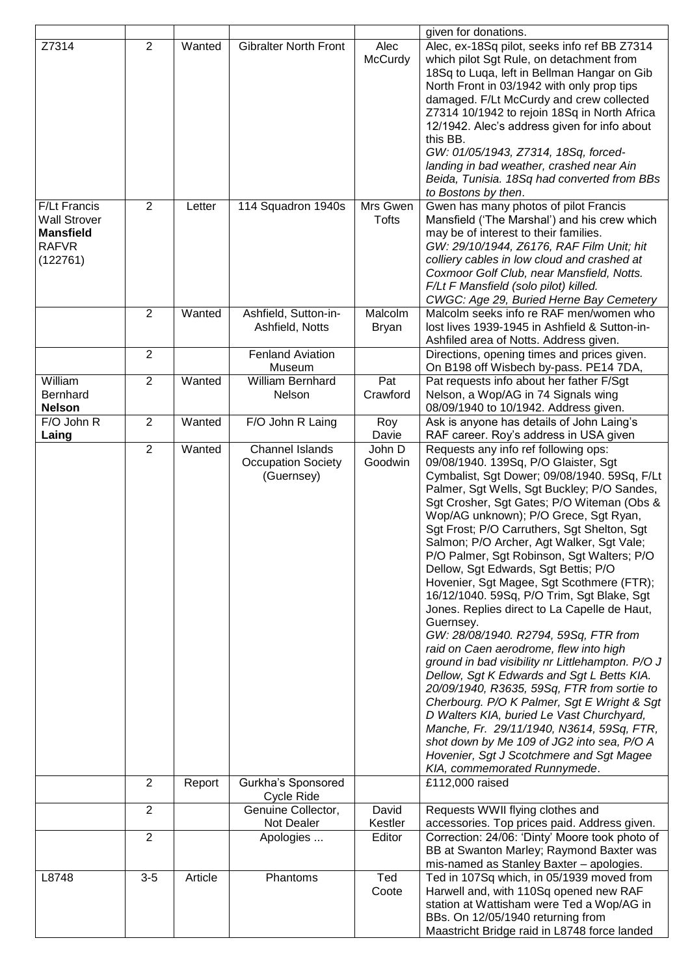|                                                                                     |                |         |                                                                   |                         | given for donations.                                                                                                                                                                                                                                                                                                                                                                                                                                                                                                                                                                                                                                                                                                                                                                                                                                                                                                                                                                                                                                                                                                |
|-------------------------------------------------------------------------------------|----------------|---------|-------------------------------------------------------------------|-------------------------|---------------------------------------------------------------------------------------------------------------------------------------------------------------------------------------------------------------------------------------------------------------------------------------------------------------------------------------------------------------------------------------------------------------------------------------------------------------------------------------------------------------------------------------------------------------------------------------------------------------------------------------------------------------------------------------------------------------------------------------------------------------------------------------------------------------------------------------------------------------------------------------------------------------------------------------------------------------------------------------------------------------------------------------------------------------------------------------------------------------------|
| Z7314                                                                               | $\overline{2}$ | Wanted  | <b>Gibralter North Front</b>                                      | Alec<br>McCurdy         | Alec, ex-18Sq pilot, seeks info ref BB Z7314<br>which pilot Sgt Rule, on detachment from<br>18Sq to Luqa, left in Bellman Hangar on Gib<br>North Front in 03/1942 with only prop tips<br>damaged. F/Lt McCurdy and crew collected<br>Z7314 10/1942 to rejoin 18Sq in North Africa<br>12/1942. Alec's address given for info about<br>this BB.<br>GW: 01/05/1943, Z7314, 18Sq, forced-<br>landing in bad weather, crashed near Ain<br>Beida, Tunisia. 18Sq had converted from BBs<br>to Bostons by then.                                                                                                                                                                                                                                                                                                                                                                                                                                                                                                                                                                                                             |
| F/Lt Francis<br><b>Wall Strover</b><br><b>Mansfield</b><br><b>RAFVR</b><br>(122761) | $\overline{2}$ | Letter  | 114 Squadron 1940s                                                | Mrs Gwen<br>Tofts       | Gwen has many photos of pilot Francis<br>Mansfield ('The Marshal') and his crew which<br>may be of interest to their families.<br>GW: 29/10/1944, Z6176, RAF Film Unit; hit<br>colliery cables in low cloud and crashed at<br>Coxmoor Golf Club, near Mansfield, Notts.<br>F/Lt F Mansfield (solo pilot) killed.<br>CWGC: Age 29, Buried Herne Bay Cemetery                                                                                                                                                                                                                                                                                                                                                                                                                                                                                                                                                                                                                                                                                                                                                         |
|                                                                                     | $\overline{2}$ | Wanted  | Ashfield, Sutton-in-<br>Ashfield, Notts                           | Malcolm<br><b>Bryan</b> | Malcolm seeks info re RAF men/women who<br>lost lives 1939-1945 in Ashfield & Sutton-in-<br>Ashfiled area of Notts. Address given.                                                                                                                                                                                                                                                                                                                                                                                                                                                                                                                                                                                                                                                                                                                                                                                                                                                                                                                                                                                  |
|                                                                                     | $\overline{2}$ |         | <b>Fenland Aviation</b><br>Museum                                 |                         | Directions, opening times and prices given.<br>On B198 off Wisbech by-pass. PE14 7DA,                                                                                                                                                                                                                                                                                                                                                                                                                                                                                                                                                                                                                                                                                                                                                                                                                                                                                                                                                                                                                               |
| William<br>Bernhard<br><b>Nelson</b>                                                | $\overline{2}$ | Wanted  | William Bernhard<br><b>Nelson</b>                                 | Pat<br>Crawford         | Pat requests info about her father F/Sgt<br>Nelson, a Wop/AG in 74 Signals wing<br>08/09/1940 to 10/1942. Address given.                                                                                                                                                                                                                                                                                                                                                                                                                                                                                                                                                                                                                                                                                                                                                                                                                                                                                                                                                                                            |
| F/O John R<br>Laing                                                                 | $\overline{2}$ | Wanted  | F/O John R Laing                                                  | Roy<br>Davie            | Ask is anyone has details of John Laing's<br>RAF career. Roy's address in USA given                                                                                                                                                                                                                                                                                                                                                                                                                                                                                                                                                                                                                                                                                                                                                                                                                                                                                                                                                                                                                                 |
|                                                                                     | $\overline{2}$ | Wanted  | <b>Channel Islands</b><br><b>Occupation Society</b><br>(Guernsey) | John D<br>Goodwin       | Requests any info ref following ops:<br>09/08/1940. 139Sq, P/O Glaister, Sgt<br>Cymbalist, Sgt Dower; 09/08/1940. 59Sq, F/Lt<br>Palmer, Sgt Wells, Sgt Buckley; P/O Sandes,<br>Sgt Crosher, Sgt Gates; P/O Witeman (Obs &<br>Wop/AG unknown); P/O Grece, Sgt Ryan,<br>Sgt Frost; P/O Carruthers, Sgt Shelton, Sgt<br>Salmon; P/O Archer, Agt Walker, Sgt Vale;<br>P/O Palmer, Sgt Robinson, Sgt Walters; P/O<br>Dellow, Sgt Edwards, Sgt Bettis; P/O<br>Hovenier, Sgt Magee, Sgt Scothmere (FTR);<br>16/12/1040. 59Sq, P/O Trim, Sgt Blake, Sgt<br>Jones. Replies direct to La Capelle de Haut,<br>Guernsey.<br>GW: 28/08/1940. R2794, 59Sq, FTR from<br>raid on Caen aerodrome, flew into high<br>ground in bad visibility nr Littlehampton. P/O J<br>Dellow, Sgt K Edwards and Sgt L Betts KIA.<br>20/09/1940, R3635, 59Sq, FTR from sortie to<br>Cherbourg. P/O K Palmer, Sgt E Wright & Sgt<br>D Walters KIA, buried Le Vast Churchyard,<br>Manche, Fr. 29/11/1940, N3614, 59Sq, FTR,<br>shot down by Me 109 of JG2 into sea, P/O A<br>Hovenier, Sgt J Scotchmere and Sgt Magee<br>KIA, commemorated Runnymede. |
|                                                                                     | $\overline{2}$ | Report  | Gurkha's Sponsored<br>Cycle Ride                                  |                         | £112,000 raised                                                                                                                                                                                                                                                                                                                                                                                                                                                                                                                                                                                                                                                                                                                                                                                                                                                                                                                                                                                                                                                                                                     |
|                                                                                     | $\overline{2}$ |         | Genuine Collector,<br>Not Dealer                                  | David<br>Kestler        | Requests WWII flying clothes and<br>accessories. Top prices paid. Address given.                                                                                                                                                                                                                                                                                                                                                                                                                                                                                                                                                                                                                                                                                                                                                                                                                                                                                                                                                                                                                                    |
|                                                                                     | $\overline{2}$ |         | Apologies                                                         | Editor                  | Correction: 24/06: 'Dinty' Moore took photo of<br>BB at Swanton Marley; Raymond Baxter was<br>mis-named as Stanley Baxter - apologies.                                                                                                                                                                                                                                                                                                                                                                                                                                                                                                                                                                                                                                                                                                                                                                                                                                                                                                                                                                              |
| L8748                                                                               | $3-5$          | Article | Phantoms                                                          | Ted<br>Coote            | Ted in 107Sq which, in 05/1939 moved from<br>Harwell and, with 110Sq opened new RAF<br>station at Wattisham were Ted a Wop/AG in<br>BBs. On 12/05/1940 returning from<br>Maastricht Bridge raid in L8748 force landed                                                                                                                                                                                                                                                                                                                                                                                                                                                                                                                                                                                                                                                                                                                                                                                                                                                                                               |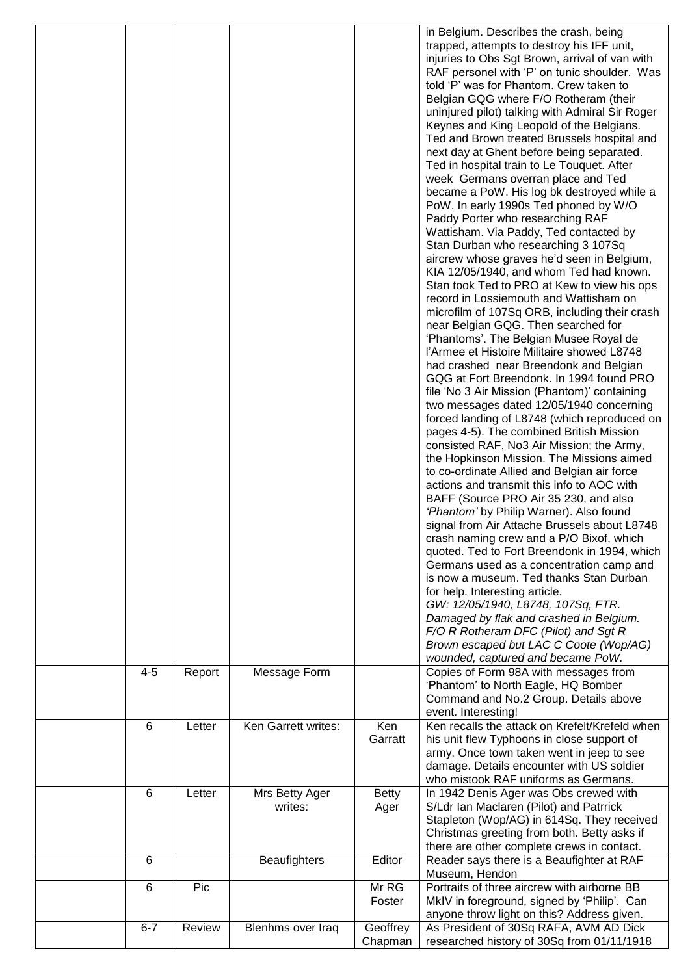|         |        |                           |                      | in Belgium. Describes the crash, being<br>trapped, attempts to destroy his IFF unit,<br>injuries to Obs Sgt Brown, arrival of van with<br>RAF personel with 'P' on tunic shoulder. Was<br>told 'P' was for Phantom. Crew taken to<br>Belgian GQG where F/O Rotheram (their<br>uninjured pilot) talking with Admiral Sir Roger<br>Keynes and King Leopold of the Belgians.<br>Ted and Brown treated Brussels hospital and<br>next day at Ghent before being separated.<br>Ted in hospital train to Le Touquet. After<br>week Germans overran place and Ted<br>became a PoW. His log bk destroyed while a<br>PoW. In early 1990s Ted phoned by W/O<br>Paddy Porter who researching RAF<br>Wattisham. Via Paddy, Ted contacted by<br>Stan Durban who researching 3 107Sq<br>aircrew whose graves he'd seen in Belgium,<br>KIA 12/05/1940, and whom Ted had known.<br>Stan took Ted to PRO at Kew to view his ops<br>record in Lossiemouth and Wattisham on<br>microfilm of 107Sq ORB, including their crash<br>near Belgian GQG. Then searched for<br>'Phantoms'. The Belgian Musee Royal de<br>l'Armee et Histoire Militaire showed L8748<br>had crashed near Breendonk and Belgian<br>GQG at Fort Breendonk. In 1994 found PRO<br>file 'No 3 Air Mission (Phantom)' containing<br>two messages dated 12/05/1940 concerning<br>forced landing of L8748 (which reproduced on<br>pages 4-5). The combined British Mission<br>consisted RAF, No3 Air Mission; the Army,<br>the Hopkinson Mission. The Missions aimed<br>to co-ordinate Allied and Belgian air force<br>actions and transmit this info to AOC with<br>BAFF (Source PRO Air 35 230, and also<br>'Phantom' by Philip Warner). Also found<br>signal from Air Attache Brussels about L8748<br>crash naming crew and a P/O Bixof, which<br>quoted. Ted to Fort Breendonk in 1994, which<br>Germans used as a concentration camp and<br>is now a museum. Ted thanks Stan Durban<br>for help. Interesting article.<br>GW: 12/05/1940, L8748, 107Sq, FTR.<br>Damaged by flak and crashed in Belgium.<br>F/O R Rotheram DFC (Pilot) and Sgt R<br>Brown escaped but LAC C Coote (Wop/AG)<br>wounded, captured and became PoW. |
|---------|--------|---------------------------|----------------------|-------------------------------------------------------------------------------------------------------------------------------------------------------------------------------------------------------------------------------------------------------------------------------------------------------------------------------------------------------------------------------------------------------------------------------------------------------------------------------------------------------------------------------------------------------------------------------------------------------------------------------------------------------------------------------------------------------------------------------------------------------------------------------------------------------------------------------------------------------------------------------------------------------------------------------------------------------------------------------------------------------------------------------------------------------------------------------------------------------------------------------------------------------------------------------------------------------------------------------------------------------------------------------------------------------------------------------------------------------------------------------------------------------------------------------------------------------------------------------------------------------------------------------------------------------------------------------------------------------------------------------------------------------------------------------------------------------------------------------------------------------------------------------------------------------------------------------------------------------------------------------------------------------------------------------------------------------------------------------------------------------------------------------------------------------------------------------------------------------------------------------------------------------------------------------|
| $4 - 5$ | Report | Message Form              |                      | Copies of Form 98A with messages from<br>'Phantom' to North Eagle, HQ Bomber<br>Command and No.2 Group. Details above<br>event. Interesting!                                                                                                                                                                                                                                                                                                                                                                                                                                                                                                                                                                                                                                                                                                                                                                                                                                                                                                                                                                                                                                                                                                                                                                                                                                                                                                                                                                                                                                                                                                                                                                                                                                                                                                                                                                                                                                                                                                                                                                                                                                  |
| 6       | Letter | Ken Garrett writes:       | Ken<br>Garratt       | Ken recalls the attack on Krefelt/Krefeld when<br>his unit flew Typhoons in close support of<br>army. Once town taken went in jeep to see<br>damage. Details encounter with US soldier<br>who mistook RAF uniforms as Germans.                                                                                                                                                                                                                                                                                                                                                                                                                                                                                                                                                                                                                                                                                                                                                                                                                                                                                                                                                                                                                                                                                                                                                                                                                                                                                                                                                                                                                                                                                                                                                                                                                                                                                                                                                                                                                                                                                                                                                |
| 6       | Letter | Mrs Betty Ager<br>writes: | <b>Betty</b><br>Ager | In 1942 Denis Ager was Obs crewed with<br>S/Ldr Ian Maclaren (Pilot) and Patrrick<br>Stapleton (Wop/AG) in 614Sq. They received<br>Christmas greeting from both. Betty asks if<br>there are other complete crews in contact.                                                                                                                                                                                                                                                                                                                                                                                                                                                                                                                                                                                                                                                                                                                                                                                                                                                                                                                                                                                                                                                                                                                                                                                                                                                                                                                                                                                                                                                                                                                                                                                                                                                                                                                                                                                                                                                                                                                                                  |
| 6       |        | <b>Beaufighters</b>       | Editor               | Reader says there is a Beaufighter at RAF                                                                                                                                                                                                                                                                                                                                                                                                                                                                                                                                                                                                                                                                                                                                                                                                                                                                                                                                                                                                                                                                                                                                                                                                                                                                                                                                                                                                                                                                                                                                                                                                                                                                                                                                                                                                                                                                                                                                                                                                                                                                                                                                     |
| 6       | Pic    |                           | Mr RG                | Museum, Hendon<br>Portraits of three aircrew with airborne BB                                                                                                                                                                                                                                                                                                                                                                                                                                                                                                                                                                                                                                                                                                                                                                                                                                                                                                                                                                                                                                                                                                                                                                                                                                                                                                                                                                                                                                                                                                                                                                                                                                                                                                                                                                                                                                                                                                                                                                                                                                                                                                                 |
| $6 - 7$ | Review | Blenhms over Iraq         | Foster<br>Geoffrey   | MkIV in foreground, signed by 'Philip'. Can<br>anyone throw light on this? Address given.<br>As President of 30Sq RAFA, AVM AD Dick                                                                                                                                                                                                                                                                                                                                                                                                                                                                                                                                                                                                                                                                                                                                                                                                                                                                                                                                                                                                                                                                                                                                                                                                                                                                                                                                                                                                                                                                                                                                                                                                                                                                                                                                                                                                                                                                                                                                                                                                                                           |
|         |        |                           | Chapman              | researched history of 30Sq from 01/11/1918                                                                                                                                                                                                                                                                                                                                                                                                                                                                                                                                                                                                                                                                                                                                                                                                                                                                                                                                                                                                                                                                                                                                                                                                                                                                                                                                                                                                                                                                                                                                                                                                                                                                                                                                                                                                                                                                                                                                                                                                                                                                                                                                    |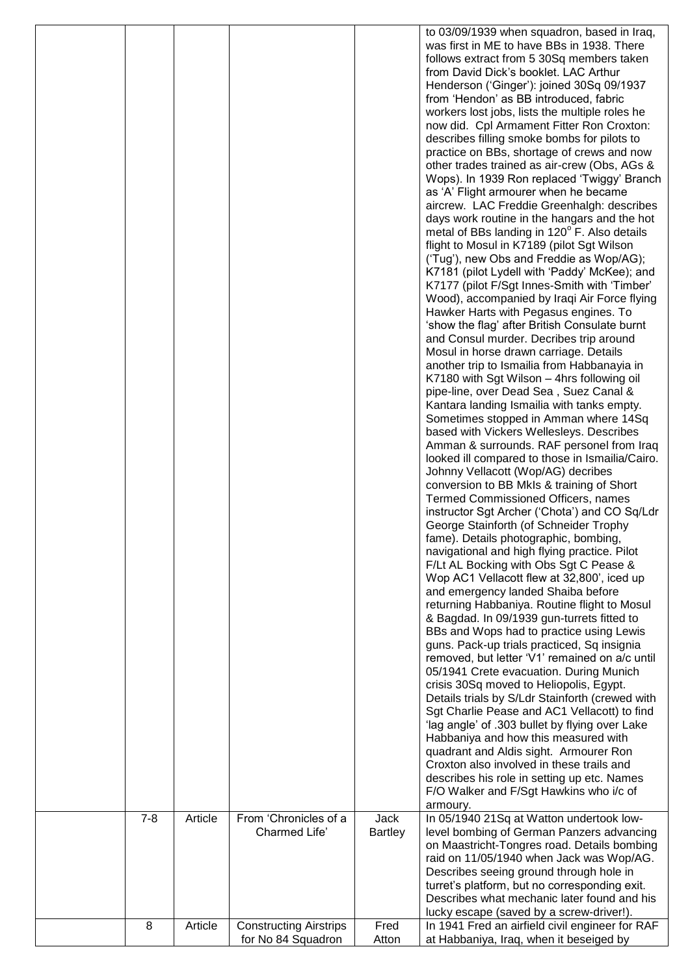|         |         |                                        |                        | to 03/09/1939 when squadron, based in Iraq,<br>was first in ME to have BBs in 1938. There<br>follows extract from 5 30Sq members taken |
|---------|---------|----------------------------------------|------------------------|----------------------------------------------------------------------------------------------------------------------------------------|
|         |         |                                        |                        | from David Dick's booklet. LAC Arthur<br>Henderson ('Ginger'): joined 30Sq 09/1937                                                     |
|         |         |                                        |                        | from 'Hendon' as BB introduced, fabric                                                                                                 |
|         |         |                                        |                        | workers lost jobs, lists the multiple roles he<br>now did. Cpl Armament Fitter Ron Croxton:                                            |
|         |         |                                        |                        | describes filling smoke bombs for pilots to                                                                                            |
|         |         |                                        |                        | practice on BBs, shortage of crews and now                                                                                             |
|         |         |                                        |                        | other trades trained as air-crew (Obs, AGs &<br>Wops). In 1939 Ron replaced 'Twiggy' Branch                                            |
|         |         |                                        |                        | as 'A' Flight armourer when he became                                                                                                  |
|         |         |                                        |                        | aircrew. LAC Freddie Greenhalgh: describes                                                                                             |
|         |         |                                        |                        | days work routine in the hangars and the hot                                                                                           |
|         |         |                                        |                        | metal of BBs landing in 120° F. Also details<br>flight to Mosul in K7189 (pilot Sgt Wilson                                             |
|         |         |                                        |                        | ('Tug'), new Obs and Freddie as Wop/AG);                                                                                               |
|         |         |                                        |                        | K7181 (pilot Lydell with 'Paddy' McKee); and                                                                                           |
|         |         |                                        |                        | K7177 (pilot F/Sgt Innes-Smith with 'Timber'<br>Wood), accompanied by Iraqi Air Force flying                                           |
|         |         |                                        |                        | Hawker Harts with Pegasus engines. To                                                                                                  |
|         |         |                                        |                        | 'show the flag' after British Consulate burnt                                                                                          |
|         |         |                                        |                        | and Consul murder. Decribes trip around                                                                                                |
|         |         |                                        |                        | Mosul in horse drawn carriage. Details<br>another trip to Ismailia from Habbanayia in                                                  |
|         |         |                                        |                        | K7180 with Sgt Wilson - 4hrs following oil                                                                                             |
|         |         |                                        |                        | pipe-line, over Dead Sea, Suez Canal &                                                                                                 |
|         |         |                                        |                        | Kantara landing Ismailia with tanks empty.<br>Sometimes stopped in Amman where 14Sq                                                    |
|         |         |                                        |                        | based with Vickers Wellesleys. Describes                                                                                               |
|         |         |                                        |                        | Amman & surrounds. RAF personel from Iraq                                                                                              |
|         |         |                                        |                        | looked ill compared to those in Ismailia/Cairo.                                                                                        |
|         |         |                                        |                        | Johnny Vellacott (Wop/AG) decribes<br>conversion to BB MkIs & training of Short                                                        |
|         |         |                                        |                        | Termed Commissioned Officers, names                                                                                                    |
|         |         |                                        |                        | instructor Sgt Archer ('Chota') and CO Sq/Ldr                                                                                          |
|         |         |                                        |                        | George Stainforth (of Schneider Trophy<br>fame). Details photographic, bombing,                                                        |
|         |         |                                        |                        | navigational and high flying practice. Pilot                                                                                           |
|         |         |                                        |                        | F/Lt AL Bocking with Obs Sgt C Pease &                                                                                                 |
|         |         |                                        |                        | Wop AC1 Vellacott flew at 32,800', iced up                                                                                             |
|         |         |                                        |                        | and emergency landed Shaiba before<br>returning Habbaniya. Routine flight to Mosul                                                     |
|         |         |                                        |                        | & Bagdad. In 09/1939 gun-turrets fitted to                                                                                             |
|         |         |                                        |                        | BBs and Wops had to practice using Lewis                                                                                               |
|         |         |                                        |                        | guns. Pack-up trials practiced, Sq insignia<br>removed, but letter 'V1' remained on a/c until                                          |
|         |         |                                        |                        | 05/1941 Crete evacuation. During Munich                                                                                                |
|         |         |                                        |                        | crisis 30Sq moved to Heliopolis, Egypt.                                                                                                |
|         |         |                                        |                        | Details trials by S/Ldr Stainforth (crewed with                                                                                        |
|         |         |                                        |                        | Sgt Charlie Pease and AC1 Vellacott) to find<br>'lag angle' of .303 bullet by flying over Lake                                         |
|         |         |                                        |                        | Habbaniya and how this measured with                                                                                                   |
|         |         |                                        |                        | quadrant and Aldis sight. Armourer Ron                                                                                                 |
|         |         |                                        |                        | Croxton also involved in these trails and<br>describes his role in setting up etc. Names                                               |
|         |         |                                        |                        | F/O Walker and F/Sgt Hawkins who i/c of                                                                                                |
|         |         |                                        |                        | armoury.                                                                                                                               |
| $7 - 8$ | Article | From 'Chronicles of a<br>Charmed Life' | Jack<br><b>Bartley</b> | In 05/1940 21Sq at Watton undertook low-<br>level bombing of German Panzers advancing                                                  |
|         |         |                                        |                        | on Maastricht-Tongres road. Details bombing                                                                                            |
|         |         |                                        |                        | raid on 11/05/1940 when Jack was Wop/AG.                                                                                               |
|         |         |                                        |                        | Describes seeing ground through hole in                                                                                                |
|         |         |                                        |                        | turret's platform, but no corresponding exit.<br>Describes what mechanic later found and his                                           |
|         |         |                                        |                        | lucky escape (saved by a screw-driver!).                                                                                               |
| 8       | Article | <b>Constructing Airstrips</b>          | Fred                   | In 1941 Fred an airfield civil engineer for RAF                                                                                        |
|         |         | for No 84 Squadron                     | Atton                  | at Habbaniya, Iraq, when it beseiged by                                                                                                |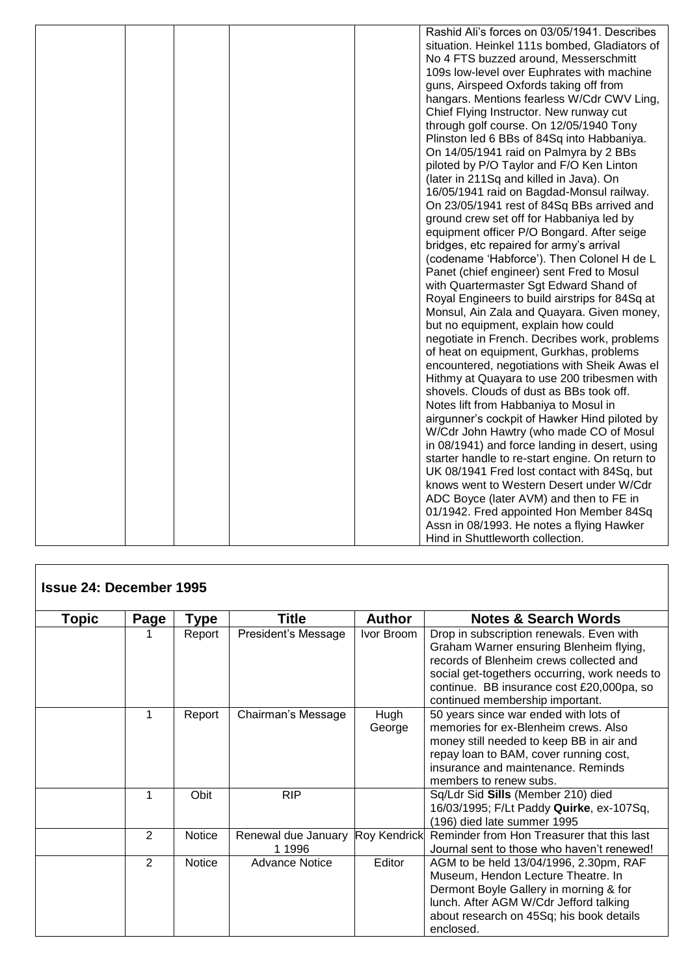|  |  | Rashid Ali's forces on 03/05/1941. Describes    |
|--|--|-------------------------------------------------|
|  |  | situation. Heinkel 111s bombed, Gladiators of   |
|  |  | No 4 FTS buzzed around, Messerschmitt           |
|  |  | 109s low-level over Euphrates with machine      |
|  |  | guns, Airspeed Oxfords taking off from          |
|  |  | hangars. Mentions fearless W/Cdr CWV Ling,      |
|  |  | Chief Flying Instructor. New runway cut         |
|  |  | through golf course. On 12/05/1940 Tony         |
|  |  | Plinston led 6 BBs of 84Sq into Habbaniya.      |
|  |  | On 14/05/1941 raid on Palmyra by 2 BBs          |
|  |  | piloted by P/O Taylor and F/O Ken Linton        |
|  |  | (later in 211Sq and killed in Java). On         |
|  |  | 16/05/1941 raid on Bagdad-Monsul railway.       |
|  |  | On 23/05/1941 rest of 84Sq BBs arrived and      |
|  |  | ground crew set off for Habbaniya led by        |
|  |  | equipment officer P/O Bongard. After seige      |
|  |  | bridges, etc repaired for army's arrival        |
|  |  | (codename 'Habforce'). Then Colonel H de L      |
|  |  | Panet (chief engineer) sent Fred to Mosul       |
|  |  | with Quartermaster Sgt Edward Shand of          |
|  |  | Royal Engineers to build airstrips for 84Sq at  |
|  |  | Monsul, Ain Zala and Quayara. Given money,      |
|  |  | but no equipment, explain how could             |
|  |  | negotiate in French. Decribes work, problems    |
|  |  | of heat on equipment, Gurkhas, problems         |
|  |  | encountered, negotiations with Sheik Awas el    |
|  |  | Hithmy at Quayara to use 200 tribesmen with     |
|  |  | shovels. Clouds of dust as BBs took off.        |
|  |  | Notes lift from Habbaniya to Mosul in           |
|  |  | airgunner's cockpit of Hawker Hind piloted by   |
|  |  | W/Cdr John Hawtry (who made CO of Mosul         |
|  |  | in 08/1941) and force landing in desert, using  |
|  |  | starter handle to re-start engine. On return to |
|  |  | UK 08/1941 Fred lost contact with 84Sq, but     |
|  |  | knows went to Western Desert under W/Cdr        |
|  |  | ADC Boyce (later AVM) and then to FE in         |
|  |  | 01/1942. Fred appointed Hon Member 84Sq         |
|  |  | Assn in 08/1993. He notes a flying Hawker       |
|  |  | Hind in Shuttleworth collection.                |

| <b>Issue 24: December 1995</b> |                |               |                               |                     |                                                                                                                                                                                                                                                                 |
|--------------------------------|----------------|---------------|-------------------------------|---------------------|-----------------------------------------------------------------------------------------------------------------------------------------------------------------------------------------------------------------------------------------------------------------|
| Topic                          | Page           | Type          | <b>Title</b>                  | <b>Author</b>       | <b>Notes &amp; Search Words</b>                                                                                                                                                                                                                                 |
|                                |                | Report        | President's Message           | Ivor Broom          | Drop in subscription renewals. Even with<br>Graham Warner ensuring Blenheim flying,<br>records of Blenheim crews collected and<br>social get-togethers occurring, work needs to<br>continue. BB insurance cost £20,000pa, so<br>continued membership important. |
|                                | 1              | Report        | Chairman's Message            | Hugh<br>George      | 50 years since war ended with lots of<br>memories for ex-Blenheim crews. Also<br>money still needed to keep BB in air and<br>repay loan to BAM, cover running cost,<br>insurance and maintenance. Reminds<br>members to renew subs.                             |
|                                |                | Obit          | <b>RIP</b>                    |                     | Sq/Ldr Sid Sills (Member 210) died<br>16/03/1995; F/Lt Paddy Quirke, ex-107Sq,<br>(196) died late summer 1995                                                                                                                                                   |
|                                | $\overline{2}$ | <b>Notice</b> | Renewal due January<br>1 1996 | <b>Roy Kendrick</b> | Reminder from Hon Treasurer that this last<br>Journal sent to those who haven't renewed!                                                                                                                                                                        |
|                                | $\overline{2}$ | <b>Notice</b> | <b>Advance Notice</b>         | Editor              | AGM to be held 13/04/1996, 2.30pm, RAF<br>Museum, Hendon Lecture Theatre. In<br>Dermont Boyle Gallery in morning & for<br>lunch. After AGM W/Cdr Jefford talking<br>about research on 45Sq; his book details<br>enclosed.                                       |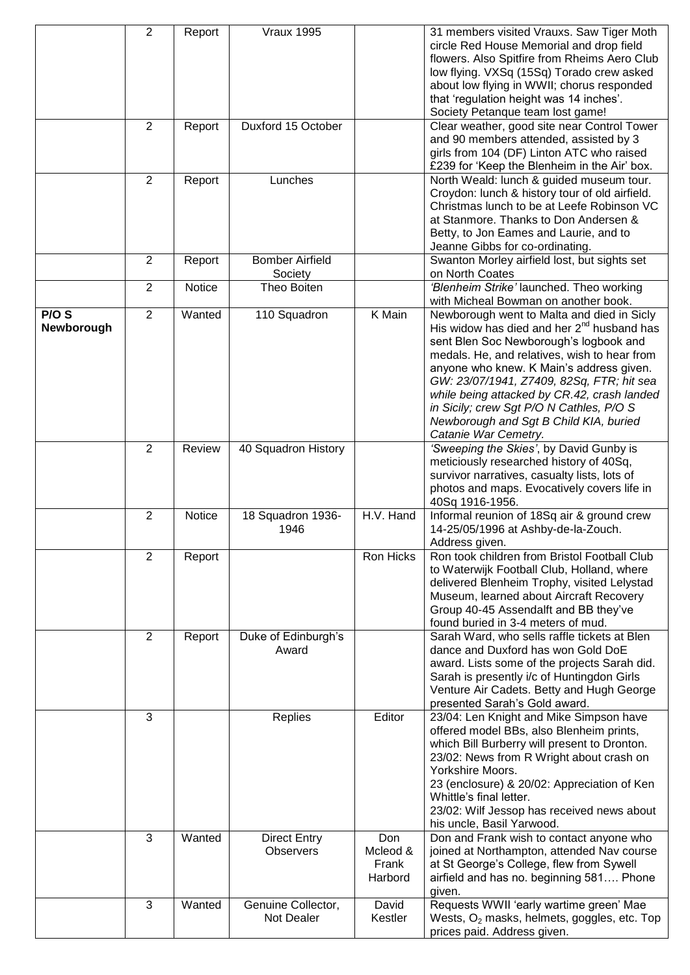|                     | $\overline{2}$ | Report        | <b>Vraux 1995</b>                       |                                     | 31 members visited Vrauxs. Saw Tiger Moth<br>circle Red House Memorial and drop field<br>flowers. Also Spitfire from Rheims Aero Club<br>low flying. VXSq (15Sq) Torado crew asked<br>about low flying in WWII; chorus responded<br>that 'regulation height was 14 inches'.<br>Society Petanque team lost game!                                                                                                                            |
|---------------------|----------------|---------------|-----------------------------------------|-------------------------------------|--------------------------------------------------------------------------------------------------------------------------------------------------------------------------------------------------------------------------------------------------------------------------------------------------------------------------------------------------------------------------------------------------------------------------------------------|
|                     | 2              | Report        | Duxford 15 October                      |                                     | Clear weather, good site near Control Tower<br>and 90 members attended, assisted by 3<br>girls from 104 (DF) Linton ATC who raised<br>£239 for 'Keep the Blenheim in the Air' box.                                                                                                                                                                                                                                                         |
|                     | $\overline{2}$ | Report        | Lunches                                 |                                     | North Weald: lunch & guided museum tour.<br>Croydon: lunch & history tour of old airfield.<br>Christmas lunch to be at Leefe Robinson VC<br>at Stanmore. Thanks to Don Andersen &<br>Betty, to Jon Eames and Laurie, and to<br>Jeanne Gibbs for co-ordinating.                                                                                                                                                                             |
|                     | $\overline{2}$ | Report        | <b>Bomber Airfield</b><br>Society       |                                     | Swanton Morley airfield lost, but sights set<br>on North Coates                                                                                                                                                                                                                                                                                                                                                                            |
|                     | $\overline{2}$ | <b>Notice</b> | Theo Boiten                             |                                     | 'Blenheim Strike' launched. Theo working<br>with Micheal Bowman on another book.                                                                                                                                                                                                                                                                                                                                                           |
| P/O S<br>Newborough | $\overline{2}$ | Wanted        | 110 Squadron                            | K Main                              | Newborough went to Malta and died in Sicly<br>His widow has died and her $2nd$ husband has<br>sent Blen Soc Newborough's logbook and<br>medals. He, and relatives, wish to hear from<br>anyone who knew. K Main's address given.<br>GW: 23/07/1941, Z7409, 82Sq, FTR; hit sea<br>while being attacked by CR.42, crash landed<br>in Sicily; crew Sgt P/O N Cathles, P/O S<br>Newborough and Sgt B Child KIA, buried<br>Catanie War Cemetry. |
|                     | 2              | Review        | 40 Squadron History                     |                                     | 'Sweeping the Skies', by David Gunby is<br>meticiously researched history of 40Sq,<br>survivor narratives, casualty lists, lots of<br>photos and maps. Evocatively covers life in<br>40Sq 1916-1956.                                                                                                                                                                                                                                       |
|                     | $\overline{2}$ | Notice        | 18 Squadron 1936-<br>1946               | H.V. Hand                           | Informal reunion of 18Sq air & ground crew<br>14-25/05/1996 at Ashby-de-la-Zouch.<br>Address given.                                                                                                                                                                                                                                                                                                                                        |
|                     | $\overline{2}$ | Report        |                                         | Ron Hicks                           | Ron took children from Bristol Football Club<br>to Waterwijk Football Club, Holland, where<br>delivered Blenheim Trophy, visited Lelystad<br>Museum, learned about Aircraft Recovery<br>Group 40-45 Assendalft and BB they've<br>found buried in 3-4 meters of mud.                                                                                                                                                                        |
|                     | 2              | Report        | Duke of Edinburgh's<br>Award            |                                     | Sarah Ward, who sells raffle tickets at Blen<br>dance and Duxford has won Gold DoE<br>award. Lists some of the projects Sarah did.<br>Sarah is presently i/c of Huntingdon Girls<br>Venture Air Cadets. Betty and Hugh George<br>presented Sarah's Gold award.                                                                                                                                                                             |
|                     | 3              |               | Replies                                 | Editor                              | 23/04: Len Knight and Mike Simpson have<br>offered model BBs, also Blenheim prints,<br>which Bill Burberry will present to Dronton.<br>23/02: News from R Wright about crash on<br>Yorkshire Moors.<br>23 (enclosure) & 20/02: Appreciation of Ken<br>Whittle's final letter.<br>23/02: Wilf Jessop has received news about<br>his uncle, Basil Yarwood.                                                                                   |
|                     | 3              | Wanted        | <b>Direct Entry</b><br><b>Observers</b> | Don<br>Mcleod &<br>Frank<br>Harbord | Don and Frank wish to contact anyone who<br>joined at Northampton, attended Nav course<br>at St George's College, flew from Sywell<br>airfield and has no. beginning 581 Phone<br>given.                                                                                                                                                                                                                                                   |
|                     | 3              | Wanted        | Genuine Collector,<br>Not Dealer        | David<br>Kestler                    | Requests WWII 'early wartime green' Mae<br>Wests, $O_2$ masks, helmets, goggles, etc. Top<br>prices paid. Address given.                                                                                                                                                                                                                                                                                                                   |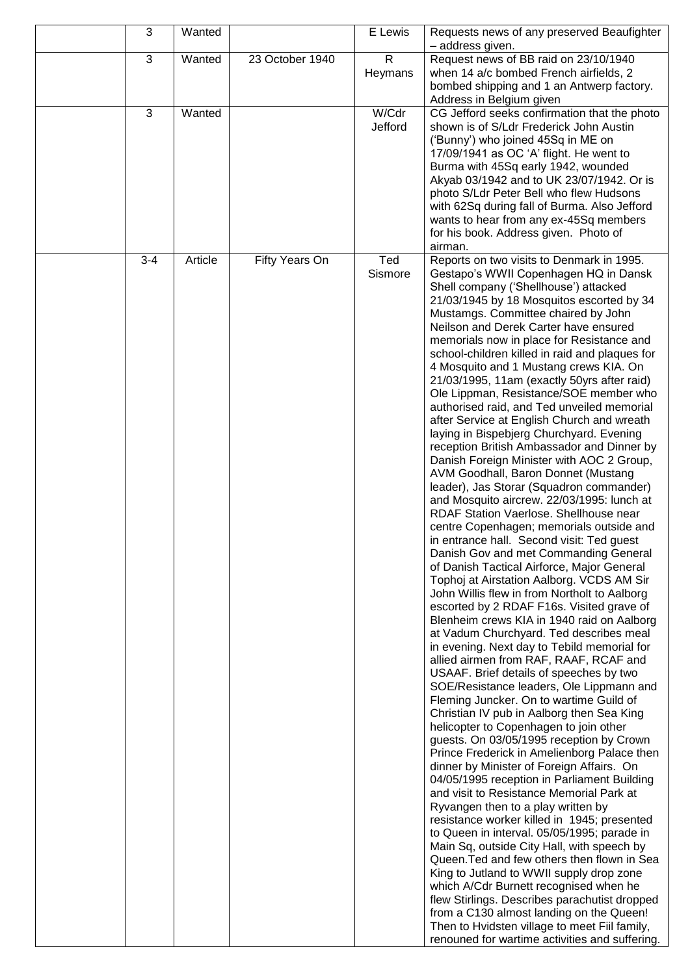| 3       | Wanted  |                 | E Lewis                 | Requests news of any preserved Beaufighter<br>- address given.                                                                                                                                                                                                                                                                                                                                                                                                                                                                                                                                                                                                                                                                                                                                                                                                                                                                                                                                                                                                                                                                                                                                                                                                                                                                                                                                                                                                                                                                                                                                                                                                                                                                                                                                                                                                                                                                                                                                                                                                                                                                                                                                                                                                                                                                                                                                          |
|---------|---------|-----------------|-------------------------|---------------------------------------------------------------------------------------------------------------------------------------------------------------------------------------------------------------------------------------------------------------------------------------------------------------------------------------------------------------------------------------------------------------------------------------------------------------------------------------------------------------------------------------------------------------------------------------------------------------------------------------------------------------------------------------------------------------------------------------------------------------------------------------------------------------------------------------------------------------------------------------------------------------------------------------------------------------------------------------------------------------------------------------------------------------------------------------------------------------------------------------------------------------------------------------------------------------------------------------------------------------------------------------------------------------------------------------------------------------------------------------------------------------------------------------------------------------------------------------------------------------------------------------------------------------------------------------------------------------------------------------------------------------------------------------------------------------------------------------------------------------------------------------------------------------------------------------------------------------------------------------------------------------------------------------------------------------------------------------------------------------------------------------------------------------------------------------------------------------------------------------------------------------------------------------------------------------------------------------------------------------------------------------------------------------------------------------------------------------------------------------------------------|
| 3       | Wanted  | 23 October 1940 | $\mathsf{R}$<br>Heymans | Request news of BB raid on 23/10/1940<br>when 14 a/c bombed French airfields, 2<br>bombed shipping and 1 an Antwerp factory.<br>Address in Belgium given                                                                                                                                                                                                                                                                                                                                                                                                                                                                                                                                                                                                                                                                                                                                                                                                                                                                                                                                                                                                                                                                                                                                                                                                                                                                                                                                                                                                                                                                                                                                                                                                                                                                                                                                                                                                                                                                                                                                                                                                                                                                                                                                                                                                                                                |
| 3       | Wanted  |                 | W/Cdr<br>Jefford        | CG Jefford seeks confirmation that the photo<br>shown is of S/Ldr Frederick John Austin<br>('Bunny') who joined 45Sq in ME on<br>17/09/1941 as OC 'A' flight. He went to<br>Burma with 45Sq early 1942, wounded<br>Akyab 03/1942 and to UK 23/07/1942. Or is<br>photo S/Ldr Peter Bell who flew Hudsons<br>with 62Sq during fall of Burma. Also Jefford<br>wants to hear from any ex-45Sq members<br>for his book. Address given. Photo of<br>airman.                                                                                                                                                                                                                                                                                                                                                                                                                                                                                                                                                                                                                                                                                                                                                                                                                                                                                                                                                                                                                                                                                                                                                                                                                                                                                                                                                                                                                                                                                                                                                                                                                                                                                                                                                                                                                                                                                                                                                   |
| $3 - 4$ | Article | Fifty Years On  | Ted<br>Sismore          | Reports on two visits to Denmark in 1995.<br>Gestapo's WWII Copenhagen HQ in Dansk<br>Shell company ('Shellhouse') attacked<br>21/03/1945 by 18 Mosquitos escorted by 34<br>Mustamgs. Committee chaired by John<br>Neilson and Derek Carter have ensured<br>memorials now in place for Resistance and<br>school-children killed in raid and plaques for<br>4 Mosquito and 1 Mustang crews KIA. On<br>21/03/1995, 11am (exactly 50yrs after raid)<br>Ole Lippman, Resistance/SOE member who<br>authorised raid, and Ted unveiled memorial<br>after Service at English Church and wreath<br>laying in Bispebjerg Churchyard. Evening<br>reception British Ambassador and Dinner by<br>Danish Foreign Minister with AOC 2 Group,<br>AVM Goodhall, Baron Donnet (Mustang<br>leader), Jas Storar (Squadron commander)<br>and Mosquito aircrew. 22/03/1995: lunch at<br>RDAF Station Vaerlose. Shellhouse near<br>centre Copenhagen; memorials outside and<br>in entrance hall. Second visit: Ted guest<br>Danish Gov and met Commanding General<br>of Danish Tactical Airforce, Major General<br>Tophoj at Airstation Aalborg. VCDS AM Sir<br>John Willis flew in from Northolt to Aalborg<br>escorted by 2 RDAF F16s. Visited grave of<br>Blenheim crews KIA in 1940 raid on Aalborg<br>at Vadum Churchyard. Ted describes meal<br>in evening. Next day to Tebild memorial for<br>allied airmen from RAF, RAAF, RCAF and<br>USAAF. Brief details of speeches by two<br>SOE/Resistance leaders, Ole Lippmann and<br>Fleming Juncker. On to wartime Guild of<br>Christian IV pub in Aalborg then Sea King<br>helicopter to Copenhagen to join other<br>guests. On 03/05/1995 reception by Crown<br>Prince Frederick in Amelienborg Palace then<br>dinner by Minister of Foreign Affairs. On<br>04/05/1995 reception in Parliament Building<br>and visit to Resistance Memorial Park at<br>Ryvangen then to a play written by<br>resistance worker killed in 1945; presented<br>to Queen in interval. 05/05/1995; parade in<br>Main Sq, outside City Hall, with speech by<br>Queen. Ted and few others then flown in Sea<br>King to Jutland to WWII supply drop zone<br>which A/Cdr Burnett recognised when he<br>flew Stirlings. Describes parachutist dropped<br>from a C130 almost landing on the Queen!<br>Then to Hvidsten village to meet Fiil family,<br>renouned for wartime activities and suffering. |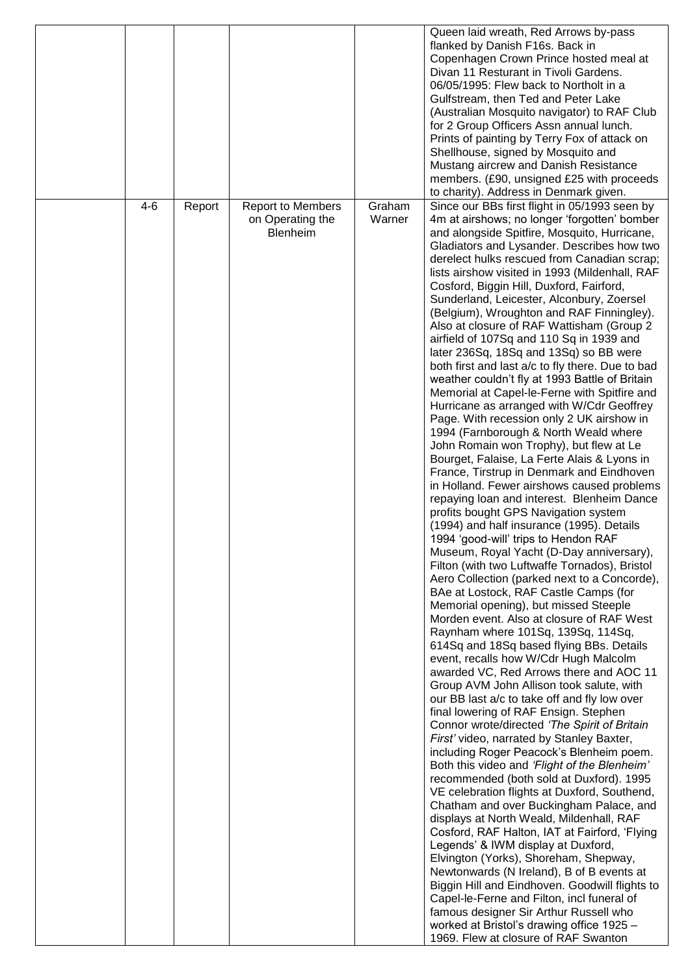|         |        |                                                          |                  | Queen laid wreath, Red Arrows by-pass<br>flanked by Danish F16s. Back in<br>Copenhagen Crown Prince hosted meal at<br>Divan 11 Resturant in Tivoli Gardens.<br>06/05/1995: Flew back to Northolt in a<br>Gulfstream, then Ted and Peter Lake<br>(Australian Mosquito navigator) to RAF Club<br>for 2 Group Officers Assn annual lunch.<br>Prints of painting by Terry Fox of attack on<br>Shellhouse, signed by Mosquito and<br>Mustang aircrew and Danish Resistance<br>members. (£90, unsigned £25 with proceeds<br>to charity). Address in Denmark given.                                                                                                                                                                                                                                                                                                                                                                                                                                                                                                                                                                                                                                                                                                                                                                                                                                                                                                                                                                                                                                                                                                                                                                                                                                                                                                                                                                                                                                                                                                                                                                                                                                                                                                                                                                                                                                                                                                                                                                                                                                                   |
|---------|--------|----------------------------------------------------------|------------------|----------------------------------------------------------------------------------------------------------------------------------------------------------------------------------------------------------------------------------------------------------------------------------------------------------------------------------------------------------------------------------------------------------------------------------------------------------------------------------------------------------------------------------------------------------------------------------------------------------------------------------------------------------------------------------------------------------------------------------------------------------------------------------------------------------------------------------------------------------------------------------------------------------------------------------------------------------------------------------------------------------------------------------------------------------------------------------------------------------------------------------------------------------------------------------------------------------------------------------------------------------------------------------------------------------------------------------------------------------------------------------------------------------------------------------------------------------------------------------------------------------------------------------------------------------------------------------------------------------------------------------------------------------------------------------------------------------------------------------------------------------------------------------------------------------------------------------------------------------------------------------------------------------------------------------------------------------------------------------------------------------------------------------------------------------------------------------------------------------------------------------------------------------------------------------------------------------------------------------------------------------------------------------------------------------------------------------------------------------------------------------------------------------------------------------------------------------------------------------------------------------------------------------------------------------------------------------------------------------------|
| $4 - 6$ | Report | <b>Report to Members</b><br>on Operating the<br>Blenheim | Graham<br>Warner | Since our BBs first flight in 05/1993 seen by<br>4m at airshows; no longer 'forgotten' bomber<br>and alongside Spitfire, Mosquito, Hurricane,<br>Gladiators and Lysander. Describes how two<br>derelect hulks rescued from Canadian scrap;<br>lists airshow visited in 1993 (Mildenhall, RAF<br>Cosford, Biggin Hill, Duxford, Fairford,<br>Sunderland, Leicester, Alconbury, Zoersel<br>(Belgium), Wroughton and RAF Finningley).<br>Also at closure of RAF Wattisham (Group 2)<br>airfield of 107Sq and 110 Sq in 1939 and<br>later 236Sq, 18Sq and 13Sq) so BB were<br>both first and last a/c to fly there. Due to bad<br>weather couldn't fly at 1993 Battle of Britain<br>Memorial at Capel-le-Ferne with Spitfire and<br>Hurricane as arranged with W/Cdr Geoffrey<br>Page. With recession only 2 UK airshow in<br>1994 (Farnborough & North Weald where<br>John Romain won Trophy), but flew at Le<br>Bourget, Falaise, La Ferte Alais & Lyons in<br>France, Tirstrup in Denmark and Eindhoven<br>in Holland. Fewer airshows caused problems<br>repaying loan and interest. Blenheim Dance<br>profits bought GPS Navigation system<br>(1994) and half insurance (1995). Details<br>1994 'good-will' trips to Hendon RAF<br>Museum, Royal Yacht (D-Day anniversary),<br>Filton (with two Luftwaffe Tornados), Bristol<br>Aero Collection (parked next to a Concorde),<br>BAe at Lostock, RAF Castle Camps (for<br>Memorial opening), but missed Steeple<br>Morden event. Also at closure of RAF West<br>Raynham where 101Sq, 139Sq, 114Sq,<br>614Sq and 18Sq based flying BBs. Details<br>event, recalls how W/Cdr Hugh Malcolm<br>awarded VC, Red Arrows there and AOC 11<br>Group AVM John Allison took salute, with<br>our BB last a/c to take off and fly low over<br>final lowering of RAF Ensign. Stephen<br>Connor wrote/directed 'The Spirit of Britain<br>First' video, narrated by Stanley Baxter,<br>including Roger Peacock's Blenheim poem.<br>Both this video and 'Flight of the Blenheim'<br>recommended (both sold at Duxford). 1995<br>VE celebration flights at Duxford, Southend,<br>Chatham and over Buckingham Palace, and<br>displays at North Weald, Mildenhall, RAF<br>Cosford, RAF Halton, IAT at Fairford, 'Flying<br>Legends' & IWM display at Duxford,<br>Elvington (Yorks), Shoreham, Shepway,<br>Newtonwards (N Ireland), B of B events at<br>Biggin Hill and Eindhoven. Goodwill flights to<br>Capel-le-Ferne and Filton, incl funeral of<br>famous designer Sir Arthur Russell who<br>worked at Bristol's drawing office 1925 -<br>1969. Flew at closure of RAF Swanton |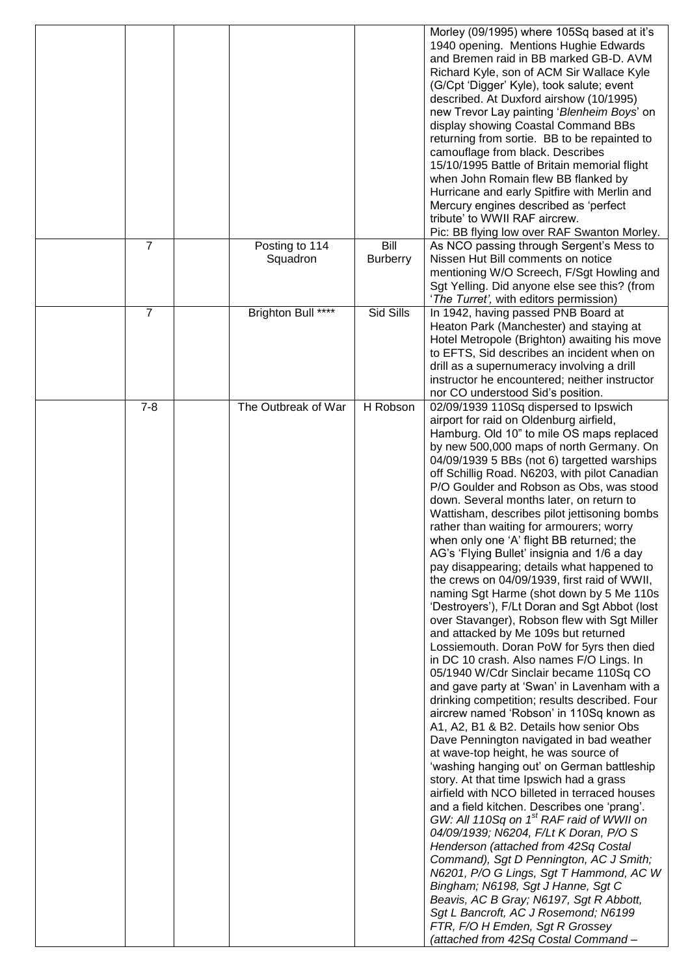|                |                     |                 | Morley (09/1995) where 105Sq based at it's                                                   |
|----------------|---------------------|-----------------|----------------------------------------------------------------------------------------------|
|                |                     |                 | 1940 opening. Mentions Hughie Edwards<br>and Bremen raid in BB marked GB-D. AVM              |
|                |                     |                 | Richard Kyle, son of ACM Sir Wallace Kyle                                                    |
|                |                     |                 | (G/Cpt 'Digger' Kyle), took salute; event                                                    |
|                |                     |                 | described. At Duxford airshow (10/1995)                                                      |
|                |                     |                 | new Trevor Lay painting 'Blenheim Boys' on                                                   |
|                |                     |                 | display showing Coastal Command BBs<br>returning from sortie. BB to be repainted to          |
|                |                     |                 | camouflage from black. Describes                                                             |
|                |                     |                 | 15/10/1995 Battle of Britain memorial flight                                                 |
|                |                     |                 | when John Romain flew BB flanked by                                                          |
|                |                     |                 | Hurricane and early Spitfire with Merlin and                                                 |
|                |                     |                 | Mercury engines described as 'perfect                                                        |
|                |                     |                 | tribute' to WWII RAF aircrew.                                                                |
| $\overline{7}$ | Posting to 114      | Bill            | Pic: BB flying low over RAF Swanton Morley.<br>As NCO passing through Sergent's Mess to      |
|                | Squadron            | <b>Burberry</b> | Nissen Hut Bill comments on notice                                                           |
|                |                     |                 | mentioning W/O Screech, F/Sgt Howling and                                                    |
|                |                     |                 | Sgt Yelling. Did anyone else see this? (from                                                 |
|                |                     |                 | 'The Turret', with editors permission)                                                       |
| $\overline{7}$ | Brighton Bull ****  | Sid Sills       | In 1942, having passed PNB Board at                                                          |
|                |                     |                 | Heaton Park (Manchester) and staying at                                                      |
|                |                     |                 | Hotel Metropole (Brighton) awaiting his move                                                 |
|                |                     |                 | to EFTS, Sid describes an incident when on<br>drill as a supernumeracy involving a drill     |
|                |                     |                 | instructor he encountered; neither instructor                                                |
|                |                     |                 | nor CO understood Sid's position.                                                            |
| $7 - 8$        | The Outbreak of War | H Robson        | 02/09/1939 110Sq dispersed to Ipswich                                                        |
|                |                     |                 | airport for raid on Oldenburg airfield,                                                      |
|                |                     |                 | Hamburg. Old 10" to mile OS maps replaced                                                    |
|                |                     |                 | by new 500,000 maps of north Germany. On                                                     |
|                |                     |                 | 04/09/1939 5 BBs (not 6) targetted warships<br>off Schillig Road. N6203, with pilot Canadian |
|                |                     |                 | P/O Goulder and Robson as Obs, was stood                                                     |
|                |                     |                 | down. Several months later, on return to                                                     |
|                |                     |                 | Wattisham, describes pilot jettisoning bombs                                                 |
|                |                     |                 | rather than waiting for armourers; worry                                                     |
|                |                     |                 | when only one 'A' flight BB returned; the                                                    |
|                |                     |                 | AG's 'Flying Bullet' insignia and 1/6 a day                                                  |
|                |                     |                 | pay disappearing; details what happened to<br>the crews on 04/09/1939, first raid of WWII,   |
|                |                     |                 | naming Sgt Harme (shot down by 5 Me 110s                                                     |
|                |                     |                 | 'Destroyers'), F/Lt Doran and Sgt Abbot (lost                                                |
|                |                     |                 | over Stavanger), Robson flew with Sgt Miller                                                 |
|                |                     |                 | and attacked by Me 109s but returned                                                         |
|                |                     |                 | Lossiemouth. Doran PoW for 5yrs then died                                                    |
|                |                     |                 | in DC 10 crash. Also names F/O Lings. In                                                     |
|                |                     |                 | 05/1940 W/Cdr Sinclair became 110Sq CO<br>and gave party at 'Swan' in Lavenham with a        |
|                |                     |                 | drinking competition; results described. Four                                                |
|                |                     |                 | aircrew named 'Robson' in 110Sq known as                                                     |
|                |                     |                 | A1, A2, B1 & B2. Details how senior Obs                                                      |
|                |                     |                 | Dave Pennington navigated in bad weather                                                     |
|                |                     |                 | at wave-top height, he was source of                                                         |
|                |                     |                 | 'washing hanging out' on German battleship                                                   |
|                |                     |                 | story. At that time Ipswich had a grass<br>airfield with NCO billeted in terraced houses     |
|                |                     |                 | and a field kitchen. Describes one 'prang'.                                                  |
|                |                     |                 | GW: All 110Sq on 1 <sup>st</sup> RAF raid of WWII on                                         |
|                |                     |                 | 04/09/1939; N6204, F/Lt K Doran, P/O S                                                       |
|                |                     |                 | Henderson (attached from 42Sq Costal                                                         |
|                |                     |                 | Command), Sgt D Pennington, AC J Smith;                                                      |
|                |                     |                 | N6201, P/O G Lings, Sgt T Hammond, AC W                                                      |
|                |                     |                 | Bingham; N6198, Sgt J Hanne, Sgt C<br>Beavis, AC B Gray; N6197, Sgt R Abbott,                |
|                |                     |                 | Sgt L Bancroft, AC J Rosemond; N6199                                                         |
|                |                     |                 | FTR, F/O H Emden, Sgt R Grossey                                                              |
|                |                     |                 | (attached from 42Sq Costal Command-                                                          |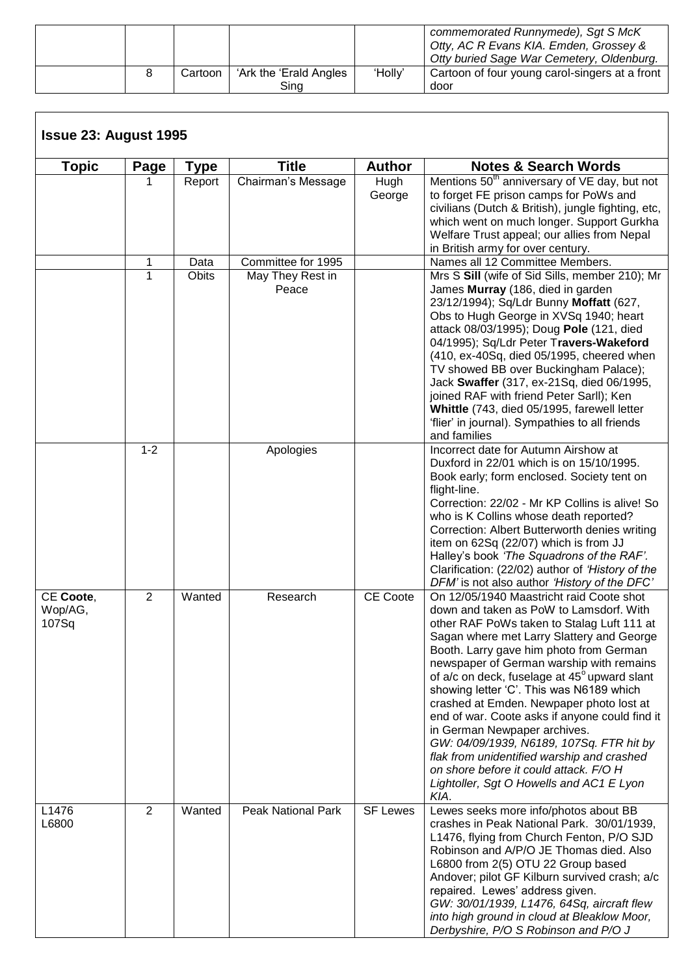|  |         |                                 |         | commemorated Runnymede), Sqt S McK<br>Otty, AC R Evans KIA. Emden, Grossey &<br>Otty buried Sage War Cemetery, Oldenburg. |
|--|---------|---------------------------------|---------|---------------------------------------------------------------------------------------------------------------------------|
|  | Cartoon | 'Ark the 'Erald Angles'<br>Sina | 'Holly' | Cartoon of four young carol-singers at a front<br>door                                                                    |

| <b>Topic</b>                  | Page           | Type   | <b>Title</b>              | <b>Author</b>   | <b>Notes &amp; Search Words</b>                                                                                                                                                                                                                                                                                                                                                                                                                                                                                                                                                                                                                                                         |
|-------------------------------|----------------|--------|---------------------------|-----------------|-----------------------------------------------------------------------------------------------------------------------------------------------------------------------------------------------------------------------------------------------------------------------------------------------------------------------------------------------------------------------------------------------------------------------------------------------------------------------------------------------------------------------------------------------------------------------------------------------------------------------------------------------------------------------------------------|
|                               |                | Report | Chairman's Message        | Hugh<br>George  | Mentions 50 <sup>th</sup> anniversary of VE day, but not<br>to forget FE prison camps for PoWs and<br>civilians (Dutch & British), jungle fighting, etc,<br>which went on much longer. Support Gurkha<br>Welfare Trust appeal; our allies from Nepal<br>in British army for over century.                                                                                                                                                                                                                                                                                                                                                                                               |
|                               | 1              | Data   | Committee for 1995        |                 | Names all 12 Committee Members.                                                                                                                                                                                                                                                                                                                                                                                                                                                                                                                                                                                                                                                         |
|                               | 1              | Obits  | May They Rest in<br>Peace |                 | Mrs S Sill (wife of Sid Sills, member 210); Mr<br>James Murray (186, died in garden<br>23/12/1994); Sq/Ldr Bunny Moffatt (627,<br>Obs to Hugh George in XVSq 1940; heart<br>attack 08/03/1995); Doug Pole (121, died<br>04/1995); Sq/Ldr Peter Travers-Wakeford<br>(410, ex-40Sq, died 05/1995, cheered when<br>TV showed BB over Buckingham Palace);<br>Jack Swaffer (317, ex-21Sq, died 06/1995,<br>joined RAF with friend Peter Sarll); Ken<br>Whittle (743, died 05/1995, farewell letter<br>'flier' in journal). Sympathies to all friends                                                                                                                                         |
|                               | $1 - 2$        |        | Apologies                 |                 | and families<br>Incorrect date for Autumn Airshow at<br>Duxford in 22/01 which is on 15/10/1995.<br>Book early; form enclosed. Society tent on<br>flight-line.<br>Correction: 22/02 - Mr KP Collins is alive! So<br>who is K Collins whose death reported?<br>Correction: Albert Butterworth denies writing<br>item on 62Sq (22/07) which is from JJ<br>Halley's book 'The Squadrons of the RAF'.<br>Clarification: (22/02) author of 'History of the<br>DFM' is not also author 'History of the DFC'                                                                                                                                                                                   |
| CE Coote,<br>Wop/AG,<br>107Sq | $\overline{2}$ | Wanted | Research                  | CE Coote        | On 12/05/1940 Maastricht raid Coote shot<br>down and taken as PoW to Lamsdorf. With<br>other RAF PoWs taken to Stalag Luft 111 at<br>Sagan where met Larry Slattery and George<br>Booth. Larry gave him photo from German<br>newspaper of German warship with remains<br>of a/c on deck, fuselage at 45° upward slant<br>showing letter 'C'. This was N6189 which<br>crashed at Emden. Newpaper photo lost at<br>end of war. Coote asks if anyone could find it<br>in German Newpaper archives.<br>GW: 04/09/1939, N6189, 107Sq. FTR hit by<br>flak from unidentified warship and crashed<br>on shore before it could attack. F/O H<br>Lightoller, Sgt O Howells and AC1 E Lyon<br>KIA. |
| L1476<br>L6800                | $\overline{2}$ | Wanted | <b>Peak National Park</b> | <b>SF Lewes</b> | Lewes seeks more info/photos about BB<br>crashes in Peak National Park. 30/01/1939,<br>L1476, flying from Church Fenton, P/O SJD<br>Robinson and A/P/O JE Thomas died. Also<br>L6800 from 2(5) OTU 22 Group based<br>Andover; pilot GF Kilburn survived crash; a/c<br>repaired. Lewes' address given.<br>GW: 30/01/1939, L1476, 64Sq, aircraft flew<br>into high ground in cloud at Bleaklow Moor,<br>Derbyshire, P/O S Robinson and P/O J                                                                                                                                                                                                                                              |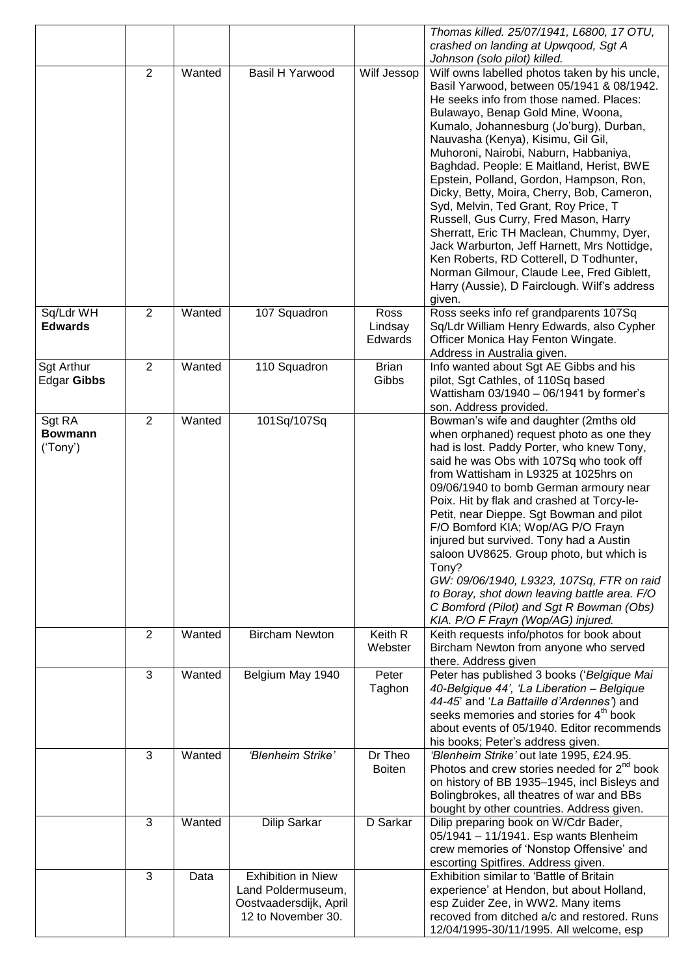|                             |                |        |                                              |                 | Thomas killed. 25/07/1941, L6800, 17 OTU,                                                               |
|-----------------------------|----------------|--------|----------------------------------------------|-----------------|---------------------------------------------------------------------------------------------------------|
|                             |                |        |                                              |                 | crashed on landing at Upwqood, Sgt A                                                                    |
|                             | 2              | Wanted | <b>Basil H Yarwood</b>                       | Wilf Jessop     | Johnson (solo pilot) killed.<br>Wilf owns labelled photos taken by his uncle,                           |
|                             |                |        |                                              |                 | Basil Yarwood, between 05/1941 & 08/1942.                                                               |
|                             |                |        |                                              |                 | He seeks info from those named. Places:                                                                 |
|                             |                |        |                                              |                 | Bulawayo, Benap Gold Mine, Woona,                                                                       |
|                             |                |        |                                              |                 | Kumalo, Johannesburg (Jo'burg), Durban,                                                                 |
|                             |                |        |                                              |                 | Nauvasha (Kenya), Kisimu, Gil Gil,                                                                      |
|                             |                |        |                                              |                 | Muhoroni, Nairobi, Naburn, Habbaniya,                                                                   |
|                             |                |        |                                              |                 | Baghdad. People: E Maitland, Herist, BWE                                                                |
|                             |                |        |                                              |                 | Epstein, Polland, Gordon, Hampson, Ron,                                                                 |
|                             |                |        |                                              |                 | Dicky, Betty, Moira, Cherry, Bob, Cameron,<br>Syd, Melvin, Ted Grant, Roy Price, T                      |
|                             |                |        |                                              |                 | Russell, Gus Curry, Fred Mason, Harry                                                                   |
|                             |                |        |                                              |                 | Sherratt, Eric TH Maclean, Chummy, Dyer,                                                                |
|                             |                |        |                                              |                 | Jack Warburton, Jeff Harnett, Mrs Nottidge,                                                             |
|                             |                |        |                                              |                 | Ken Roberts, RD Cotterell, D Todhunter,                                                                 |
|                             |                |        |                                              |                 | Norman Gilmour, Claude Lee, Fred Giblett,                                                               |
|                             |                |        |                                              |                 | Harry (Aussie), D Fairclough. Wilf's address                                                            |
|                             | $\overline{2}$ |        |                                              |                 | given.                                                                                                  |
| Sq/Ldr WH<br><b>Edwards</b> |                | Wanted | 107 Squadron                                 | Ross<br>Lindsay | Ross seeks info ref grandparents 107Sq<br>Sq/Ldr William Henry Edwards, also Cypher                     |
|                             |                |        |                                              | Edwards         | Officer Monica Hay Fenton Wingate.                                                                      |
|                             |                |        |                                              |                 | Address in Australia given.                                                                             |
| <b>Sgt Arthur</b>           | $\overline{2}$ | Wanted | 110 Squadron                                 | <b>Brian</b>    | Info wanted about Sgt AE Gibbs and his                                                                  |
| <b>Edgar Gibbs</b>          |                |        |                                              | Gibbs           | pilot, Sgt Cathles, of 110Sq based                                                                      |
|                             |                |        |                                              |                 | Wattisham 03/1940 - 06/1941 by former's                                                                 |
|                             |                |        |                                              |                 | son. Address provided.                                                                                  |
| Sgt RA<br><b>Bowmann</b>    | $\overline{2}$ | Wanted | 101Sq/107Sq                                  |                 | Bowman's wife and daughter (2mths old<br>when orphaned) request photo as one they                       |
| ('Tony')                    |                |        |                                              |                 | had is lost. Paddy Porter, who knew Tony,                                                               |
|                             |                |        |                                              |                 | said he was Obs with 107Sq who took off                                                                 |
|                             |                |        |                                              |                 | from Wattisham in L9325 at 1025hrs on                                                                   |
|                             |                |        |                                              |                 | 09/06/1940 to bomb German armoury near                                                                  |
|                             |                |        |                                              |                 | Poix. Hit by flak and crashed at Torcy-le-                                                              |
|                             |                |        |                                              |                 | Petit, near Dieppe. Sgt Bowman and pilot                                                                |
|                             |                |        |                                              |                 | F/O Bomford KIA; Wop/AG P/O Frayn                                                                       |
|                             |                |        |                                              |                 | injured but survived. Tony had a Austin<br>saloon UV8625. Group photo, but which is                     |
|                             |                |        |                                              |                 | Tony?                                                                                                   |
|                             |                |        |                                              |                 | GW: 09/06/1940, L9323, 107Sq, FTR on raid                                                               |
|                             |                |        |                                              |                 | to Boray, shot down leaving battle area. F/O                                                            |
|                             |                |        |                                              |                 | C Bomford (Pilot) and Sgt R Bowman (Obs)                                                                |
|                             |                |        |                                              |                 | KIA. P/O F Frayn (Wop/AG) injured.                                                                      |
|                             | 2              | Wanted | <b>Bircham Newton</b>                        | Keith R         | Keith requests info/photos for book about                                                               |
|                             |                |        |                                              | Webster         | Bircham Newton from anyone who served                                                                   |
|                             | 3              | Wanted | Belgium May 1940                             | Peter           | there. Address given<br>Peter has published 3 books ('Belgique Mai                                      |
|                             |                |        |                                              | Taghon          | 40-Belgique 44', 'La Liberation - Belgique                                                              |
|                             |                |        |                                              |                 | 44-45' and 'La Battaille d'Ardennes') and                                                               |
|                             |                |        |                                              |                 | seeks memories and stories for 4 <sup>th</sup> book                                                     |
|                             |                |        |                                              |                 | about events of 05/1940. Editor recommends                                                              |
|                             |                |        |                                              |                 | his books; Peter's address given.                                                                       |
|                             | 3              | Wanted | 'Blenheim Strike'                            | Dr Theo         | 'Blenheim Strike' out late 1995, £24.95.                                                                |
|                             |                |        |                                              | <b>Boiten</b>   | Photos and crew stories needed for 2 <sup>nd</sup> book<br>on history of BB 1935-1945, incl Bisleys and |
|                             |                |        |                                              |                 | Bolingbrokes, all theatres of war and BBs                                                               |
|                             |                |        |                                              |                 | bought by other countries. Address given.                                                               |
|                             | 3              | Wanted | Dilip Sarkar                                 | D Sarkar        | Dilip preparing book on W/Cdr Bader,                                                                    |
|                             |                |        |                                              |                 | 05/1941 - 11/1941. Esp wants Blenheim                                                                   |
|                             |                |        |                                              |                 | crew memories of 'Nonstop Offensive' and                                                                |
|                             |                |        |                                              |                 | escorting Spitfires. Address given.                                                                     |
|                             | 3              | Data   | <b>Exhibition in Niew</b>                    |                 | Exhibition similar to 'Battle of Britain                                                                |
|                             |                |        | Land Poldermuseum,<br>Oostvaadersdijk, April |                 | experience' at Hendon, but about Holland,<br>esp Zuider Zee, in WW2. Many items                         |
|                             |                |        | 12 to November 30.                           |                 | recoved from ditched a/c and restored. Runs                                                             |
|                             |                |        |                                              |                 | 12/04/1995-30/11/1995. All welcome, esp                                                                 |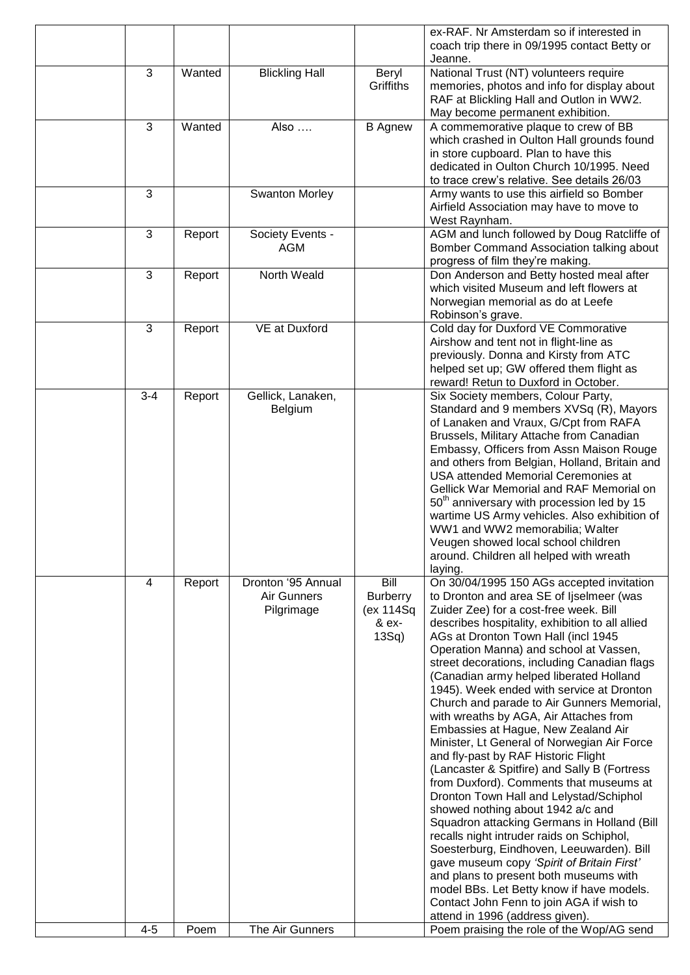|         |        |                                                 |                                                       | ex-RAF. Nr Amsterdam so if interested in<br>coach trip there in 09/1995 contact Betty or<br>Jeanne.                                                                                                                                                                                                                                                                                                                                                                                                                                                                                                                                                                                                                                                                                                                                                                                                                                                                                                                                                                                                                                                                      |
|---------|--------|-------------------------------------------------|-------------------------------------------------------|--------------------------------------------------------------------------------------------------------------------------------------------------------------------------------------------------------------------------------------------------------------------------------------------------------------------------------------------------------------------------------------------------------------------------------------------------------------------------------------------------------------------------------------------------------------------------------------------------------------------------------------------------------------------------------------------------------------------------------------------------------------------------------------------------------------------------------------------------------------------------------------------------------------------------------------------------------------------------------------------------------------------------------------------------------------------------------------------------------------------------------------------------------------------------|
| 3       | Wanted | <b>Blickling Hall</b>                           | Beryl<br>Griffiths                                    | National Trust (NT) volunteers require<br>memories, photos and info for display about<br>RAF at Blickling Hall and Outlon in WW2.<br>May become permanent exhibition.                                                                                                                                                                                                                                                                                                                                                                                                                                                                                                                                                                                                                                                                                                                                                                                                                                                                                                                                                                                                    |
| 3       | Wanted | Also                                            | <b>B</b> Agnew                                        | A commemorative plaque to crew of BB<br>which crashed in Oulton Hall grounds found<br>in store cupboard. Plan to have this<br>dedicated in Oulton Church 10/1995. Need<br>to trace crew's relative. See details 26/03                                                                                                                                                                                                                                                                                                                                                                                                                                                                                                                                                                                                                                                                                                                                                                                                                                                                                                                                                    |
| 3       |        | Swanton Morley                                  |                                                       | Army wants to use this airfield so Bomber<br>Airfield Association may have to move to<br>West Raynham.                                                                                                                                                                                                                                                                                                                                                                                                                                                                                                                                                                                                                                                                                                                                                                                                                                                                                                                                                                                                                                                                   |
| 3       | Report | Society Events -<br>AGM                         |                                                       | AGM and lunch followed by Doug Ratcliffe of<br>Bomber Command Association talking about<br>progress of film they're making.                                                                                                                                                                                                                                                                                                                                                                                                                                                                                                                                                                                                                                                                                                                                                                                                                                                                                                                                                                                                                                              |
| 3       | Report | North Weald                                     |                                                       | Don Anderson and Betty hosted meal after<br>which visited Museum and left flowers at<br>Norwegian memorial as do at Leefe<br>Robinson's grave.                                                                                                                                                                                                                                                                                                                                                                                                                                                                                                                                                                                                                                                                                                                                                                                                                                                                                                                                                                                                                           |
| 3       | Report | VE at Duxford                                   |                                                       | Cold day for Duxford VE Commorative<br>Airshow and tent not in flight-line as<br>previously. Donna and Kirsty from ATC<br>helped set up; GW offered them flight as<br>reward! Retun to Duxford in October.                                                                                                                                                                                                                                                                                                                                                                                                                                                                                                                                                                                                                                                                                                                                                                                                                                                                                                                                                               |
| $3 - 4$ | Report | Gellick, Lanaken,<br>Belgium                    |                                                       | Six Society members, Colour Party,<br>Standard and 9 members XVSq (R), Mayors<br>of Lanaken and Vraux, G/Cpt from RAFA<br>Brussels, Military Attache from Canadian<br>Embassy, Officers from Assn Maison Rouge<br>and others from Belgian, Holland, Britain and<br>USA attended Memorial Ceremonies at<br>Gellick War Memorial and RAF Memorial on<br>50 <sup>th</sup> anniversary with procession led by 15<br>wartime US Army vehicles. Also exhibition of<br>WW1 and WW2 memorabilia; Walter<br>Veugen showed local school children<br>around. Children all helped with wreath<br>laying.                                                                                                                                                                                                                                                                                                                                                                                                                                                                                                                                                                             |
| 4       | Report | Dronton '95 Annual<br>Air Gunners<br>Pilgrimage | Bill<br><b>Burberry</b><br>(ex 114Sq<br>& ex-<br>13Sq | On 30/04/1995 150 AGs accepted invitation<br>to Dronton and area SE of Ijselmeer (was<br>Zuider Zee) for a cost-free week. Bill<br>describes hospitality, exhibition to all allied<br>AGs at Dronton Town Hall (incl 1945<br>Operation Manna) and school at Vassen,<br>street decorations, including Canadian flags<br>(Canadian army helped liberated Holland<br>1945). Week ended with service at Dronton<br>Church and parade to Air Gunners Memorial,<br>with wreaths by AGA, Air Attaches from<br>Embassies at Hague, New Zealand Air<br>Minister, Lt General of Norwegian Air Force<br>and fly-past by RAF Historic Flight<br>(Lancaster & Spitfire) and Sally B (Fortress<br>from Duxford). Comments that museums at<br>Dronton Town Hall and Lelystad/Schiphol<br>showed nothing about 1942 a/c and<br>Squadron attacking Germans in Holland (Bill<br>recalls night intruder raids on Schiphol,<br>Soesterburg, Eindhoven, Leeuwarden). Bill<br>gave museum copy 'Spirit of Britain First'<br>and plans to present both museums with<br>model BBs. Let Betty know if have models.<br>Contact John Fenn to join AGA if wish to<br>attend in 1996 (address given). |
| $4 - 5$ | Poem   | The Air Gunners                                 |                                                       | Poem praising the role of the Wop/AG send                                                                                                                                                                                                                                                                                                                                                                                                                                                                                                                                                                                                                                                                                                                                                                                                                                                                                                                                                                                                                                                                                                                                |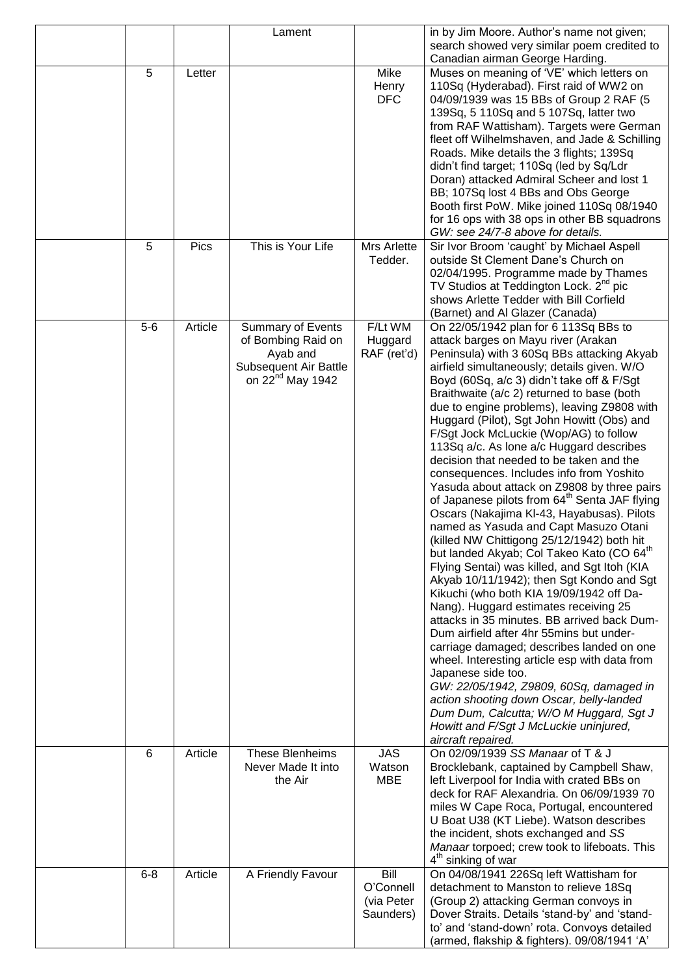|         |             | Lament                       |                         | in by Jim Moore. Author's name not given;                                                  |
|---------|-------------|------------------------------|-------------------------|--------------------------------------------------------------------------------------------|
|         |             |                              |                         | search showed very similar poem credited to                                                |
|         |             |                              |                         | Canadian airman George Harding.                                                            |
| 5       | Letter      |                              | Mike                    | Muses on meaning of 'VE' which letters on                                                  |
|         |             |                              | Henry                   | 110Sq (Hyderabad). First raid of WW2 on                                                    |
|         |             |                              | <b>DFC</b>              | 04/09/1939 was 15 BBs of Group 2 RAF (5                                                    |
|         |             |                              |                         | 139Sq, 5 110Sq and 5 107Sq, latter two                                                     |
|         |             |                              |                         | from RAF Wattisham). Targets were German                                                   |
|         |             |                              |                         | fleet off Wilhelmshaven, and Jade & Schilling                                              |
|         |             |                              |                         | Roads. Mike details the 3 flights; 139Sq                                                   |
|         |             |                              |                         | didn't find target; 110Sq (led by Sq/Ldr                                                   |
|         |             |                              |                         | Doran) attacked Admiral Scheer and lost 1                                                  |
|         |             |                              |                         | BB; 107Sq lost 4 BBs and Obs George                                                        |
|         |             |                              |                         | Booth first PoW. Mike joined 110Sq 08/1940<br>for 16 ops with 38 ops in other BB squadrons |
|         |             |                              |                         | GW: see 24/7-8 above for details.                                                          |
| 5       | <b>Pics</b> | This is Your Life            | Mrs Arlette             | Sir Ivor Broom 'caught' by Michael Aspell                                                  |
|         |             |                              | Tedder.                 | outside St Clement Dane's Church on                                                        |
|         |             |                              |                         | 02/04/1995. Programme made by Thames                                                       |
|         |             |                              |                         | TV Studios at Teddington Lock. 2 <sup>nd</sup> pic                                         |
|         |             |                              |                         | shows Arlette Tedder with Bill Corfield                                                    |
|         |             |                              |                         | (Barnet) and Al Glazer (Canada)                                                            |
| $5-6$   | Article     | <b>Summary of Events</b>     | F/Lt WM                 | On 22/05/1942 plan for 6 113Sq BBs to                                                      |
|         |             | of Bombing Raid on           | Huggard                 | attack barges on Mayu river (Arakan                                                        |
|         |             | Ayab and                     | RAF (ret'd)             | Peninsula) with 3 60Sq BBs attacking Akyab                                                 |
|         |             | <b>Subsequent Air Battle</b> |                         | airfield simultaneously; details given. W/O                                                |
|         |             | on 22 <sup>nd</sup> May 1942 |                         | Boyd (60Sq, a/c 3) didn't take off & F/Sgt                                                 |
|         |             |                              |                         | Braithwaite (a/c 2) returned to base (both                                                 |
|         |             |                              |                         | due to engine problems), leaving Z9808 with                                                |
|         |             |                              |                         | Huggard (Pilot), Sgt John Howitt (Obs) and                                                 |
|         |             |                              |                         | F/Sgt Jock McLuckie (Wop/AG) to follow                                                     |
|         |             |                              |                         | 113Sq a/c. As lone a/c Huggard describes                                                   |
|         |             |                              |                         | decision that needed to be taken and the                                                   |
|         |             |                              |                         | consequences. Includes info from Yoshito                                                   |
|         |             |                              |                         | Yasuda about attack on Z9808 by three pairs                                                |
|         |             |                              |                         | of Japanese pilots from 64 <sup>th</sup> Senta JAF flying                                  |
|         |             |                              |                         | Oscars (Nakajima KI-43, Hayabusas). Pilots                                                 |
|         |             |                              |                         | named as Yasuda and Capt Masuzo Otani                                                      |
|         |             |                              |                         | (killed NW Chittigong 25/12/1942) both hit                                                 |
|         |             |                              |                         | but landed Akyab; Col Takeo Kato (CO 64 <sup>th</sup>                                      |
|         |             |                              |                         | Flying Sentai) was killed, and Sgt Itoh (KIA                                               |
|         |             |                              |                         | Akyab 10/11/1942); then Sgt Kondo and Sgt                                                  |
|         |             |                              |                         | Kikuchi (who both KIA 19/09/1942 off Da-                                                   |
|         |             |                              |                         | Nang). Huggard estimates receiving 25                                                      |
|         |             |                              |                         | attacks in 35 minutes. BB arrived back Dum-                                                |
|         |             |                              |                         | Dum airfield after 4hr 55mins but under-                                                   |
|         |             |                              |                         | carriage damaged; describes landed on one                                                  |
|         |             |                              |                         | wheel. Interesting article esp with data from                                              |
|         |             |                              |                         | Japanese side too.                                                                         |
|         |             |                              |                         | GW: 22/05/1942, Z9809, 60Sq, damaged in                                                    |
|         |             |                              |                         | action shooting down Oscar, belly-landed                                                   |
|         |             |                              |                         | Dum Dum, Calcutta; W/O M Huggard, Sgt J                                                    |
|         |             |                              |                         | Howitt and F/Sgt J McLuckie uninjured,                                                     |
|         |             |                              |                         | aircraft repaired.                                                                         |
| 6       | Article     | These Blenheims              | <b>JAS</b>              | On 02/09/1939 SS Manaar of T & J                                                           |
|         |             | Never Made It into           | Watson                  | Brocklebank, captained by Campbell Shaw,                                                   |
|         |             | the Air                      | <b>MBE</b>              | left Liverpool for India with crated BBs on                                                |
|         |             |                              |                         | deck for RAF Alexandria. On 06/09/1939 70                                                  |
|         |             |                              |                         | miles W Cape Roca, Portugal, encountered                                                   |
|         |             |                              |                         | U Boat U38 (KT Liebe). Watson describes                                                    |
|         |             |                              |                         | the incident, shots exchanged and SS                                                       |
|         |             |                              |                         | Manaar torpoed; crew took to lifeboats. This                                               |
|         |             |                              |                         | 4 <sup>th</sup> sinking of war                                                             |
| $6 - 8$ | Article     | A Friendly Favour            | Bill                    | On 04/08/1941 226Sq left Wattisham for                                                     |
|         |             |                              | O'Connell<br>(via Peter | detachment to Manston to relieve 18Sq                                                      |
|         |             |                              | Saunders)               | (Group 2) attacking German convoys in<br>Dover Straits. Details 'stand-by' and 'stand-     |
|         |             |                              |                         | to' and 'stand-down' rota. Convoys detailed                                                |
|         |             |                              |                         | (armed, flakship & fighters). 09/08/1941 'A'                                               |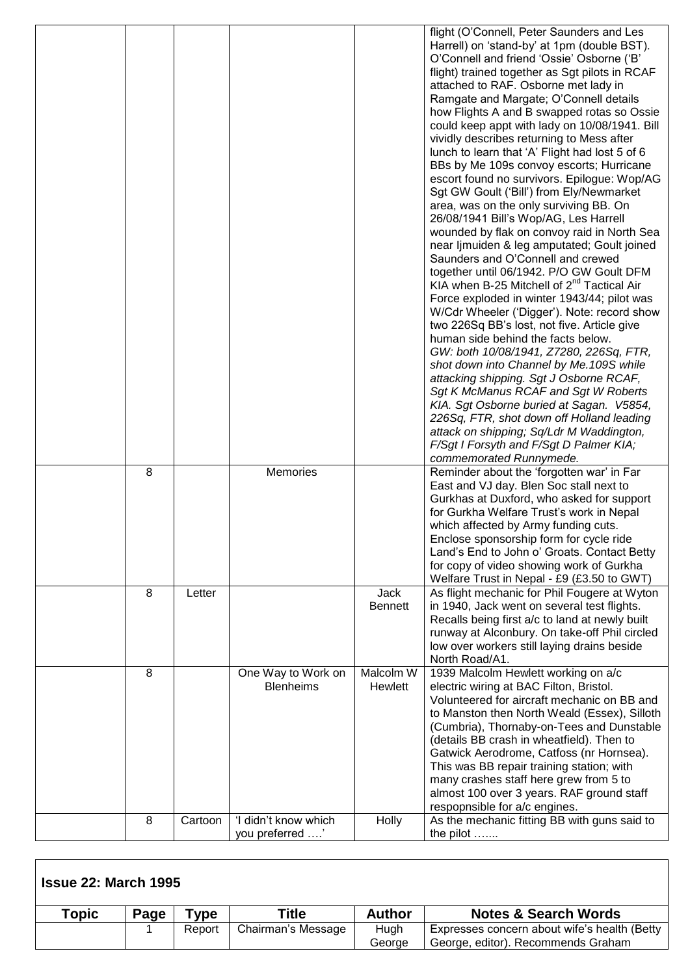|   |         |                                        |                        | flight (O'Connell, Peter Saunders and Les<br>Harrell) on 'stand-by' at 1pm (double BST).<br>O'Connell and friend 'Ossie' Osborne ('B'<br>flight) trained together as Sgt pilots in RCAF<br>attached to RAF. Osborne met lady in<br>Ramgate and Margate; O'Connell details<br>how Flights A and B swapped rotas so Ossie<br>could keep appt with lady on 10/08/1941. Bill<br>vividly describes returning to Mess after<br>lunch to learn that 'A' Flight had lost 5 of 6<br>BBs by Me 109s convoy escorts; Hurricane<br>escort found no survivors. Epilogue: Wop/AG<br>Sgt GW Goult ('Bill') from Ely/Newmarket<br>area, was on the only surviving BB. On<br>26/08/1941 Bill's Wop/AG, Les Harrell<br>wounded by flak on convoy raid in North Sea<br>near ljmuiden & leg amputated; Goult joined<br>Saunders and O'Connell and crewed<br>together until 06/1942. P/O GW Goult DFM<br>KIA when B-25 Mitchell of $2^{nd}$ Tactical Air<br>Force exploded in winter 1943/44; pilot was<br>W/Cdr Wheeler ('Digger'). Note: record show<br>two 226Sq BB's lost, not five. Article give<br>human side behind the facts below.<br>GW: both 10/08/1941, Z7280, 226Sq, FTR,<br>shot down into Channel by Me.109S while<br>attacking shipping. Sgt J Osborne RCAF,<br>Sgt K McManus RCAF and Sgt W Roberts<br>KIA. Sgt Osborne buried at Sagan. V5854,<br>226Sq, FTR, shot down off Holland leading<br>attack on shipping; Sq/Ldr M Waddington,<br>F/Sgt I Forsyth and F/Sgt D Palmer KIA; |
|---|---------|----------------------------------------|------------------------|---------------------------------------------------------------------------------------------------------------------------------------------------------------------------------------------------------------------------------------------------------------------------------------------------------------------------------------------------------------------------------------------------------------------------------------------------------------------------------------------------------------------------------------------------------------------------------------------------------------------------------------------------------------------------------------------------------------------------------------------------------------------------------------------------------------------------------------------------------------------------------------------------------------------------------------------------------------------------------------------------------------------------------------------------------------------------------------------------------------------------------------------------------------------------------------------------------------------------------------------------------------------------------------------------------------------------------------------------------------------------------------------------------------------------------------------------------------------------------|
| 8 |         | <b>Memories</b>                        |                        | commemorated Runnymede.<br>Reminder about the 'forgotten war' in Far<br>East and VJ day. Blen Soc stall next to<br>Gurkhas at Duxford, who asked for support                                                                                                                                                                                                                                                                                                                                                                                                                                                                                                                                                                                                                                                                                                                                                                                                                                                                                                                                                                                                                                                                                                                                                                                                                                                                                                                    |
|   |         |                                        |                        | for Gurkha Welfare Trust's work in Nepal<br>which affected by Army funding cuts.<br>Enclose sponsorship form for cycle ride<br>Land's End to John o' Groats. Contact Betty                                                                                                                                                                                                                                                                                                                                                                                                                                                                                                                                                                                                                                                                                                                                                                                                                                                                                                                                                                                                                                                                                                                                                                                                                                                                                                      |
|   |         |                                        |                        | for copy of video showing work of Gurkha<br>Welfare Trust in Nepal - £9 (£3.50 to GWT)                                                                                                                                                                                                                                                                                                                                                                                                                                                                                                                                                                                                                                                                                                                                                                                                                                                                                                                                                                                                                                                                                                                                                                                                                                                                                                                                                                                          |
| 8 | Letter  |                                        | Jack<br><b>Bennett</b> | As flight mechanic for Phil Fougere at Wyton<br>in 1940, Jack went on several test flights.<br>Recalls being first a/c to land at newly built<br>runway at Alconbury. On take-off Phil circled<br>low over workers still laying drains beside                                                                                                                                                                                                                                                                                                                                                                                                                                                                                                                                                                                                                                                                                                                                                                                                                                                                                                                                                                                                                                                                                                                                                                                                                                   |
|   |         |                                        |                        | North Road/A1.                                                                                                                                                                                                                                                                                                                                                                                                                                                                                                                                                                                                                                                                                                                                                                                                                                                                                                                                                                                                                                                                                                                                                                                                                                                                                                                                                                                                                                                                  |
| 8 |         | One Way to Work on<br><b>Blenheims</b> | Malcolm W<br>Hewlett   | 1939 Malcolm Hewlett working on a/c<br>electric wiring at BAC Filton, Bristol.<br>Volunteered for aircraft mechanic on BB and                                                                                                                                                                                                                                                                                                                                                                                                                                                                                                                                                                                                                                                                                                                                                                                                                                                                                                                                                                                                                                                                                                                                                                                                                                                                                                                                                   |
|   |         |                                        |                        | to Manston then North Weald (Essex), Silloth<br>(Cumbria), Thornaby-on-Tees and Dunstable<br>(details BB crash in wheatfield). Then to<br>Gatwick Aerodrome, Catfoss (nr Hornsea).                                                                                                                                                                                                                                                                                                                                                                                                                                                                                                                                                                                                                                                                                                                                                                                                                                                                                                                                                                                                                                                                                                                                                                                                                                                                                              |
|   |         |                                        |                        | This was BB repair training station; with<br>many crashes staff here grew from 5 to<br>almost 100 over 3 years. RAF ground staff                                                                                                                                                                                                                                                                                                                                                                                                                                                                                                                                                                                                                                                                                                                                                                                                                                                                                                                                                                                                                                                                                                                                                                                                                                                                                                                                                |
| 8 | Cartoon | 'I didn't know which                   | Holly                  | respopnsible for a/c engines.<br>As the mechanic fitting BB with guns said to                                                                                                                                                                                                                                                                                                                                                                                                                                                                                                                                                                                                                                                                                                                                                                                                                                                                                                                                                                                                                                                                                                                                                                                                                                                                                                                                                                                                   |
|   |         | you preferred '                        |                        | the pilot                                                                                                                                                                                                                                                                                                                                                                                                                                                                                                                                                                                                                                                                                                                                                                                                                                                                                                                                                                                                                                                                                                                                                                                                                                                                                                                                                                                                                                                                       |

| <b>Issue 22: March 1995</b> |      |        |                    |               |                                              |  |  |  |
|-----------------------------|------|--------|--------------------|---------------|----------------------------------------------|--|--|--|
| <b>Topic</b>                | Page | `ype : | Title              | <b>Author</b> | <b>Notes &amp; Search Words</b>              |  |  |  |
|                             |      | Report | Chairman's Message | Hugh          | Expresses concern about wife's health (Betty |  |  |  |
|                             |      |        |                    | George        | George, editor). Recommends Graham           |  |  |  |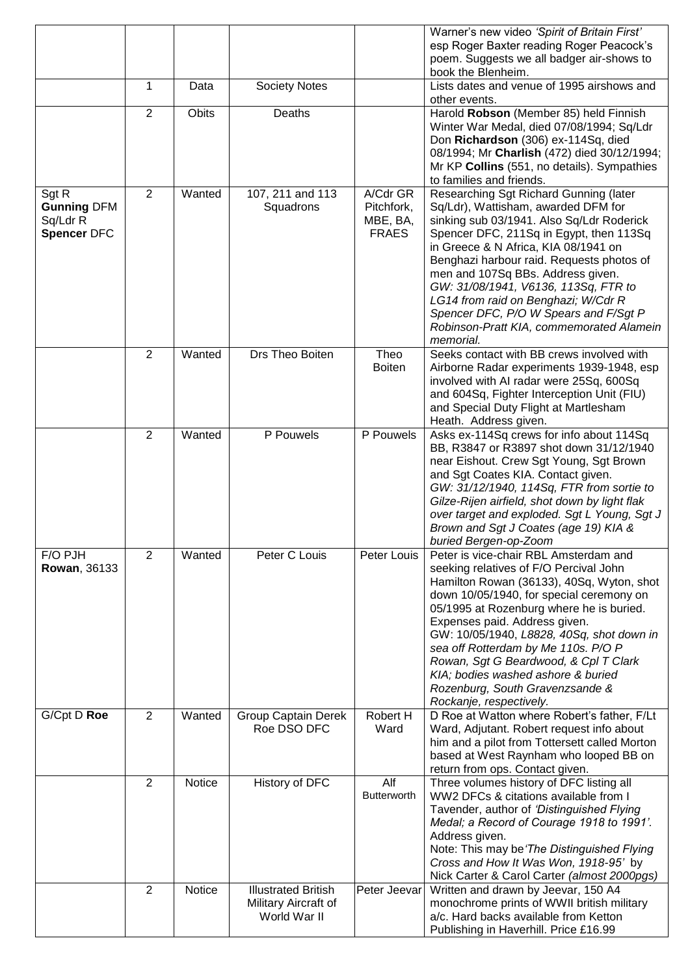|                                                               |                |        |                                           |                                                    | Warner's new video 'Spirit of Britain First'<br>esp Roger Baxter reading Roger Peacock's                                                                                                                                                                                                                                                                                                                                                                                               |
|---------------------------------------------------------------|----------------|--------|-------------------------------------------|----------------------------------------------------|----------------------------------------------------------------------------------------------------------------------------------------------------------------------------------------------------------------------------------------------------------------------------------------------------------------------------------------------------------------------------------------------------------------------------------------------------------------------------------------|
|                                                               |                |        |                                           |                                                    | poem. Suggests we all badger air-shows to                                                                                                                                                                                                                                                                                                                                                                                                                                              |
|                                                               |                |        |                                           |                                                    | book the Blenheim.                                                                                                                                                                                                                                                                                                                                                                                                                                                                     |
|                                                               | 1              | Data   | <b>Society Notes</b>                      |                                                    | Lists dates and venue of 1995 airshows and<br>other events.                                                                                                                                                                                                                                                                                                                                                                                                                            |
|                                                               | 2              | Obits  | Deaths                                    |                                                    | Harold Robson (Member 85) held Finnish<br>Winter War Medal, died 07/08/1994; Sq/Ldr<br>Don Richardson (306) ex-114Sq, died<br>08/1994; Mr Charlish (472) died 30/12/1994;                                                                                                                                                                                                                                                                                                              |
|                                                               |                |        |                                           |                                                    | Mr KP Collins (551, no details). Sympathies<br>to families and friends.                                                                                                                                                                                                                                                                                                                                                                                                                |
| Sgt R<br><b>Gunning DFM</b><br>Sq/Ldr R<br><b>Spencer DFC</b> | 2              | Wanted | 107, 211 and 113<br>Squadrons             | A/Cdr GR<br>Pitchfork,<br>MBE, BA,<br><b>FRAES</b> | Researching Sgt Richard Gunning (later<br>Sq/Ldr), Wattisham, awarded DFM for<br>sinking sub 03/1941. Also Sq/Ldr Roderick<br>Spencer DFC, 211Sq in Egypt, then 113Sq<br>in Greece & N Africa, KIA 08/1941 on<br>Benghazi harbour raid. Requests photos of<br>men and 107Sq BBs. Address given.<br>GW: 31/08/1941, V6136, 113Sq, FTR to<br>LG14 from raid on Benghazi; W/Cdr R<br>Spencer DFC, P/O W Spears and F/Sgt P<br>Robinson-Pratt KIA, commemorated Alamein<br>memorial.       |
|                                                               | $\overline{2}$ | Wanted | Drs Theo Boiten                           | Theo<br><b>Boiten</b>                              | Seeks contact with BB crews involved with<br>Airborne Radar experiments 1939-1948, esp<br>involved with AI radar were 25Sq, 600Sq<br>and 604Sq, Fighter Interception Unit (FIU)<br>and Special Duty Flight at Martlesham<br>Heath. Address given.                                                                                                                                                                                                                                      |
|                                                               | $\overline{2}$ | Wanted | P Pouwels                                 | P Pouwels                                          | Asks ex-114Sq crews for info about 114Sq<br>BB, R3847 or R3897 shot down 31/12/1940<br>near Eishout. Crew Sgt Young, Sgt Brown<br>and Sgt Coates KIA. Contact given.<br>GW: 31/12/1940, 114Sq, FTR from sortie to<br>Gilze-Rijen airfield, shot down by light flak<br>over target and exploded. Sgt L Young, Sgt J<br>Brown and Sgt J Coates (age 19) KIA &<br>buried Bergen-op-Zoom                                                                                                   |
| F/O PJH<br><b>Rowan, 36133</b>                                | $\overline{2}$ | Wanted | Peter C Louis                             | Peter Louis                                        | Peter is vice-chair RBL Amsterdam and<br>seeking relatives of F/O Percival John<br>Hamilton Rowan (36133), 40Sq, Wyton, shot<br>down 10/05/1940, for special ceremony on<br>05/1995 at Rozenburg where he is buried.<br>Expenses paid. Address given.<br>GW: 10/05/1940, L8828, 40Sq, shot down in<br>sea off Rotterdam by Me 110s. P/O P<br>Rowan, Sgt G Beardwood, & Cpl T Clark<br>KIA; bodies washed ashore & buried<br>Rozenburg, South Gravenzsande &<br>Rockanje, respectively. |
| G/Cpt D Roe                                                   | $\overline{2}$ | Wanted | <b>Group Captain Derek</b><br>Roe DSO DFC | Robert H<br>Ward                                   | D Roe at Watton where Robert's father, F/Lt<br>Ward, Adjutant. Robert request info about<br>him and a pilot from Tottersett called Morton<br>based at West Raynham who looped BB on<br>return from ops. Contact given.                                                                                                                                                                                                                                                                 |
|                                                               | 2              | Notice | History of DFC                            | Alf<br><b>Butterworth</b>                          | Three volumes history of DFC listing all<br>WW2 DFCs & citations available from I<br>Tavender, author of 'Distinguished Flying<br>Medal; a Record of Courage 1918 to 1991'.<br>Address given.<br>Note: This may be 'The Distinguished Flying<br>Cross and How It Was Won, 1918-95' by<br>Nick Carter & Carol Carter (almost 2000pgs)                                                                                                                                                   |
|                                                               | $\overline{2}$ | Notice | <b>Illustrated British</b>                | Peter Jeevar                                       | Written and drawn by Jeevar, 150 A4                                                                                                                                                                                                                                                                                                                                                                                                                                                    |
|                                                               |                |        | Military Aircraft of<br>World War II      |                                                    | monochrome prints of WWII british military<br>a/c. Hard backs available from Ketton<br>Publishing in Haverhill. Price £16.99                                                                                                                                                                                                                                                                                                                                                           |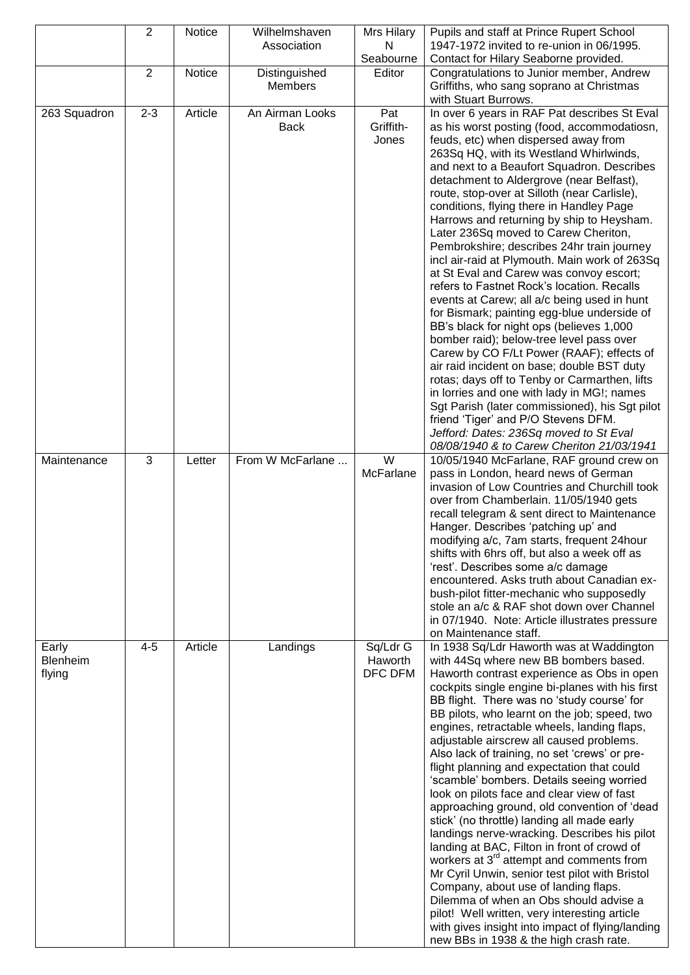|                                    | $\overline{2}$ | <b>Notice</b> | Wilhelmshaven                  | Mrs Hilary                     | Pupils and staff at Prince Rupert School                                                                                                                                                                                                                                                                                                                                                                                                                                                                                                                                                                                                                                                                                                                                                                                                                                                                                                                                                                                                                                                                                                                                                                          |
|------------------------------------|----------------|---------------|--------------------------------|--------------------------------|-------------------------------------------------------------------------------------------------------------------------------------------------------------------------------------------------------------------------------------------------------------------------------------------------------------------------------------------------------------------------------------------------------------------------------------------------------------------------------------------------------------------------------------------------------------------------------------------------------------------------------------------------------------------------------------------------------------------------------------------------------------------------------------------------------------------------------------------------------------------------------------------------------------------------------------------------------------------------------------------------------------------------------------------------------------------------------------------------------------------------------------------------------------------------------------------------------------------|
|                                    |                |               | Association                    | N<br>Seabourne                 | 1947-1972 invited to re-union in 06/1995.<br>Contact for Hilary Seaborne provided.                                                                                                                                                                                                                                                                                                                                                                                                                                                                                                                                                                                                                                                                                                                                                                                                                                                                                                                                                                                                                                                                                                                                |
|                                    | 2              | Notice        | Distinguished                  | Editor                         | Congratulations to Junior member, Andrew                                                                                                                                                                                                                                                                                                                                                                                                                                                                                                                                                                                                                                                                                                                                                                                                                                                                                                                                                                                                                                                                                                                                                                          |
|                                    |                |               | Members                        |                                | Griffiths, who sang soprano at Christmas<br>with Stuart Burrows.                                                                                                                                                                                                                                                                                                                                                                                                                                                                                                                                                                                                                                                                                                                                                                                                                                                                                                                                                                                                                                                                                                                                                  |
| 263 Squadron                       | $2 - 3$        | Article       | An Airman Looks<br><b>Back</b> | Pat<br>Griffith-<br>Jones      | In over 6 years in RAF Pat describes St Eval<br>as his worst posting (food, accommodatiosn,<br>feuds, etc) when dispersed away from<br>263Sq HQ, with its Westland Whirlwinds,<br>and next to a Beaufort Squadron. Describes<br>detachment to Aldergrove (near Belfast),<br>route, stop-over at Silloth (near Carlisle),<br>conditions, flying there in Handley Page<br>Harrows and returning by ship to Heysham.<br>Later 236Sq moved to Carew Cheriton,<br>Pembrokshire; describes 24hr train journey<br>incl air-raid at Plymouth. Main work of 263Sq<br>at St Eval and Carew was convoy escort;<br>refers to Fastnet Rock's location. Recalls<br>events at Carew; all a/c being used in hunt<br>for Bismark; painting egg-blue underside of<br>BB's black for night ops (believes 1,000<br>bomber raid); below-tree level pass over<br>Carew by CO F/Lt Power (RAAF); effects of<br>air raid incident on base; double BST duty<br>rotas; days off to Tenby or Carmarthen, lifts<br>in lorries and one with lady in MG!; names<br>Sgt Parish (later commissioned), his Sgt pilot<br>friend 'Tiger' and P/O Stevens DFM.<br>Jefford: Dates: 236Sq moved to St Eval<br>08/08/1940 & to Carew Cheriton 21/03/1941 |
| Maintenance                        | 3              | Letter        | From W McFarlane               | $\overline{W}$<br>McFarlane    | 10/05/1940 McFarlane, RAF ground crew on<br>pass in London, heard news of German<br>invasion of Low Countries and Churchill took<br>over from Chamberlain. 11/05/1940 gets<br>recall telegram & sent direct to Maintenance<br>Hanger. Describes 'patching up' and<br>modifying a/c, 7am starts, frequent 24 hour<br>shifts with 6hrs off, but also a week off as<br>'rest'. Describes some a/c damage<br>encountered. Asks truth about Canadian ex-<br>bush-pilot fitter-mechanic who supposedly<br>stole an a/c & RAF shot down over Channel<br>in 07/1940. Note: Article illustrates pressure<br>on Maintenance staff.                                                                                                                                                                                                                                                                                                                                                                                                                                                                                                                                                                                          |
| Early<br><b>Blenheim</b><br>flying | $4 - 5$        | Article       | Landings                       | Sq/Ldr G<br>Haworth<br>DFC DFM | In 1938 Sq/Ldr Haworth was at Waddington<br>with 44Sq where new BB bombers based.<br>Haworth contrast experience as Obs in open<br>cockpits single engine bi-planes with his first<br>BB flight. There was no 'study course' for<br>BB pilots, who learnt on the job; speed, two<br>engines, retractable wheels, landing flaps,<br>adjustable airscrew all caused problems.<br>Also lack of training, no set 'crews' or pre-<br>flight planning and expectation that could<br>'scamble' bombers. Details seeing worried<br>look on pilots face and clear view of fast<br>approaching ground, old convention of 'dead<br>stick' (no throttle) landing all made early<br>landings nerve-wracking. Describes his pilot<br>landing at BAC, Filton in front of crowd of<br>workers at 3 <sup>rd</sup> attempt and comments from<br>Mr Cyril Unwin, senior test pilot with Bristol<br>Company, about use of landing flaps.<br>Dilemma of when an Obs should advise a<br>pilot! Well written, very interesting article<br>with gives insight into impact of flying/landing<br>new BBs in 1938 & the high crash rate.                                                                                                     |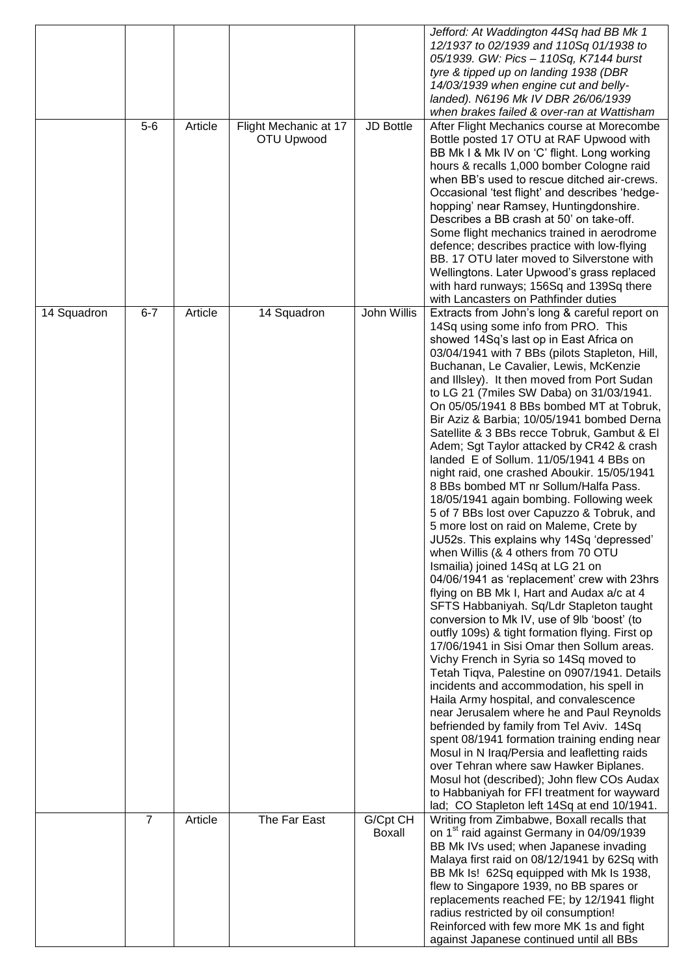|             | $5 - 6$        | Article | Flight Mechanic at 17<br>OTU Upwood | <b>JD Bottle</b>   | Jefford: At Waddington 44Sq had BB Mk 1<br>12/1937 to 02/1939 and 110Sq 01/1938 to<br>05/1939. GW: Pics - 110Sq, K7144 burst<br>tyre & tipped up on landing 1938 (DBR<br>14/03/1939 when engine cut and belly-<br>landed). N6196 Mk IV DBR 26/06/1939<br>when brakes failed & over-ran at Wattisham<br>After Flight Mechanics course at Morecombe<br>Bottle posted 17 OTU at RAF Upwood with<br>BB Mk I & Mk IV on 'C' flight. Long working<br>hours & recalls 1,000 bomber Cologne raid<br>when BB's used to rescue ditched air-crews.<br>Occasional 'test flight' and describes 'hedge-<br>hopping' near Ramsey, Huntingdonshire.<br>Describes a BB crash at 50' on take-off.<br>Some flight mechanics trained in aerodrome<br>defence; describes practice with low-flying                                                                                                                                                                                                                                                                                                                                                                                                                                                                                                                                                                                                                                                                                                                                                                                                                                                                                                                                                                                           |
|-------------|----------------|---------|-------------------------------------|--------------------|------------------------------------------------------------------------------------------------------------------------------------------------------------------------------------------------------------------------------------------------------------------------------------------------------------------------------------------------------------------------------------------------------------------------------------------------------------------------------------------------------------------------------------------------------------------------------------------------------------------------------------------------------------------------------------------------------------------------------------------------------------------------------------------------------------------------------------------------------------------------------------------------------------------------------------------------------------------------------------------------------------------------------------------------------------------------------------------------------------------------------------------------------------------------------------------------------------------------------------------------------------------------------------------------------------------------------------------------------------------------------------------------------------------------------------------------------------------------------------------------------------------------------------------------------------------------------------------------------------------------------------------------------------------------------------------------------------------------------------------------------------------------|
|             |                |         |                                     |                    | BB, 17 OTU later moved to Silverstone with<br>Wellingtons. Later Upwood's grass replaced<br>with hard runways; 156Sq and 139Sq there<br>with Lancasters on Pathfinder duties                                                                                                                                                                                                                                                                                                                                                                                                                                                                                                                                                                                                                                                                                                                                                                                                                                                                                                                                                                                                                                                                                                                                                                                                                                                                                                                                                                                                                                                                                                                                                                                           |
| 14 Squadron | $6 - 7$        | Article | 14 Squadron                         | John Willis        | Extracts from John's long & careful report on<br>14Sq using some info from PRO. This<br>showed 14Sq's last op in East Africa on<br>03/04/1941 with 7 BBs (pilots Stapleton, Hill,<br>Buchanan, Le Cavalier, Lewis, McKenzie<br>and Illsley). It then moved from Port Sudan<br>to LG 21 (7miles SW Daba) on 31/03/1941.<br>On 05/05/1941 8 BBs bombed MT at Tobruk,<br>Bir Aziz & Barbia; 10/05/1941 bombed Derna<br>Satellite & 3 BBs recce Tobruk, Gambut & El<br>Adem; Sgt Taylor attacked by CR42 & crash<br>landed E of Sollum. 11/05/1941 4 BBs on<br>night raid, one crashed Aboukir. 15/05/1941<br>8 BBs bombed MT nr Sollum/Halfa Pass.<br>18/05/1941 again bombing. Following week<br>5 of 7 BBs lost over Capuzzo & Tobruk, and<br>5 more lost on raid on Maleme, Crete by<br>JU52s. This explains why 14Sq 'depressed'<br>when Willis (& 4 others from 70 OTU<br>Ismailia) joined 14Sq at LG 21 on<br>04/06/1941 as 'replacement' crew with 23hrs<br>flying on BB Mk I, Hart and Audax a/c at 4<br>SFTS Habbaniyah. Sq/Ldr Stapleton taught<br>conversion to Mk IV, use of 9lb 'boost' (to<br>outfly 109s) & tight formation flying. First op<br>17/06/1941 in Sisi Omar then Sollum areas.<br>Vichy French in Syria so 14Sq moved to<br>Tetah Tiqva, Palestine on 0907/1941. Details<br>incidents and accommodation, his spell in<br>Haila Army hospital, and convalescence<br>near Jerusalem where he and Paul Reynolds<br>befriended by family from Tel Aviv. 14Sq<br>spent 08/1941 formation training ending near<br>Mosul in N Iraq/Persia and leafletting raids<br>over Tehran where saw Hawker Biplanes.<br>Mosul hot (described); John flew COs Audax<br>to Habbaniyah for FFI treatment for wayward<br>lad; CO Stapleton left 14Sq at end 10/1941. |
|             | $\overline{7}$ | Article | The Far East                        | G/Cpt CH<br>Boxall | Writing from Zimbabwe, Boxall recalls that<br>on 1 <sup>st</sup> raid against Germany in 04/09/1939<br>BB Mk IVs used; when Japanese invading<br>Malaya first raid on 08/12/1941 by 62Sq with<br>BB Mk Is! 62Sq equipped with Mk Is 1938,<br>flew to Singapore 1939, no BB spares or<br>replacements reached FE; by 12/1941 flight<br>radius restricted by oil consumption!<br>Reinforced with few more MK 1s and fight<br>against Japanese continued until all BBs                                                                                                                                                                                                                                                                                                                                                                                                                                                                                                                                                                                                                                                                                                                                                                                                                                                                                                                                                                                                                                                                                                                                                                                                                                                                                                    |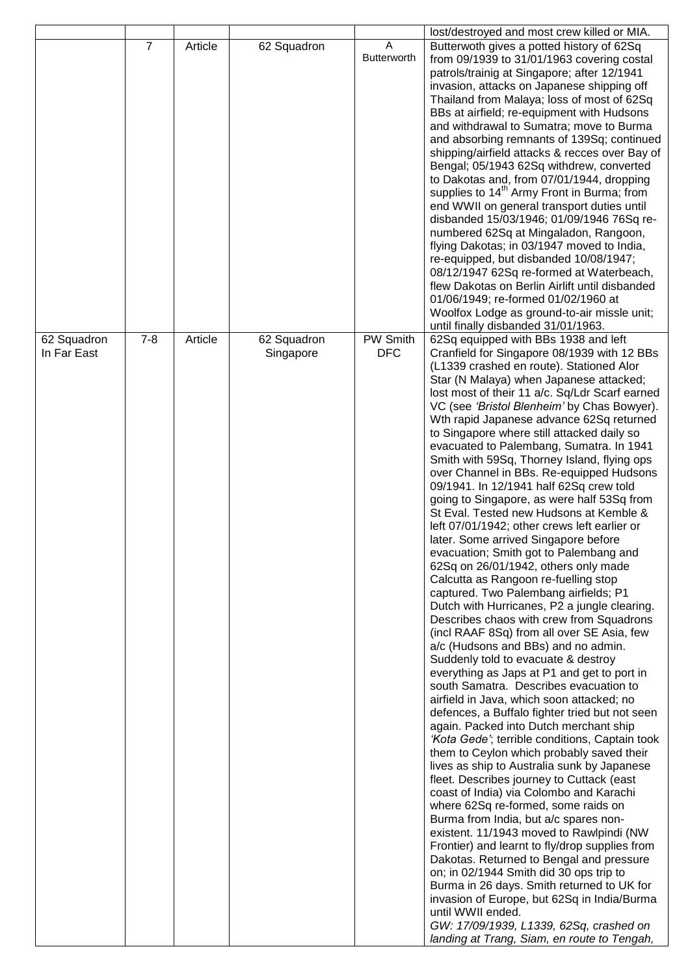|             |                |         |             |                         | lost/destroyed and most crew killed or MIA.                                                |
|-------------|----------------|---------|-------------|-------------------------|--------------------------------------------------------------------------------------------|
|             | $\overline{7}$ | Article | 62 Squadron | Α<br><b>Butterworth</b> | Butterwoth gives a potted history of 62Sq<br>from 09/1939 to 31/01/1963 covering costal    |
|             |                |         |             |                         | patrols/trainig at Singapore; after 12/1941                                                |
|             |                |         |             |                         | invasion, attacks on Japanese shipping off                                                 |
|             |                |         |             |                         | Thailand from Malaya; loss of most of 62Sq<br>BBs at airfield; re-equipment with Hudsons   |
|             |                |         |             |                         | and withdrawal to Sumatra; move to Burma                                                   |
|             |                |         |             |                         | and absorbing remnants of 139Sq; continued                                                 |
|             |                |         |             |                         | shipping/airfield attacks & recces over Bay of<br>Bengal; 05/1943 62Sq withdrew, converted |
|             |                |         |             |                         | to Dakotas and, from 07/01/1944, dropping                                                  |
|             |                |         |             |                         | supplies to 14 <sup>th</sup> Army Front in Burma; from                                     |
|             |                |         |             |                         | end WWII on general transport duties until<br>disbanded 15/03/1946; 01/09/1946 76Sq re-    |
|             |                |         |             |                         | numbered 62Sq at Mingaladon, Rangoon,                                                      |
|             |                |         |             |                         | flying Dakotas; in 03/1947 moved to India,                                                 |
|             |                |         |             |                         | re-equipped, but disbanded 10/08/1947;<br>08/12/1947 62Sq re-formed at Waterbeach,         |
|             |                |         |             |                         | flew Dakotas on Berlin Airlift until disbanded                                             |
|             |                |         |             |                         | 01/06/1949; re-formed 01/02/1960 at                                                        |
|             |                |         |             |                         | Woolfox Lodge as ground-to-air missle unit;<br>until finally disbanded 31/01/1963.         |
| 62 Squadron | $7 - 8$        | Article | 62 Squadron | <b>PW Smith</b>         | 62Sq equipped with BBs 1938 and left                                                       |
| In Far East |                |         | Singapore   | <b>DFC</b>              | Cranfield for Singapore 08/1939 with 12 BBs                                                |
|             |                |         |             |                         | (L1339 crashed en route). Stationed Alor<br>Star (N Malaya) when Japanese attacked;        |
|             |                |         |             |                         | lost most of their 11 a/c. Sq/Ldr Scarf earned                                             |
|             |                |         |             |                         | VC (see 'Bristol Blenheim' by Chas Bowyer).                                                |
|             |                |         |             |                         | Wth rapid Japanese advance 62Sq returned<br>to Singapore where still attacked daily so     |
|             |                |         |             |                         | evacuated to Palembang, Sumatra. In 1941                                                   |
|             |                |         |             |                         | Smith with 59Sq, Thorney Island, flying ops                                                |
|             |                |         |             |                         | over Channel in BBs. Re-equipped Hudsons<br>09/1941. In 12/1941 half 62Sq crew told        |
|             |                |         |             |                         | going to Singapore, as were half 53Sq from                                                 |
|             |                |         |             |                         | St Eval. Tested new Hudsons at Kemble &                                                    |
|             |                |         |             |                         | left 07/01/1942; other crews left earlier or<br>later. Some arrived Singapore before       |
|             |                |         |             |                         | evacuation; Smith got to Palembang and                                                     |
|             |                |         |             |                         | 62Sq on 26/01/1942, others only made                                                       |
|             |                |         |             |                         | Calcutta as Rangoon re-fuelling stop<br>captured. Two Palembang airfields; P1              |
|             |                |         |             |                         | Dutch with Hurricanes, P2 a jungle clearing.                                               |
|             |                |         |             |                         | Describes chaos with crew from Squadrons                                                   |
|             |                |         |             |                         | (incl RAAF 8Sq) from all over SE Asia, few<br>a/c (Hudsons and BBs) and no admin.          |
|             |                |         |             |                         | Suddenly told to evacuate & destroy                                                        |
|             |                |         |             |                         | everything as Japs at P1 and get to port in<br>south Samatra. Describes evacuation to      |
|             |                |         |             |                         | airfield in Java, which soon attacked; no                                                  |
|             |                |         |             |                         | defences, a Buffalo fighter tried but not seen                                             |
|             |                |         |             |                         | again. Packed into Dutch merchant ship<br>'Kota Gede'; terrible conditions, Captain took   |
|             |                |         |             |                         | them to Ceylon which probably saved their                                                  |
|             |                |         |             |                         | lives as ship to Australia sunk by Japanese                                                |
|             |                |         |             |                         | fleet. Describes journey to Cuttack (east                                                  |
|             |                |         |             |                         | coast of India) via Colombo and Karachi<br>where 62Sq re-formed, some raids on             |
|             |                |         |             |                         | Burma from India, but a/c spares non-                                                      |
|             |                |         |             |                         | existent. 11/1943 moved to Rawlpindi (NW                                                   |
|             |                |         |             |                         | Frontier) and learnt to fly/drop supplies from<br>Dakotas. Returned to Bengal and pressure |
|             |                |         |             |                         | on; in 02/1944 Smith did 30 ops trip to                                                    |
|             |                |         |             |                         | Burma in 26 days. Smith returned to UK for<br>invasion of Europe, but 62Sq in India/Burma  |
|             |                |         |             |                         | until WWII ended.                                                                          |
|             |                |         |             |                         | GW: 17/09/1939, L1339, 62Sq, crashed on                                                    |
|             |                |         |             |                         | landing at Trang, Siam, en route to Tengah,                                                |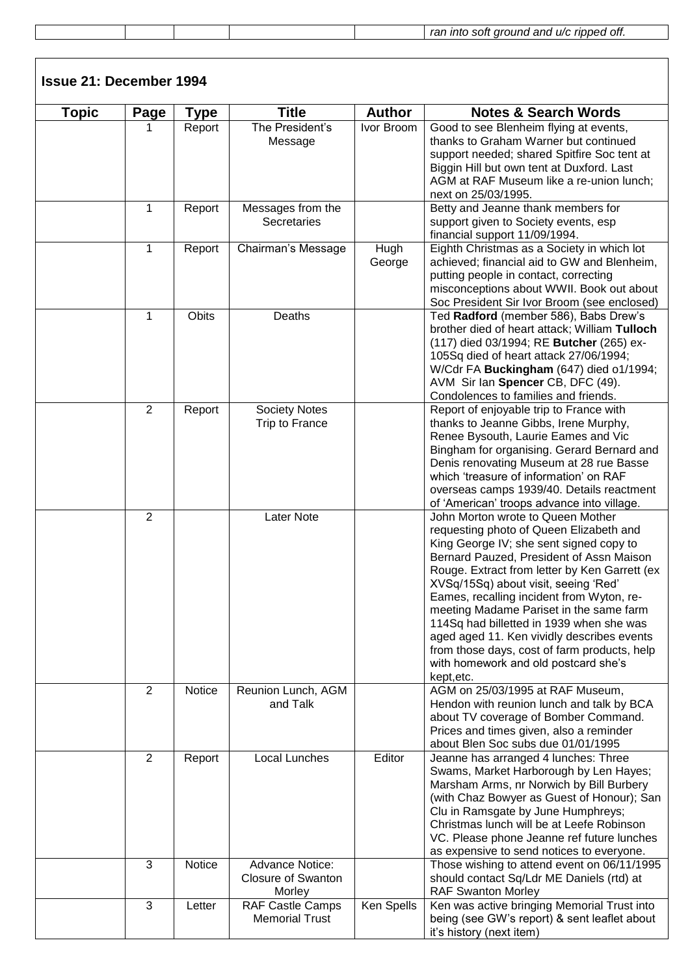|  |  | rar.<br>ott.<br>$- - - -$<br>- - -<br>ınto<br>rınnec<br>ano<br>soif<br>oroune<br>LI/C |
|--|--|---------------------------------------------------------------------------------------|
|  |  |                                                                                       |

| <b>Issue 21: December 1994</b> |                |        |                                                               |                |                                                                                                                                                                                                                                                                                                                                                                                                                                                                                                                                                      |
|--------------------------------|----------------|--------|---------------------------------------------------------------|----------------|------------------------------------------------------------------------------------------------------------------------------------------------------------------------------------------------------------------------------------------------------------------------------------------------------------------------------------------------------------------------------------------------------------------------------------------------------------------------------------------------------------------------------------------------------|
| <b>Topic</b>                   | Page           | Type   | <b>Title</b>                                                  | <b>Author</b>  | <b>Notes &amp; Search Words</b>                                                                                                                                                                                                                                                                                                                                                                                                                                                                                                                      |
|                                |                | Report | The President's<br>Message                                    | Ivor Broom     | Good to see Blenheim flying at events,<br>thanks to Graham Warner but continued<br>support needed; shared Spitfire Soc tent at<br>Biggin Hill but own tent at Duxford. Last<br>AGM at RAF Museum like a re-union lunch;<br>next on 25/03/1995.                                                                                                                                                                                                                                                                                                       |
|                                | 1              | Report | Messages from the<br>Secretaries                              |                | Betty and Jeanne thank members for<br>support given to Society events, esp<br>financial support 11/09/1994.                                                                                                                                                                                                                                                                                                                                                                                                                                          |
|                                | 1              | Report | Chairman's Message                                            | Hugh<br>George | Eighth Christmas as a Society in which lot<br>achieved; financial aid to GW and Blenheim,<br>putting people in contact, correcting<br>misconceptions about WWII. Book out about<br>Soc President Sir Ivor Broom (see enclosed)                                                                                                                                                                                                                                                                                                                       |
|                                | 1              | Obits  | Deaths                                                        |                | Ted Radford (member 586), Babs Drew's<br>brother died of heart attack; William Tulloch<br>(117) died 03/1994; RE Butcher (265) ex-<br>105Sq died of heart attack 27/06/1994;<br>W/Cdr FA Buckingham (647) died o1/1994;<br>AVM Sir Ian Spencer CB, DFC (49).<br>Condolences to families and friends.                                                                                                                                                                                                                                                 |
|                                | $\overline{2}$ | Report | <b>Society Notes</b><br>Trip to France                        |                | Report of enjoyable trip to France with<br>thanks to Jeanne Gibbs, Irene Murphy,<br>Renee Bysouth, Laurie Eames and Vic<br>Bingham for organising. Gerard Bernard and<br>Denis renovating Museum at 28 rue Basse<br>which 'treasure of information' on RAF<br>overseas camps 1939/40. Details reactment<br>of 'American' troops advance into village.                                                                                                                                                                                                |
|                                | $\overline{2}$ |        | Later Note                                                    |                | John Morton wrote to Queen Mother<br>requesting photo of Queen Elizabeth and<br>King George IV; she sent signed copy to<br>Bernard Pauzed, President of Assn Maison<br>Rouge. Extract from letter by Ken Garrett (ex<br>XVSq/15Sq) about visit, seeing 'Red'<br>Eames, recalling incident from Wyton, re-<br>meeting Madame Pariset in the same farm<br>114Sq had billetted in 1939 when she was<br>aged aged 11. Ken vividly describes events<br>from those days, cost of farm products, help<br>with homework and old postcard she's<br>kept, etc. |
|                                | 2              | Notice | Reunion Lunch, AGM<br>and Talk                                |                | AGM on 25/03/1995 at RAF Museum,<br>Hendon with reunion lunch and talk by BCA<br>about TV coverage of Bomber Command.<br>Prices and times given, also a reminder<br>about Blen Soc subs due 01/01/1995                                                                                                                                                                                                                                                                                                                                               |
|                                | $\overline{2}$ | Report | Local Lunches                                                 | Editor         | Jeanne has arranged 4 lunches: Three<br>Swams, Market Harborough by Len Hayes;<br>Marsham Arms, nr Norwich by Bill Burbery<br>(with Chaz Bowyer as Guest of Honour); San<br>Clu in Ramsgate by June Humphreys;<br>Christmas lunch will be at Leefe Robinson<br>VC. Please phone Jeanne ref future lunches<br>as expensive to send notices to everyone.                                                                                                                                                                                               |
|                                | 3              | Notice | <b>Advance Notice:</b><br><b>Closure of Swanton</b><br>Morley |                | Those wishing to attend event on 06/11/1995<br>should contact Sq/Ldr ME Daniels (rtd) at<br><b>RAF Swanton Morley</b>                                                                                                                                                                                                                                                                                                                                                                                                                                |
|                                | $\mathfrak{S}$ | Letter | <b>RAF Castle Camps</b><br><b>Memorial Trust</b>              | Ken Spells     | Ken was active bringing Memorial Trust into<br>being (see GW's report) & sent leaflet about<br>it's history (next item)                                                                                                                                                                                                                                                                                                                                                                                                                              |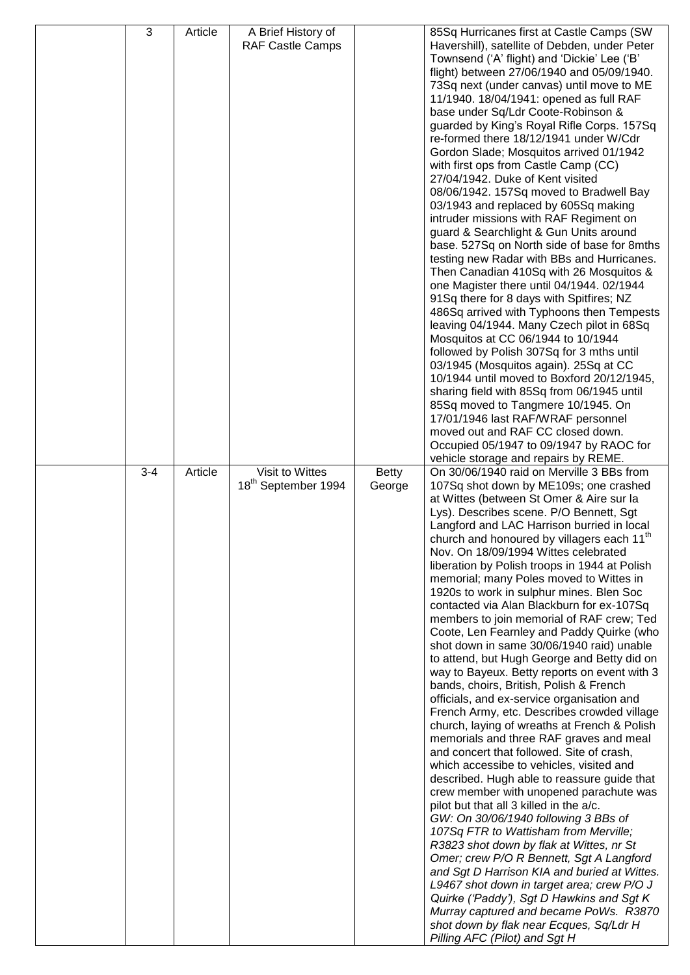| 3       | Article | A Brief History of                                 |                 | 85Sq Hurricanes first at Castle Camps (SW                                              |
|---------|---------|----------------------------------------------------|-----------------|----------------------------------------------------------------------------------------|
|         |         | RAF Castle Camps                                   |                 | Havershill), satellite of Debden, under Peter                                          |
|         |         |                                                    |                 | Townsend ('A' flight) and 'Dickie' Lee ('B'                                            |
|         |         |                                                    |                 | flight) between 27/06/1940 and 05/09/1940.                                             |
|         |         |                                                    |                 | 73Sq next (under canvas) until move to ME                                              |
|         |         |                                                    |                 | 11/1940. 18/04/1941: opened as full RAF                                                |
|         |         |                                                    |                 | base under Sq/Ldr Coote-Robinson &                                                     |
|         |         |                                                    |                 | guarded by King's Royal Rifle Corps. 157Sq<br>re-formed there 18/12/1941 under W/Cdr   |
|         |         |                                                    |                 | Gordon Slade; Mosquitos arrived 01/1942                                                |
|         |         |                                                    |                 | with first ops from Castle Camp (CC)                                                   |
|         |         |                                                    |                 | 27/04/1942. Duke of Kent visited                                                       |
|         |         |                                                    |                 | 08/06/1942. 157Sq moved to Bradwell Bay                                                |
|         |         |                                                    |                 | 03/1943 and replaced by 605Sq making                                                   |
|         |         |                                                    |                 | intruder missions with RAF Regiment on                                                 |
|         |         |                                                    |                 | guard & Searchlight & Gun Units around                                                 |
|         |         |                                                    |                 | base. 527Sq on North side of base for 8mths                                            |
|         |         |                                                    |                 | testing new Radar with BBs and Hurricanes.                                             |
|         |         |                                                    |                 | Then Canadian 410Sq with 26 Mosquitos &                                                |
|         |         |                                                    |                 | one Magister there until 04/1944. 02/1944                                              |
|         |         |                                                    |                 | 91Sq there for 8 days with Spitfires; NZ                                               |
|         |         |                                                    |                 | 486Sq arrived with Typhoons then Tempests                                              |
|         |         |                                                    |                 | leaving 04/1944. Many Czech pilot in 68Sq<br>Mosquitos at CC 06/1944 to 10/1944        |
|         |         |                                                    |                 | followed by Polish 307Sq for 3 mths until                                              |
|         |         |                                                    |                 | 03/1945 (Mosquitos again). 25Sq at CC                                                  |
|         |         |                                                    |                 | 10/1944 until moved to Boxford 20/12/1945,                                             |
|         |         |                                                    |                 | sharing field with 85Sq from 06/1945 until                                             |
|         |         |                                                    |                 | 85Sq moved to Tangmere 10/1945. On                                                     |
|         |         |                                                    |                 | 17/01/1946 last RAF/WRAF personnel                                                     |
|         |         |                                                    |                 | moved out and RAF CC closed down.                                                      |
|         |         |                                                    |                 | Occupied 05/1947 to 09/1947 by RAOC for                                                |
|         |         |                                                    |                 | vehicle storage and repairs by REME.                                                   |
| $3 - 4$ | Article | Visit to Wittes<br>18 <sup>th</sup> September 1994 | Betty<br>George | On 30/06/1940 raid on Merville 3 BBs from<br>107Sq shot down by ME109s; one crashed    |
|         |         |                                                    |                 | at Wittes (between St Omer & Aire sur la                                               |
|         |         |                                                    |                 | Lys). Describes scene. P/O Bennett, Sgt                                                |
|         |         |                                                    |                 | Langford and LAC Harrison burried in local                                             |
|         |         |                                                    |                 | church and honoured by villagers each 11 <sup>th</sup>                                 |
|         |         |                                                    |                 | Nov. On 18/09/1994 Wittes celebrated                                                   |
|         |         |                                                    |                 | liberation by Polish troops in 1944 at Polish                                          |
|         |         |                                                    |                 | memorial; many Poles moved to Wittes in                                                |
|         |         |                                                    |                 | 1920s to work in sulphur mines. Blen Soc                                               |
|         |         |                                                    |                 | contacted via Alan Blackburn for ex-107Sq<br>members to join memorial of RAF crew; Ted |
|         |         |                                                    |                 | Coote, Len Fearnley and Paddy Quirke (who                                              |
|         |         |                                                    |                 | shot down in same 30/06/1940 raid) unable                                              |
|         |         |                                                    |                 | to attend, but Hugh George and Betty did on                                            |
|         |         |                                                    |                 | way to Bayeux. Betty reports on event with 3                                           |
|         |         |                                                    |                 | bands, choirs, British, Polish & French                                                |
|         |         |                                                    |                 | officials, and ex-service organisation and                                             |
|         |         |                                                    |                 | French Army, etc. Describes crowded village                                            |
|         |         |                                                    |                 | church, laying of wreaths at French & Polish                                           |
|         |         |                                                    |                 | memorials and three RAF graves and meal                                                |
|         |         |                                                    |                 | and concert that followed. Site of crash,<br>which accessibe to vehicles, visited and  |
|         |         |                                                    |                 | described. Hugh able to reassure guide that                                            |
|         |         |                                                    |                 | crew member with unopened parachute was                                                |
|         |         |                                                    |                 | pilot but that all 3 killed in the a/c.                                                |
|         |         |                                                    |                 |                                                                                        |
|         |         |                                                    |                 | GW: On 30/06/1940 following 3 BBs of                                                   |
|         |         |                                                    |                 | 107Sq FTR to Wattisham from Merville;                                                  |
|         |         |                                                    |                 | R3823 shot down by flak at Wittes, nr St                                               |
|         |         |                                                    |                 | Omer; crew P/O R Bennett, Sgt A Langford                                               |
|         |         |                                                    |                 | and Sgt D Harrison KIA and buried at Wittes.                                           |
|         |         |                                                    |                 | L9467 shot down in target area; crew P/O J                                             |
|         |         |                                                    |                 | Quirke ('Paddy'), Sgt D Hawkins and Sgt K                                              |
|         |         |                                                    |                 | Murray captured and became PoWs. R3870<br>shot down by flak near Ecques, Sq/Ldr H      |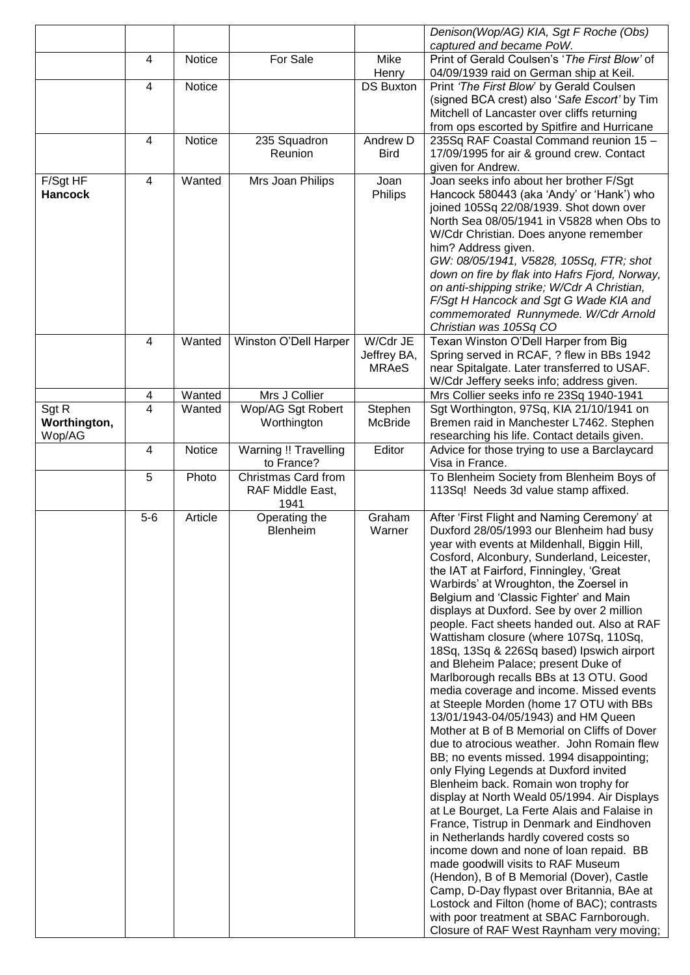|                |                |               |                              |                           | Denison(Wop/AG) KIA, Sgt F Roche (Obs)                                                    |
|----------------|----------------|---------------|------------------------------|---------------------------|-------------------------------------------------------------------------------------------|
|                |                |               |                              |                           | captured and became PoW.                                                                  |
|                | 4              | <b>Notice</b> | For Sale                     | Mike                      | Print of Gerald Coulsen's 'The First Blow' of                                             |
|                | 4              | Notice        |                              | Henry<br><b>DS Buxton</b> | 04/09/1939 raid on German ship at Keil.<br>Print 'The First Blow' by Gerald Coulsen       |
|                |                |               |                              |                           | (signed BCA crest) also 'Safe Escort' by Tim                                              |
|                |                |               |                              |                           | Mitchell of Lancaster over cliffs returning                                               |
|                |                |               |                              |                           | from ops escorted by Spitfire and Hurricane                                               |
|                | 4              | Notice        | 235 Squadron                 | Andrew D                  | 235Sq RAF Coastal Command reunion 15 -                                                    |
|                |                |               | Reunion                      | <b>Bird</b>               | 17/09/1995 for air & ground crew. Contact                                                 |
|                |                |               |                              |                           | given for Andrew.                                                                         |
| F/Sgt HF       | 4              | Wanted        | Mrs Joan Philips             | Joan                      | Joan seeks info about her brother F/Sgt                                                   |
| <b>Hancock</b> |                |               |                              | Philips                   | Hancock 580443 (aka 'Andy' or 'Hank') who                                                 |
|                |                |               |                              |                           | joined 105Sq 22/08/1939. Shot down over                                                   |
|                |                |               |                              |                           | North Sea 08/05/1941 in V5828 when Obs to                                                 |
|                |                |               |                              |                           | W/Cdr Christian. Does anyone remember<br>him? Address given.                              |
|                |                |               |                              |                           | GW: 08/05/1941, V5828, 105Sq, FTR; shot                                                   |
|                |                |               |                              |                           | down on fire by flak into Hafrs Fjord, Norway,                                            |
|                |                |               |                              |                           | on anti-shipping strike; W/Cdr A Christian,                                               |
|                |                |               |                              |                           | F/Sgt H Hancock and Sgt G Wade KIA and                                                    |
|                |                |               |                              |                           | commemorated Runnymede. W/Cdr Arnold                                                      |
|                |                |               |                              |                           | Christian was 105Sq CO                                                                    |
|                | 4              | Wanted        | Winston O'Dell Harper        | W/Cdr JE                  | Texan Winston O'Dell Harper from Big                                                      |
|                |                |               |                              | Jeffrey BA,               | Spring served in RCAF, ? flew in BBs 1942                                                 |
|                |                |               |                              | <b>MRAeS</b>              | near Spitalgate. Later transferred to USAF.                                               |
|                | 4              | Wanted        | Mrs J Collier                |                           | W/Cdr Jeffery seeks info; address given.<br>Mrs Collier seeks info re 23Sq 1940-1941      |
| Sgt R          | $\overline{4}$ | Wanted        | Wop/AG Sgt Robert            | Stephen                   | Sgt Worthington, 97Sq, KIA 21/10/1941 on                                                  |
| Worthington,   |                |               | Worthington                  | <b>McBride</b>            | Bremen raid in Manchester L7462. Stephen                                                  |
| Wop/AG         |                |               |                              |                           | researching his life. Contact details given.                                              |
|                | 4              | Notice        | <b>Warning !! Travelling</b> | Editor                    | Advice for those trying to use a Barclaycard                                              |
|                |                |               | to France?                   |                           | Visa in France.                                                                           |
|                | 5              | Photo         | Christmas Card from          |                           | To Blenheim Society from Blenheim Boys of                                                 |
|                |                |               | RAF Middle East,             |                           | 113Sq! Needs 3d value stamp affixed.                                                      |
|                | $5-6$          | Article       | 1941<br>Operating the        | Graham                    | After 'First Flight and Naming Ceremony' at                                               |
|                |                |               | Blenheim                     | Warner                    | Duxford 28/05/1993 our Blenheim had busy                                                  |
|                |                |               |                              |                           | year with events at Mildenhall, Biggin Hill,                                              |
|                |                |               |                              |                           | Cosford, Alconbury, Sunderland, Leicester,                                                |
|                |                |               |                              |                           | the IAT at Fairford, Finningley, 'Great                                                   |
|                |                |               |                              |                           | Warbirds' at Wroughton, the Zoersel in                                                    |
|                |                |               |                              |                           | Belgium and 'Classic Fighter' and Main                                                    |
|                |                |               |                              |                           | displays at Duxford. See by over 2 million                                                |
|                |                |               |                              |                           | people. Fact sheets handed out. Also at RAF                                               |
|                |                |               |                              |                           | Wattisham closure (where 107Sq, 110Sq,<br>18Sq, 13Sq & 226Sq based) Ipswich airport       |
|                |                |               |                              |                           | and Bleheim Palace; present Duke of                                                       |
|                |                |               |                              |                           | Marlborough recalls BBs at 13 OTU. Good                                                   |
|                |                |               |                              |                           | media coverage and income. Missed events                                                  |
|                |                |               |                              |                           | at Steeple Morden (home 17 OTU with BBs                                                   |
|                |                |               |                              |                           | 13/01/1943-04/05/1943) and HM Queen                                                       |
|                |                |               |                              |                           | Mother at B of B Memorial on Cliffs of Dover                                              |
|                |                |               |                              |                           | due to atrocious weather. John Romain flew                                                |
|                |                |               |                              |                           | BB; no events missed. 1994 disappointing;<br>only Flying Legends at Duxford invited       |
|                |                |               |                              |                           | Blenheim back. Romain won trophy for                                                      |
|                |                |               |                              |                           | display at North Weald 05/1994. Air Displays                                              |
|                |                |               |                              |                           | at Le Bourget, La Ferte Alais and Falaise in                                              |
|                |                |               |                              |                           | France, Tistrup in Denmark and Eindhoven                                                  |
|                |                |               |                              |                           | in Netherlands hardly covered costs so                                                    |
|                |                |               |                              |                           | income down and none of loan repaid. BB                                                   |
|                |                |               |                              |                           | made goodwill visits to RAF Museum                                                        |
|                |                |               |                              |                           | (Hendon), B of B Memorial (Dover), Castle                                                 |
|                |                |               |                              |                           | Camp, D-Day flypast over Britannia, BAe at<br>Lostock and Filton (home of BAC); contrasts |
|                |                |               |                              |                           | with poor treatment at SBAC Farnborough.                                                  |
|                |                |               |                              |                           | Closure of RAF West Raynham very moving;                                                  |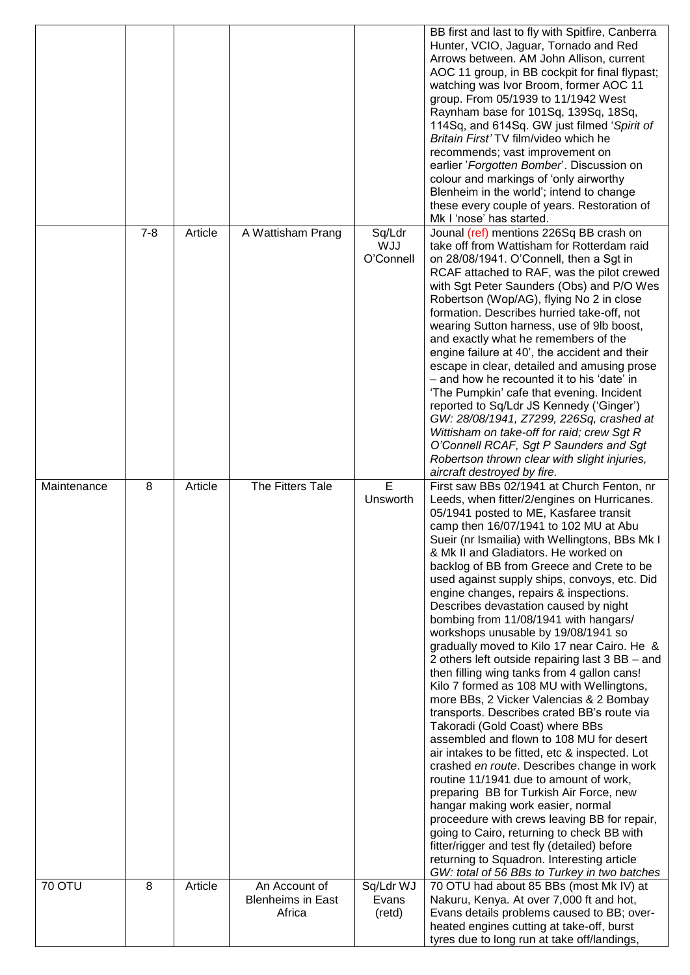|               |         |         |                                                     |                                   | BB first and last to fly with Spitfire, Canberra<br>Hunter, VCIO, Jaguar, Tornado and Red<br>Arrows between. AM John Allison, current<br>AOC 11 group, in BB cockpit for final flypast;<br>watching was Ivor Broom, former AOC 11<br>group. From 05/1939 to 11/1942 West<br>Raynham base for 101Sq, 139Sq, 18Sq,<br>114Sq, and 614Sq. GW just filmed 'Spirit of<br>Britain First' TV film/video which he<br>recommends; vast improvement on<br>earlier 'Forgotten Bomber'. Discussion on<br>colour and markings of 'only airworthy<br>Blenheim in the world'; intend to change<br>these every couple of years. Restoration of<br>Mk I 'nose' has started.                                                                                                                                                                                                                                                                                                                                                                                                                                                                                                                                                                                                                                                                                                                           |
|---------------|---------|---------|-----------------------------------------------------|-----------------------------------|-------------------------------------------------------------------------------------------------------------------------------------------------------------------------------------------------------------------------------------------------------------------------------------------------------------------------------------------------------------------------------------------------------------------------------------------------------------------------------------------------------------------------------------------------------------------------------------------------------------------------------------------------------------------------------------------------------------------------------------------------------------------------------------------------------------------------------------------------------------------------------------------------------------------------------------------------------------------------------------------------------------------------------------------------------------------------------------------------------------------------------------------------------------------------------------------------------------------------------------------------------------------------------------------------------------------------------------------------------------------------------------|
|               | $7 - 8$ | Article | A Wattisham Prang                                   | Sq/Ldr<br><b>WJJ</b><br>O'Connell | Jounal (ref) mentions 226Sq BB crash on<br>take off from Wattisham for Rotterdam raid<br>on 28/08/1941. O'Connell, then a Sgt in<br>RCAF attached to RAF, was the pilot crewed<br>with Sgt Peter Saunders (Obs) and P/O Wes<br>Robertson (Wop/AG), flying No 2 in close<br>formation. Describes hurried take-off, not<br>wearing Sutton harness, use of 9lb boost,<br>and exactly what he remembers of the<br>engine failure at 40', the accident and their<br>escape in clear, detailed and amusing prose<br>- and how he recounted it to his 'date' in<br>'The Pumpkin' cafe that evening. Incident<br>reported to Sq/Ldr JS Kennedy ('Ginger')<br>GW: 28/08/1941, Z7299, 226Sq, crashed at<br>Wittisham on take-off for raid; crew Sgt R<br>O'Connell RCAF, Sgt P Saunders and Sgt<br>Robertson thrown clear with slight injuries,<br>aircraft destroyed by fire.                                                                                                                                                                                                                                                                                                                                                                                                                                                                                                                |
| Maintenance   | 8       | Article | The Fitters Tale                                    | E<br>Unsworth                     | First saw BBs 02/1941 at Church Fenton, nr<br>Leeds, when fitter/2/engines on Hurricanes.<br>05/1941 posted to ME, Kasfaree transit<br>camp then 16/07/1941 to 102 MU at Abu<br>Sueir (nr Ismailia) with Wellingtons, BBs Mk I<br>& Mk II and Gladiators. He worked on<br>backlog of BB from Greece and Crete to be<br>used against supply ships, convoys, etc. Did<br>engine changes, repairs & inspections.<br>Describes devastation caused by night<br>bombing from 11/08/1941 with hangars/<br>workshops unusable by 19/08/1941 so<br>gradually moved to Kilo 17 near Cairo. He &<br>2 others left outside repairing last 3 BB – and<br>then filling wing tanks from 4 gallon cans!<br>Kilo 7 formed as 108 MU with Wellingtons,<br>more BBs, 2 Vicker Valencias & 2 Bombay<br>transports. Describes crated BB's route via<br>Takoradi (Gold Coast) where BBs<br>assembled and flown to 108 MU for desert<br>air intakes to be fitted, etc & inspected. Lot<br>crashed en route. Describes change in work<br>routine 11/1941 due to amount of work,<br>preparing BB for Turkish Air Force, new<br>hangar making work easier, normal<br>proceedure with crews leaving BB for repair,<br>going to Cairo, returning to check BB with<br>fitter/rigger and test fly (detailed) before<br>returning to Squadron. Interesting article<br>GW: total of 56 BBs to Turkey in two batches |
| <b>70 OTU</b> | 8       | Article | An Account of<br><b>Blenheims in East</b><br>Africa | Sq/Ldr WJ<br>Evans<br>(retd)      | 70 OTU had about 85 BBs (most Mk IV) at<br>Nakuru, Kenya. At over 7,000 ft and hot,<br>Evans details problems caused to BB; over-<br>heated engines cutting at take-off, burst<br>tyres due to long run at take off/landings,                                                                                                                                                                                                                                                                                                                                                                                                                                                                                                                                                                                                                                                                                                                                                                                                                                                                                                                                                                                                                                                                                                                                                       |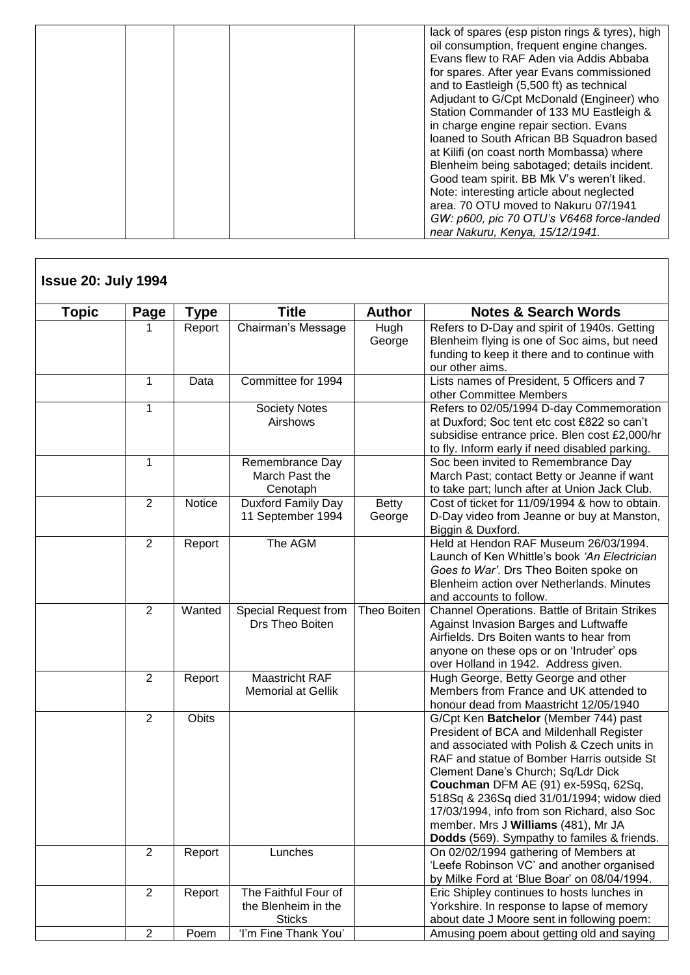|  | lack of spares (esp piston rings & tyres), high<br>oil consumption, frequent engine changes.<br>Evans flew to RAF Aden via Addis Abbaba<br>for spares. After year Evans commissioned<br>and to Eastleigh (5,500 ft) as technical<br>Adjudant to G/Cpt McDonald (Engineer) who<br>Station Commander of 133 MU Eastleigh &<br>in charge engine repair section. Evans<br>loaned to South African BB Squadron based<br>at Kilifi (on coast north Mombassa) where<br>Blenheim being sabotaged; details incident.<br>Good team spirit. BB Mk V's weren't liked.<br>Note: interesting article about neglected<br>area, 70 OTU moved to Nakuru 07/1941<br>GW: p600, pic 70 OTU's V6468 force-landed<br>near Nakuru, Kenya, 15/12/1941. |
|--|--------------------------------------------------------------------------------------------------------------------------------------------------------------------------------------------------------------------------------------------------------------------------------------------------------------------------------------------------------------------------------------------------------------------------------------------------------------------------------------------------------------------------------------------------------------------------------------------------------------------------------------------------------------------------------------------------------------------------------|
|--|--------------------------------------------------------------------------------------------------------------------------------------------------------------------------------------------------------------------------------------------------------------------------------------------------------------------------------------------------------------------------------------------------------------------------------------------------------------------------------------------------------------------------------------------------------------------------------------------------------------------------------------------------------------------------------------------------------------------------------|

| <b>Topic</b> | Page           | Type   | <b>Title</b>              | <b>Author</b> | <b>Notes &amp; Search Words</b>                |
|--------------|----------------|--------|---------------------------|---------------|------------------------------------------------|
|              | 1              | Report | Chairman's Message        | Hugh          | Refers to D-Day and spirit of 1940s. Getting   |
|              |                |        |                           | George        | Blenheim flying is one of Soc aims, but need   |
|              |                |        |                           |               | funding to keep it there and to continue with  |
|              |                |        |                           |               | our other aims.                                |
|              | $\mathbf{1}$   | Data   | Committee for 1994        |               | Lists names of President, 5 Officers and 7     |
|              |                |        |                           |               | other Committee Members                        |
|              | 1              |        | Society Notes             |               | Refers to 02/05/1994 D-day Commemoration       |
|              |                |        | Airshows                  |               | at Duxford; Soc tent etc cost £822 so can't    |
|              |                |        |                           |               | subsidise entrance price. Blen cost £2,000/hr  |
|              |                |        |                           |               | to fly. Inform early if need disabled parking. |
|              | 1              |        | Remembrance Day           |               | Soc been invited to Remembrance Day            |
|              |                |        | March Past the            |               | March Past; contact Betty or Jeanne if want    |
|              |                |        | Cenotaph                  |               | to take part; lunch after at Union Jack Club.  |
|              | $\overline{2}$ | Notice | Duxford Family Day        | Betty         | Cost of ticket for 11/09/1994 & how to obtain. |
|              |                |        | 11 September 1994         | George        | D-Day video from Jeanne or buy at Manston,     |
|              |                |        |                           |               | Biggin & Duxford.                              |
|              | $\overline{2}$ | Report | The AGM                   |               | Held at Hendon RAF Museum 26/03/1994.          |
|              |                |        |                           |               | Launch of Ken Whittle's book 'An Electrician   |
|              |                |        |                           |               | Goes to War'. Drs Theo Boiten spoke on         |
|              |                |        |                           |               | Blenheim action over Netherlands. Minutes      |
|              |                |        |                           |               | and accounts to follow.                        |
|              | $\overline{2}$ | Wanted | Special Request from      | Theo Boiten   | Channel Operations. Battle of Britain Strikes  |
|              |                |        | Drs Theo Boiten           |               | Against Invasion Barges and Luftwaffe          |
|              |                |        |                           |               | Airfields. Drs Boiten wants to hear from       |
|              |                |        |                           |               | anyone on these ops or on 'Intruder' ops       |
|              |                |        |                           |               | over Holland in 1942. Address given.           |
|              | 2              | Report | Maastricht RAF            |               | Hugh George, Betty George and other            |
|              |                |        | <b>Memorial at Gellik</b> |               | Members from France and UK attended to         |
|              |                |        |                           |               | honour dead from Maastricht 12/05/1940         |
|              | $\overline{2}$ | Obits  |                           |               | G/Cpt Ken Batchelor (Member 744) past          |
|              |                |        |                           |               | President of BCA and Mildenhall Register       |
|              |                |        |                           |               | and associated with Polish & Czech units in    |
|              |                |        |                           |               | RAF and statue of Bomber Harris outside St     |
|              |                |        |                           |               | Clement Dane's Church; Sq/Ldr Dick             |
|              |                |        |                           |               | Couchman DFM AE (91) ex-59Sq, 62Sq,            |
|              |                |        |                           |               | 518Sq & 236Sq died 31/01/1994; widow died      |
|              |                |        |                           |               | 17/03/1994, info from son Richard, also Soc    |
|              |                |        |                           |               | member. Mrs J Williams (481), Mr JA            |
|              |                |        |                           |               | Dodds (569). Sympathy to familes & friends.    |
|              | $\overline{2}$ | Report | Lunches                   |               | On 02/02/1994 gathering of Members at          |
|              |                |        |                           |               | 'Leefe Robinson VC' and another organised      |
|              |                |        |                           |               | by Milke Ford at 'Blue Boar' on 08/04/1994.    |
|              | 2              | Report | The Faithful Four of      |               | Eric Shipley continues to hosts lunches in     |
|              |                |        | the Blenheim in the       |               | Yorkshire. In response to lapse of memory      |
|              | $\overline{2}$ |        | <b>Sticks</b>             |               | about date J Moore sent in following poem:     |
|              |                | Poem   | 'I'm Fine Thank You'      |               | Amusing poem about getting old and saying      |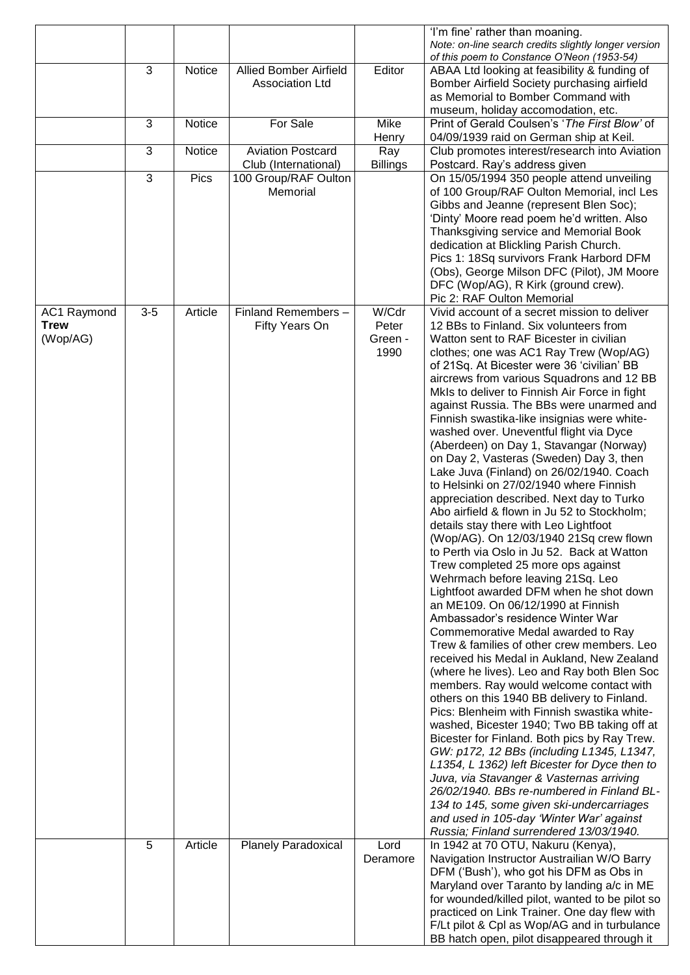|                            |       |         |                                       |                 | 'I'm fine' rather than moaning.<br>Note: on-line search credits slightly longer version         |
|----------------------------|-------|---------|---------------------------------------|-----------------|-------------------------------------------------------------------------------------------------|
|                            | 3     | Notice  | <b>Allied Bomber Airfield</b>         | Editor          | of this poem to Constance O'Neon (1953-54)<br>ABAA Ltd looking at feasibility & funding of      |
|                            |       |         | <b>Association Ltd</b>                |                 | Bomber Airfield Society purchasing airfield                                                     |
|                            |       |         |                                       |                 | as Memorial to Bomber Command with<br>museum, holiday accomodation, etc.                        |
|                            | 3     | Notice  | For Sale                              | Mike            | Print of Gerald Coulsen's 'The First Blow' of                                                   |
|                            | 3     | Notice  | <b>Aviation Postcard</b>              | Henry<br>Ray    | 04/09/1939 raid on German ship at Keil.<br>Club promotes interest/research into Aviation        |
|                            |       |         | Club (International)                  | <b>Billings</b> | Postcard. Ray's address given                                                                   |
|                            | 3     | Pics    | 100 Group/RAF Oulton<br>Memorial      |                 | On 15/05/1994 350 people attend unveiling<br>of 100 Group/RAF Oulton Memorial, incl Les         |
|                            |       |         |                                       |                 | Gibbs and Jeanne (represent Blen Soc);                                                          |
|                            |       |         |                                       |                 | 'Dinty' Moore read poem he'd written. Also                                                      |
|                            |       |         |                                       |                 | Thanksgiving service and Memorial Book<br>dedication at Blickling Parish Church.                |
|                            |       |         |                                       |                 | Pics 1: 18Sq survivors Frank Harbord DFM                                                        |
|                            |       |         |                                       |                 | (Obs), George Milson DFC (Pilot), JM Moore<br>DFC (Wop/AG), R Kirk (ground crew).               |
|                            |       |         |                                       |                 | Pic 2: RAF Oulton Memorial                                                                      |
| AC1 Raymond<br><b>Trew</b> | $3-5$ | Article | Finland Remembers -<br>Fifty Years On | W/Cdr<br>Peter  | Vivid account of a secret mission to deliver<br>12 BBs to Finland. Six volunteers from          |
| (Wop/AG)                   |       |         |                                       | Green -         | Watton sent to RAF Bicester in civilian                                                         |
|                            |       |         |                                       | 1990            | clothes; one was AC1 Ray Trew (Wop/AG)<br>of 21Sq. At Bicester were 36 'civilian' BB            |
|                            |       |         |                                       |                 | aircrews from various Squadrons and 12 BB                                                       |
|                            |       |         |                                       |                 | MkIs to deliver to Finnish Air Force in fight<br>against Russia. The BBs were unarmed and       |
|                            |       |         |                                       |                 | Finnish swastika-like insignias were white-                                                     |
|                            |       |         |                                       |                 | washed over. Uneventful flight via Dyce<br>(Aberdeen) on Day 1, Stavangar (Norway)              |
|                            |       |         |                                       |                 | on Day 2, Vasteras (Sweden) Day 3, then                                                         |
|                            |       |         |                                       |                 | Lake Juva (Finland) on 26/02/1940. Coach<br>to Helsinki on 27/02/1940 where Finnish             |
|                            |       |         |                                       |                 | appreciation described. Next day to Turko                                                       |
|                            |       |         |                                       |                 | Abo airfield & flown in Ju 52 to Stockholm;                                                     |
|                            |       |         |                                       |                 | details stay there with Leo Lightfoot<br>(Wop/AG). On 12/03/1940 21Sq crew flown                |
|                            |       |         |                                       |                 | to Perth via Oslo in Ju 52. Back at Watton                                                      |
|                            |       |         |                                       |                 | Trew completed 25 more ops against<br>Wehrmach before leaving 21Sq. Leo                         |
|                            |       |         |                                       |                 | Lightfoot awarded DFM when he shot down                                                         |
|                            |       |         |                                       |                 | an ME109. On 06/12/1990 at Finnish<br>Ambassador's residence Winter War                         |
|                            |       |         |                                       |                 | Commemorative Medal awarded to Ray                                                              |
|                            |       |         |                                       |                 | Trew & families of other crew members. Leo<br>received his Medal in Aukland, New Zealand        |
|                            |       |         |                                       |                 | (where he lives). Leo and Ray both Blen Soc                                                     |
|                            |       |         |                                       |                 | members. Ray would welcome contact with<br>others on this 1940 BB delivery to Finland.          |
|                            |       |         |                                       |                 | Pics: Blenheim with Finnish swastika white-                                                     |
|                            |       |         |                                       |                 | washed, Bicester 1940; Two BB taking off at                                                     |
|                            |       |         |                                       |                 | Bicester for Finland. Both pics by Ray Trew.<br>GW: p172, 12 BBs (including L1345, L1347,       |
|                            |       |         |                                       |                 | L1354, L 1362) left Bicester for Dyce then to                                                   |
|                            |       |         |                                       |                 | Juva, via Stavanger & Vasternas arriving<br>26/02/1940. BBs re-numbered in Finland BL-          |
|                            |       |         |                                       |                 | 134 to 145, some given ski-undercarriages                                                       |
|                            |       |         |                                       |                 | and used in 105-day 'Winter War' against<br>Russia; Finland surrendered 13/03/1940.             |
|                            | 5     | Article | <b>Planely Paradoxical</b>            | Lord            | In 1942 at 70 OTU, Nakuru (Kenya),                                                              |
|                            |       |         |                                       | Deramore        | Navigation Instructor Austrailian W/O Barry<br>DFM ('Bush'), who got his DFM as Obs in          |
|                            |       |         |                                       |                 | Maryland over Taranto by landing a/c in ME                                                      |
|                            |       |         |                                       |                 | for wounded/killed pilot, wanted to be pilot so<br>practiced on Link Trainer. One day flew with |
|                            |       |         |                                       |                 | F/Lt pilot & Cpl as Wop/AG and in turbulance                                                    |
|                            |       |         |                                       |                 | BB hatch open, pilot disappeared through it                                                     |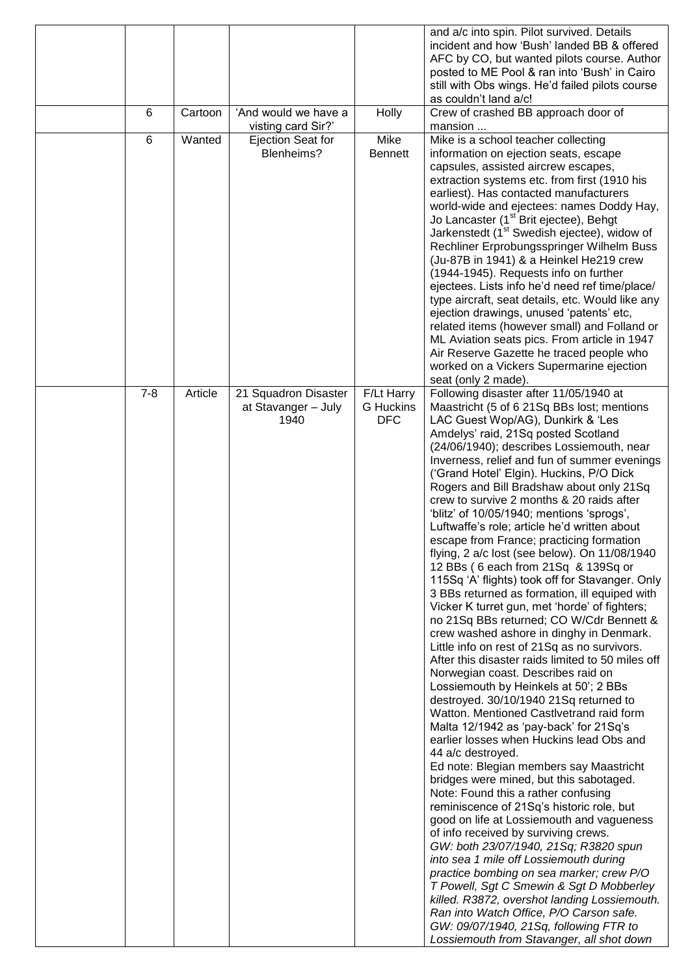|                 |         |                      |                  | and a/c into spin. Pilot survived. Details<br>incident and how 'Bush' landed BB & offered            |
|-----------------|---------|----------------------|------------------|------------------------------------------------------------------------------------------------------|
|                 |         |                      |                  | AFC by CO, but wanted pilots course. Author                                                          |
|                 |         |                      |                  | posted to ME Pool & ran into 'Bush' in Cairo                                                         |
|                 |         |                      |                  | still with Obs wings. He'd failed pilots course                                                      |
| 6               | Cartoon | 'And would we have a |                  | as couldn't land a/c!                                                                                |
|                 |         | visting card Sir?'   | Holly            | Crew of crashed BB approach door of<br>mansion                                                       |
| $6\phantom{1}6$ | Wanted  | Ejection Seat for    | Mike             | Mike is a school teacher collecting                                                                  |
|                 |         | Blenheims?           | <b>Bennett</b>   | information on ejection seats, escape                                                                |
|                 |         |                      |                  | capsules, assisted aircrew escapes,<br>extraction systems etc. from first (1910 his                  |
|                 |         |                      |                  | earliest). Has contacted manufacturers                                                               |
|                 |         |                      |                  | world-wide and ejectees: names Doddy Hay,                                                            |
|                 |         |                      |                  | Jo Lancaster (1 <sup>st</sup> Brit ejectee), Behgt                                                   |
|                 |         |                      |                  | Jarkenstedt (1 <sup>st</sup> Swedish ejectee), widow of<br>Rechliner Erprobungsspringer Wilhelm Buss |
|                 |         |                      |                  | (Ju-87B in 1941) & a Heinkel He219 crew                                                              |
|                 |         |                      |                  | (1944-1945). Requests info on further                                                                |
|                 |         |                      |                  | ejectees. Lists info he'd need ref time/place/                                                       |
|                 |         |                      |                  | type aircraft, seat details, etc. Would like any<br>ejection drawings, unused 'patents' etc,         |
|                 |         |                      |                  | related items (however small) and Folland or                                                         |
|                 |         |                      |                  | ML Aviation seats pics. From article in 1947                                                         |
|                 |         |                      |                  | Air Reserve Gazette he traced people who                                                             |
|                 |         |                      |                  | worked on a Vickers Supermarine ejection<br>seat (only 2 made).                                      |
| $7 - 8$         | Article | 21 Squadron Disaster | F/Lt Harry       | Following disaster after 11/05/1940 at                                                               |
|                 |         | at Stavanger - July  | <b>G</b> Huckins | Maastricht (5 of 6 21Sq BBs lost; mentions                                                           |
|                 |         | 1940                 | <b>DFC</b>       | LAC Guest Wop/AG), Dunkirk & 'Les                                                                    |
|                 |         |                      |                  | Amdelys' raid, 21Sq posted Scotland<br>(24/06/1940); describes Lossiemouth, near                     |
|                 |         |                      |                  | Inverness, relief and fun of summer evenings                                                         |
|                 |         |                      |                  | ('Grand Hotel' Elgin). Huckins, P/O Dick                                                             |
|                 |         |                      |                  | Rogers and Bill Bradshaw about only 21Sq<br>crew to survive 2 months & 20 raids after                |
|                 |         |                      |                  | 'blitz' of 10/05/1940; mentions 'sprogs',                                                            |
|                 |         |                      |                  | Luftwaffe's role; article he'd written about                                                         |
|                 |         |                      |                  | escape from France; practicing formation                                                             |
|                 |         |                      |                  | flying, 2 a/c lost (see below). On 11/08/1940<br>12 BBs (6 each from 21Sq & 139Sq or                 |
|                 |         |                      |                  | 115Sq 'A' flights) took off for Stavanger. Only                                                      |
|                 |         |                      |                  | 3 BBs returned as formation, ill equiped with                                                        |
|                 |         |                      |                  | Vicker K turret gun, met 'horde' of fighters;                                                        |
|                 |         |                      |                  | no 21Sq BBs returned; CO W/Cdr Bennett &<br>crew washed ashore in dinghy in Denmark.                 |
|                 |         |                      |                  | Little info on rest of 21Sq as no survivors.                                                         |
|                 |         |                      |                  | After this disaster raids limited to 50 miles off                                                    |
|                 |         |                      |                  | Norwegian coast. Describes raid on                                                                   |
|                 |         |                      |                  | Lossiemouth by Heinkels at 50'; 2 BBs<br>destroyed. 30/10/1940 21Sq returned to                      |
|                 |         |                      |                  | Watton. Mentioned Castlvetrand raid form                                                             |
|                 |         |                      |                  | Malta 12/1942 as 'pay-back' for 21Sq's                                                               |
|                 |         |                      |                  | earlier losses when Huckins lead Obs and<br>44 a/c destroyed.                                        |
|                 |         |                      |                  | Ed note: Blegian members say Maastricht                                                              |
|                 |         |                      |                  | bridges were mined, but this sabotaged.                                                              |
|                 |         |                      |                  | Note: Found this a rather confusing                                                                  |
|                 |         |                      |                  | reminiscence of 21Sq's historic role, but<br>good on life at Lossiemouth and vagueness               |
|                 |         |                      |                  | of info received by surviving crews.                                                                 |
|                 |         |                      |                  | GW: both 23/07/1940, 21Sq; R3820 spun                                                                |
|                 |         |                      |                  | into sea 1 mile off Lossiemouth during                                                               |
|                 |         |                      |                  | practice bombing on sea marker; crew P/O<br>T Powell, Sgt C Smewin & Sgt D Mobberley                 |
|                 |         |                      |                  | killed. R3872, overshot landing Lossiemouth.                                                         |
|                 |         |                      |                  | Ran into Watch Office, P/O Carson safe.                                                              |
|                 |         |                      |                  | GW: 09/07/1940, 21Sq, following FTR to                                                               |
|                 |         |                      |                  | Lossiemouth from Stavanger, all shot down                                                            |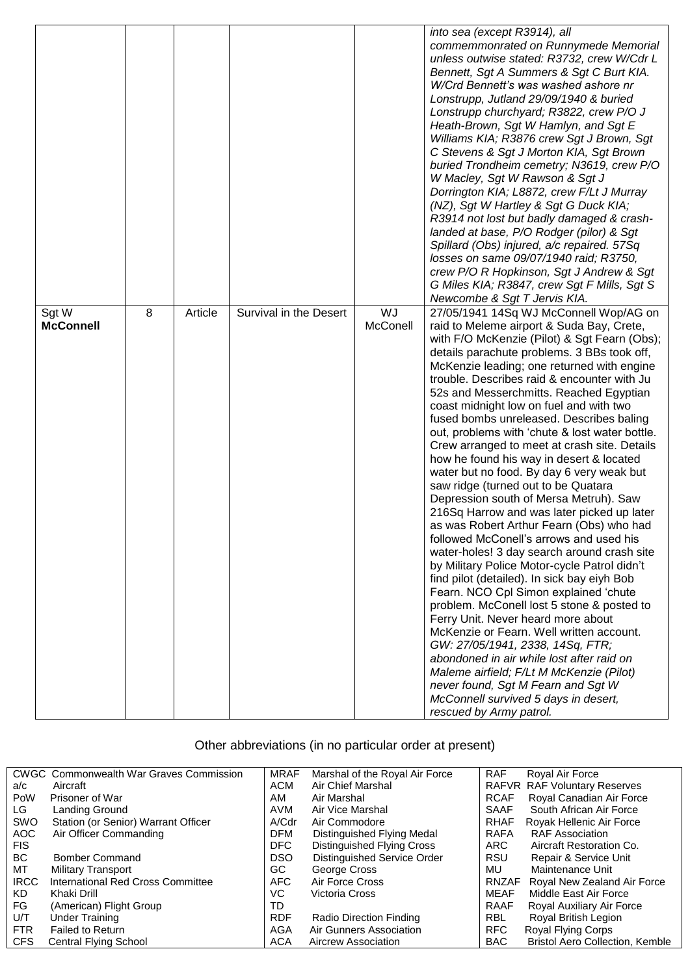|                  |   |         |                        |          | into sea (except R3914), all                   |
|------------------|---|---------|------------------------|----------|------------------------------------------------|
|                  |   |         |                        |          | commemmonrated on Runnymede Memorial           |
|                  |   |         |                        |          | unless outwise stated: R3732, crew W/Cdr L     |
|                  |   |         |                        |          | Bennett, Sgt A Summers & Sgt C Burt KIA.       |
|                  |   |         |                        |          | W/Crd Bennett's was washed ashore nr           |
|                  |   |         |                        |          | Lonstrupp, Jutland 29/09/1940 & buried         |
|                  |   |         |                        |          | Lonstrupp churchyard; R3822, crew P/O J        |
|                  |   |         |                        |          | Heath-Brown, Sgt W Hamlyn, and Sgt E           |
|                  |   |         |                        |          | Williams KIA; R3876 crew Sgt J Brown, Sgt      |
|                  |   |         |                        |          | C Stevens & Sgt J Morton KIA, Sgt Brown        |
|                  |   |         |                        |          | buried Trondheim cemetry; N3619, crew P/O      |
|                  |   |         |                        |          | W Macley, Sgt W Rawson & Sgt J                 |
|                  |   |         |                        |          | Dorrington KIA; L8872, crew F/Lt J Murray      |
|                  |   |         |                        |          | (NZ), Sgt W Hartley & Sgt G Duck KIA;          |
|                  |   |         |                        |          | R3914 not lost but badly damaged & crash-      |
|                  |   |         |                        |          | landed at base, P/O Rodger (pilor) & Sgt       |
|                  |   |         |                        |          | Spillard (Obs) injured, a/c repaired. 57Sq     |
|                  |   |         |                        |          | losses on same 09/07/1940 raid; R3750,         |
|                  |   |         |                        |          | crew P/O R Hopkinson, Sgt J Andrew & Sgt       |
|                  |   |         |                        |          | G Miles KIA; R3847, crew Sgt F Mills, Sgt S    |
|                  |   |         |                        |          | Newcombe & Sgt T Jervis KIA.                   |
| Sgt W            | 8 | Article | Survival in the Desert | WJ       | 27/05/1941 14Sq WJ McConnell Wop/AG on         |
| <b>McConnell</b> |   |         |                        | McConell | raid to Meleme airport & Suda Bay, Crete,      |
|                  |   |         |                        |          | with F/O McKenzie (Pilot) & Sgt Fearn (Obs);   |
|                  |   |         |                        |          | details parachute problems. 3 BBs took off,    |
|                  |   |         |                        |          | McKenzie leading; one returned with engine     |
|                  |   |         |                        |          | trouble. Describes raid & encounter with Ju    |
|                  |   |         |                        |          | 52s and Messerchmitts. Reached Egyptian        |
|                  |   |         |                        |          | coast midnight low on fuel and with two        |
|                  |   |         |                        |          | fused bombs unreleased. Describes baling       |
|                  |   |         |                        |          | out, problems with 'chute & lost water bottle. |
|                  |   |         |                        |          | Crew arranged to meet at crash site. Details   |
|                  |   |         |                        |          | how he found his way in desert & located       |
|                  |   |         |                        |          | water but no food. By day 6 very weak but      |
|                  |   |         |                        |          | saw ridge (turned out to be Quatara            |
|                  |   |         |                        |          | Depression south of Mersa Metruh). Saw         |
|                  |   |         |                        |          | 216Sq Harrow and was later picked up later     |
|                  |   |         |                        |          | as was Robert Arthur Fearn (Obs) who had       |
|                  |   |         |                        |          | followed McConell's arrows and used his        |
|                  |   |         |                        |          | water-holes! 3 day search around crash site    |
|                  |   |         |                        |          | by Military Police Motor-cycle Patrol didn't   |
|                  |   |         |                        |          | find pilot (detailed). In sick bay eiyh Bob    |
|                  |   |         |                        |          | Fearn. NCO Cpl Simon explained 'chute          |
|                  |   |         |                        |          | problem. McConell lost 5 stone & posted to     |
|                  |   |         |                        |          | Ferry Unit. Never heard more about             |
|                  |   |         |                        |          | McKenzie or Fearn. Well written account.       |
|                  |   |         |                        |          | GW: 27/05/1941, 2338, 14Sq, FTR;               |
|                  |   |         |                        |          | abondoned in air while lost after raid on      |
|                  |   |         |                        |          | Maleme airfield; F/Lt M McKenzie (Pilot)       |
|                  |   |         |                        |          | never found, Sgt M Fearn and Sgt W             |
|                  |   |         |                        |          | McConnell survived 5 days in desert,           |
|                  |   |         |                        |          | rescued by Army patrol.                        |

Other abbreviations (in no particular order at present)

|             | <b>CWGC</b> Commonwealth War Graves Commission | <b>MRAF</b> | Marshal of the Royal Air Force | <b>RAF</b>   | Royal Air Force                        |
|-------------|------------------------------------------------|-------------|--------------------------------|--------------|----------------------------------------|
| a/c         | Aircraft                                       | ACM         | Air Chief Marshal              |              | RAFVR RAF Voluntary Reserves           |
| PoW         | Prisoner of War                                | AM          | Air Marshal                    | <b>RCAF</b>  | Royal Canadian Air Force               |
| LG          | Landing Ground                                 | AVM         | Air Vice Marshal               | <b>SAAF</b>  | South African Air Force                |
| SWO         | Station (or Senior) Warrant Officer            | A/Cdr       | Air Commodore                  | <b>RHAF</b>  | Royak Hellenic Air Force               |
| AOC         | Air Officer Commanding                         | <b>DFM</b>  | Distinguished Flying Medal     | <b>RAFA</b>  | <b>RAF Association</b>                 |
| <b>FIS</b>  |                                                | DFC         | Distinguished Flying Cross     | ARC.         | Aircraft Restoration Co.               |
| BC.         | Bomber Command                                 | <b>DSO</b>  | Distinguished Service Order    | <b>RSU</b>   | Repair & Service Unit                  |
| MT          | <b>Military Transport</b>                      | GC.         | George Cross                   | MU           | Maintenance Unit                       |
| <b>IRCC</b> | International Red Cross Committee              | <b>AFC</b>  | Air Force Cross                | <b>RNZAF</b> | Royal New Zealand Air Force            |
| KD.         | Khaki Drill                                    | VC.         | Victoria Cross                 | <b>MEAF</b>  | Middle East Air Force                  |
| FG          | (American) Flight Group                        | TD          |                                | <b>RAAF</b>  | Royal Auxiliary Air Force              |
| U/T         | Under Training                                 | <b>RDF</b>  | Radio Direction Finding        | <b>RBL</b>   | Royal British Legion                   |
| <b>FTR</b>  | Failed to Return                               | AGA         | Air Gunners Association        | <b>RFC</b>   | Royal Flying Corps                     |
| <b>CFS</b>  | <b>Central Flying School</b>                   | <b>ACA</b>  | Aircrew Association            | <b>BAC</b>   | <b>Bristol Aero Collection, Kemble</b> |